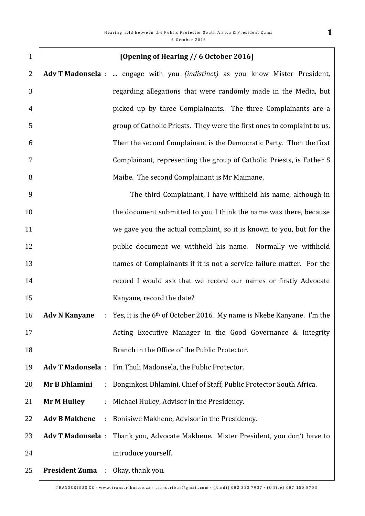| $\mathbf{1}$   |                                   | [Opening of Hearing // 6 October 2016]                                               |
|----------------|-----------------------------------|--------------------------------------------------------------------------------------|
| $\overline{2}$ |                                   | Adv T Madonsela :  engage with you <i>(indistinct)</i> as you know Mister President, |
| 3              |                                   | regarding allegations that were randomly made in the Media, but                      |
| $\overline{4}$ |                                   | picked up by three Complainants. The three Complainants are a                        |
| 5              |                                   | group of Catholic Priests. They were the first ones to complaint to us.              |
| 6              |                                   | Then the second Complainant is the Democratic Party. Then the first                  |
| $\overline{7}$ |                                   | Complainant, representing the group of Catholic Priests, is Father S                 |
| 8              |                                   | Maibe. The second Complainant is Mr Maimane.                                         |
| 9              |                                   | The third Complainant, I have withheld his name, although in                         |
| 10             |                                   | the document submitted to you I think the name was there, because                    |
| 11             |                                   | we gave you the actual complaint, so it is known to you, but for the                 |
| 12             |                                   | public document we withheld his name.<br>Normally we withhold                        |
| 13             |                                   | names of Complainants if it is not a service failure matter. For the                 |
| 14             |                                   | record I would ask that we record our names or firstly Advocate                      |
| 15             |                                   | Kanyane, record the date?                                                            |
| 16             | <b>Adv N Kanyane</b>              | Yes, it is the 6 <sup>th</sup> of October 2016. My name is Nkebe Kanyane. I'm the    |
| 17             |                                   | Acting Executive Manager in the Good Governance & Integrity                          |
| 18             |                                   | Branch in the Office of the Public Protector.                                        |
| 19             | <b>Adv T Madonsela:</b>           | I'm Thuli Madonsela, the Public Protector.                                           |
| 20             | Mr B Dhlamini<br>÷                | Bonginkosi Dhlamini, Chief of Staff, Public Protector South Africa.                  |
| 21             | <b>Mr M Hulley</b><br>÷,          | Michael Hulley, Advisor in the Presidency.                                           |
| 22             | <b>Adv B Makhene</b><br>÷         | Bonisiwe Makhene, Advisor in the Presidency.                                         |
| 23             | <b>Adv T Madonsela:</b>           | Thank you, Advocate Makhene. Mister President, you don't have to                     |
| 24             |                                   | introduce yourself.                                                                  |
| 25             | President Zuma : Okay, thank you. |                                                                                      |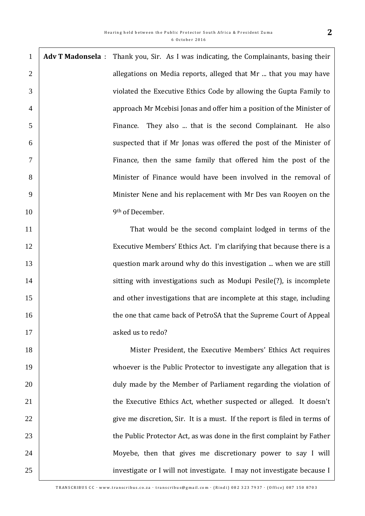| 1              | <b>Adv T Madonsela</b> : Thank you, Sir. As I was indicating, the Complainants, basing their |
|----------------|----------------------------------------------------------------------------------------------|
| 2              | allegations on Media reports, alleged that Mr  that you may have                             |
| 3              | violated the Executive Ethics Code by allowing the Gupta Family to                           |
| $\overline{4}$ | approach Mr Mcebisi Jonas and offer him a position of the Minister of                        |
| 5              | They also  that is the second Complainant. He also<br>Finance.                               |
| 6              | suspected that if Mr Jonas was offered the post of the Minister of                           |
| $\overline{7}$ | Finance, then the same family that offered him the post of the                               |
| 8              | Minister of Finance would have been involved in the removal of                               |
| 9              | Minister Nene and his replacement with Mr Des van Rooyen on the                              |
| 10             | 9 <sup>th</sup> of December.                                                                 |
| 11             | That would be the second complaint lodged in terms of the                                    |

 Executive Members' Ethics Act. I'm clarifying that because there is a question mark around why do this investigation ... when we are still 14 | sitting with investigations such as Modupi Pesile(?), is incomplete 15 15 and other investigations that are incomplete at this stage, including **the one that came back of PetroSA that the Supreme Court of Appeal** 17 asked us to redo?

 Mister President, the Executive Members' Ethics Act requires 19 Whoever is the Public Protector to investigate any allegation that is **duly made by the Member of Parliament regarding the violation of the Executive Ethics Act, whether suspected or alleged.** It doesn't 22 give me discretion, Sir. It is a must. If the report is filed in terms of **the Public Protector Act, as was done in the first complaint by Father** 24 Moyebe, then that gives me discretionary power to say I will 25 | investigate or I will not investigate. I may not investigate because I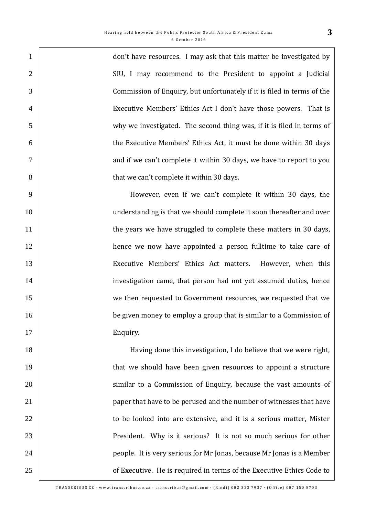don't have resources. I may ask that this matter be investigated by SIU, I may recommend to the President to appoint a Judicial Commission of Enquiry, but unfortunately if it is filed in terms of the Executive Members' Ethics Act I don't have those powers. That is why we investigated. The second thing was, if it is filed in terms of the Executive Members' Ethics Act, it must be done within 30 days **Fig. 2** and if we can't complete it within 30 days, we have to report to you **b** that we can't complete it within 30 days.

 However, even if we can't complete it within 30 days, the 10 10 anderstanding is that we should complete it soon thereafter and over **the years we have struggled to complete these matters in 30 days,** 12 hence we now have appointed a person fulltime to take care of Executive Members' Ethics Act matters. However, when this investigation came, that person had not yet assumed duties, hence we then requested to Government resources, we requested that we **be given money to employ a group that is similar to a Commission of** 17 Enquiry.

 Having done this investigation, I do believe that we were right, that we should have been given resources to appoint a structure **Solution** 1 similar to a Commission of Enquiry, because the vast amounts of **paper that have to be perused and the number of witnesses that have to be looked into are extensive, and it is a serious matter, Mister** 23 President. Why is it serious? It is not so much serious for other people. It is very serious for Mr Jonas, because Mr Jonas is a Member **Fig. 25** of Executive. He is required in terms of the Executive Ethics Code to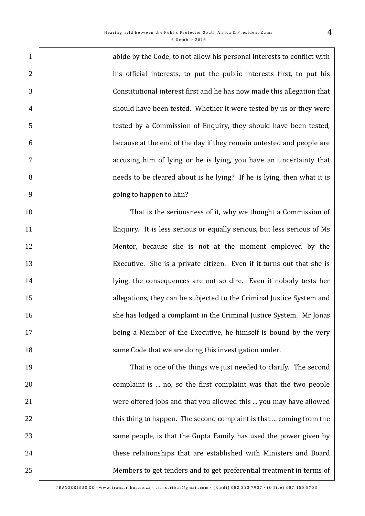1 abide by the Code, to not allow his personal interests to conflict with 2 his official interests, to put the public interests first, to put his Constitutional interest first and he has now made this allegation that 4 should have been tested. Whether it were tested by us or they were tested by a Commission of Enquiry, they should have been tested, because at the end of the day if they remain untested and people are accusing him of lying or he is lying, you have an uncertainty that needs to be cleared about is he lying? If he is lying, then what it is going to happen to him?

 That is the seriousness of it, why we thought a Commission of Enquiry. It is less serious or equally serious, but less serious of Ms Mentor, because she is not at the moment employed by the Executive. She is a private citizen. Even if it turns out that she is lying, the consequences are not so dire. Even if nobody tests her **allegations**, they can be subjected to the Criminal Justice System and 16 She has lodged a complaint in the Criminal Justice System. Mr Jonas 17 being a Member of the Executive, he himself is bound by the very **Same Code that we are doing this investigation under.** The same Code that we are doing this investigation under.

 That is one of the things we just needed to clarify. The second **complaint is ... no, so the first complaint was that the two people**  were offered jobs and that you allowed this ... you may have allowed 22 1 **Same people, is that the Gupta Family has used the power given by** same people, is that the Gupta Family has used the power given by **these relationships that are established with Ministers and Board** Members to get tenders and to get preferential treatment in terms of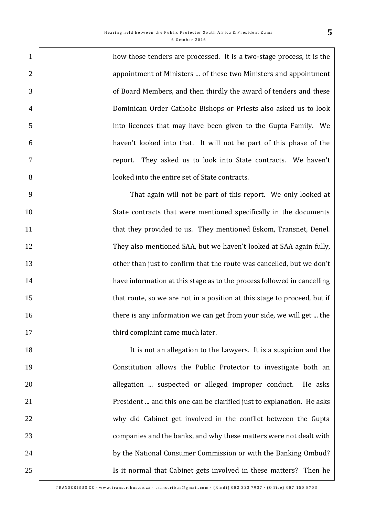how those tenders are processed. It is a two-stage process, it is the 2 2 **appointment of Ministers ... of these two Ministers and appointment**  of Board Members, and then thirdly the award of tenders and these Dominican Order Catholic Bishops or Priests also asked us to look into licences that may have been given to the Gupta Family. We haven't looked into that. It will not be part of this phase of the report. They asked us to look into State contracts. We haven't looked into the entire set of State contracts.

 That again will not be part of this report. We only looked at State contracts that were mentioned specifically in the documents 11 | that they provided to us. They mentioned Eskom, Transnet, Denel. 12 They also mentioned SAA, but we haven't looked at SAA again fully, **13** other than just to confirm that the route was cancelled, but we don't **have information at this stage as to the process followed in cancelling** 15 that route, so we are not in a position at this stage to proceed, but if **there is any information we can get from your side, we will get ... the third complaint came much later.** 

18 | It is not an allegation to the Lawyers. It is a suspicion and the Constitution allows the Public Protector to investigate both an **allegation** ... suspected or alleged improper conduct. He asks **President ... and this one can be clarified just to explanation. He asks**  why did Cabinet get involved in the conflict between the Gupta **Fig. 23** companies and the banks, and why these matters were not dealt with **by the National Consumer Commission or with the Banking Ombud?** 25 | Is it normal that Cabinet gets involved in these matters? Then he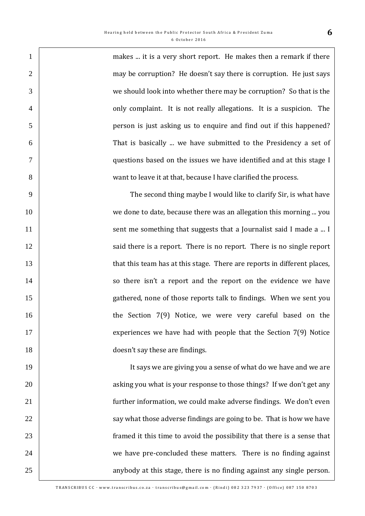1 | makes ... it is a very short report. He makes then a remark if there 2 may be corruption? He doesn't say there is corruption. He just says we should look into whether there may be corruption? So that is the 4 | only complaint. It is not really allegations. It is a suspicion. The person is just asking us to enquire and find out if this happened? That is basically ... we have submitted to the Presidency a set of questions based on the issues we have identified and at this stage I want to leave it at that, because I have clarified the process.

9 The second thing maybe I would like to clarify Sir, is what have 10 we done to date, because there was an allegation this morning ... you 11 Sent me something that suggests that a Journalist said I made a ... I 12 | said there is a report. There is no report. There is no single report 13 that this team has at this stage. There are reports in different places, 14 | so there isn't a report and the report on the evidence we have 15 gathered, none of those reports talk to findings. When we sent you 16 | the Section 7(9) Notice, we were very careful based on the 17 **EXECUTE:** EXPERIENCES we have had with people that the Section 7(9) Notice 18 **doesn't say these are findings.** 

19 It says we are giving you a sense of what do we have and we are 20 20 asking you what is your response to those things? If we don't get any 21 **function** further information, we could make adverse findings. We don't even 22  $\parallel$  say what those adverse findings are going to be. That is how we have 23 **framed it this time to avoid the possibility that there is a sense that** 24 we have pre-concluded these matters. There is no finding against 25 25 anybody at this stage, there is no finding against any single person.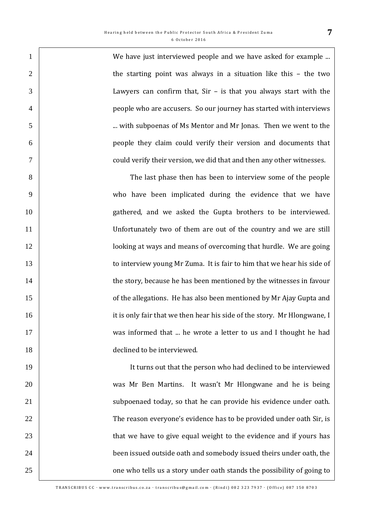1 Ne have just interviewed people and we have asked for example ... 2 the starting point was always in a situation like this – the two Lawyers can confirm that, Sir – is that you always start with the people who are accusers. So our journey has started with interviews ... with subpoenas of Ms Mentor and Mr Jonas. Then we went to the people they claim could verify their version and documents that could verify their version, we did that and then any other witnesses.

 The last phase then has been to interview some of the people who have been implicated during the evidence that we have gathered, and we asked the Gupta brothers to be interviewed. Unfortunately two of them are out of the country and we are still **lack looking at ways and means of overcoming that hurdle. We are going to interview young Mr Zuma.** It is fair to him that we hear his side of 14 the story, because he has been mentioned by the witnesses in favour **of the allegations.** He has also been mentioned by Mr Ajay Gupta and **ightarrow it is only fair that we then hear his side of the story. Mr Hlongwane, I** 17 Was informed that ... he wrote a letter to us and I thought he had **declined to be interviewed.** 

19 It turns out that the person who had declined to be interviewed 20 was Mr Ben Martins. It wasn't Mr Hlongwane and he is being 21 | subpoenaed today, so that he can provide his evidence under oath. 22 The reason everyone's evidence has to be provided under oath Sir, is 23 1 24 **been issued outside oath and somebody issued theirs under oath, the** 25 25 one who tells us a story under oath stands the possibility of going to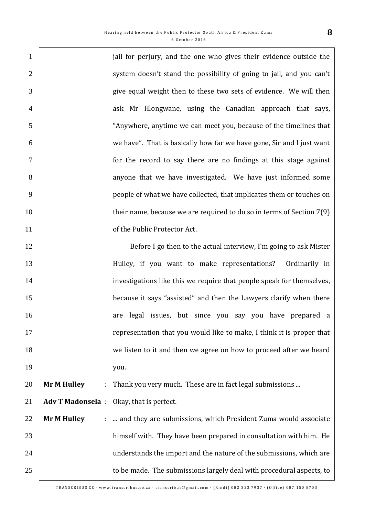| $\mathbf{1}$   |                         | jail for perjury, and the one who gives their evidence outside the    |
|----------------|-------------------------|-----------------------------------------------------------------------|
| $\overline{2}$ |                         | system doesn't stand the possibility of going to jail, and you can't  |
| 3              |                         | give equal weight then to these two sets of evidence. We will then    |
| $\overline{4}$ |                         | ask Mr Hlongwane, using the Canadian approach that says,              |
| 5              |                         | "Anywhere, anytime we can meet you, because of the timelines that     |
| 6              |                         | we have". That is basically how far we have gone, Sir and I just want |
| $\tau$         |                         | for the record to say there are no findings at this stage against     |
| 8              |                         | anyone that we have investigated. We have just informed some          |
| 9              |                         | people of what we have collected, that implicates them or touches on  |
| 10             |                         | their name, because we are required to do so in terms of Section 7(9) |
| 11             |                         | of the Public Protector Act.                                          |
| 12             |                         | Before I go then to the actual interview, I'm going to ask Mister     |
| 13             |                         | Hulley, if you want to make representations?<br>Ordinarily in         |
| 14             |                         | investigations like this we require that people speak for themselves, |
| 15             |                         | because it says "assisted" and then the Lawyers clarify when there    |
| 16             |                         | are legal issues, but since you say you have prepared a               |
| 17             |                         | representation that you would like to make, I think it is proper that |
| 18             |                         | we listen to it and then we agree on how to proceed after we heard    |
| 19             |                         | you.                                                                  |
| 20             | <b>Mr M Hulley</b>      | Thank you very much. These are in fact legal submissions              |
| 21             | <b>Adv T Madonsela:</b> | Okay, that is perfect.                                                |
| 22             | <b>Mr M Hulley</b>      | and they are submissions, which President Zuma would associate        |
| 23             |                         | himself with. They have been prepared in consultation with him. He    |
| 24             |                         | understands the import and the nature of the submissions, which are   |
| 25             |                         | to be made. The submissions largely deal with procedural aspects, to  |
|                |                         |                                                                       |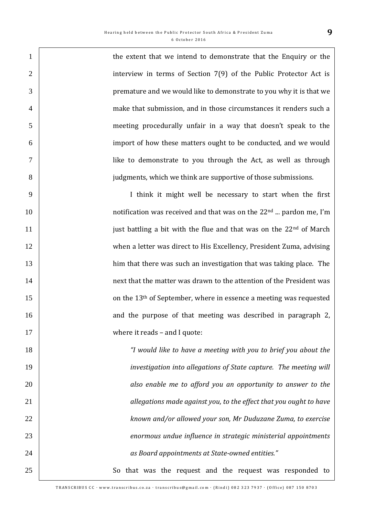1 the extent that we intend to demonstrate that the Enquiry or the 2 interview in terms of Section 7(9) of the Public Protector Act is premature and we would like to demonstrate to you why it is that we make that submission, and in those circumstances it renders such a meeting procedurally unfair in a way that doesn't speak to the import of how these matters ought to be conducted, and we would like to demonstrate to you through the Act, as well as through judgments, which we think are supportive of those submissions. I think it might well be necessary to start when the first  $\parallel$  10  $\parallel$  10  $\parallel$  10  $\parallel$  22nd  $\parallel$  notification was received and that was on the 22<sup>nd</sup> ... pardon me, I'm 11 just battling a bit with the flue and that was on the  $22<sup>nd</sup>$  of March when a letter was direct to His Excellency, President Zuma, advising him that there was such an investigation that was taking place. The **14 next that the matter was drawn to the attention of the President was 15** on the 13<sup>th</sup> of September, where in essence a meeting was requested **16** and the purpose of that meeting was described in paragraph 2, 17 Where it reads – and I quote: *"I would like to have a meeting with you to brief you about the investigation into allegations of State capture. The meeting will also enable me to afford you an opportunity to answer to the allegations made against you, to the effect that you ought to have known and/or allowed your son, Mr Duduzane Zuma, to exercise enormous undue influence in strategic ministerial appointments as Board appointments at State-owned entities."*  25 So that was the request and the request was responded to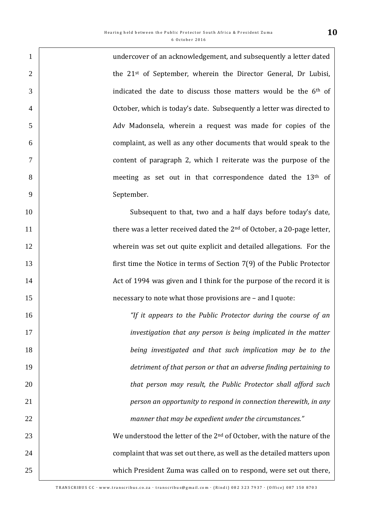undercover of an acknowledgement, and subsequently a letter dated  $\vert$  the 21st of September, wherein the Director General, Dr Lubisi,  $\overline{3}$  indicated the date to discuss those matters would be the 6<sup>th</sup> of October, which is today's date. Subsequently a letter was directed to Adv Madonsela, wherein a request was made for copies of the complaint, as well as any other documents that would speak to the content of paragraph 2, which I reiterate was the purpose of the 8 meeting as set out in that correspondence dated the 13<sup>th</sup> of 9 September.

10 Subsequent to that, two and a half days before today's date.  $\parallel$  there was a letter received dated the  $2<sup>nd</sup>$  of October, a 20-page letter, wherein was set out quite explicit and detailed allegations. For the first time the Notice in terms of Section 7(9) of the Public Protector 14 14 Act of 1994 was given and I think for the purpose of the record it is **15 necessary to note what those provisions are – and I quote:** 

 *"If it appears to the Public Protector during the course of an investigation that any person is being implicated in the matter being investigated and that such implication may be to the detriment of that person or that an adverse finding pertaining to that person may result, the Public Protector shall afford such person an opportunity to respond in connection therewith, in any manner that may be expedient under the circumstances."* 

23 We understood the letter of the  $2<sup>nd</sup>$  of October, with the nature of the 24 24 complaint that was set out there, as well as the detailed matters upon 25 which President Zuma was called on to respond, were set out there,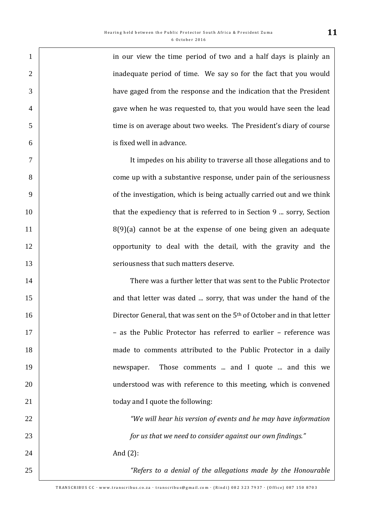| $\mathbf{1}$   | in our view the time period of two and a half days is plainly an                     |
|----------------|--------------------------------------------------------------------------------------|
| $\overline{2}$ | inadequate period of time. We say so for the fact that you would                     |
| 3              | have gaged from the response and the indication that the President                   |
| $\overline{4}$ | gave when he was requested to, that you would have seen the lead                     |
| 5              | time is on average about two weeks. The President's diary of course                  |
| 6              | is fixed well in advance.                                                            |
| $\overline{7}$ | It impedes on his ability to traverse all those allegations and to                   |
| 8              | come up with a substantive response, under pain of the seriousness                   |
| 9              | of the investigation, which is being actually carried out and we think               |
| 10             | that the expediency that is referred to in Section 9  sorry, Section                 |
| 11             | $8(9)(a)$ cannot be at the expense of one being given an adequate                    |
| 12             | opportunity to deal with the detail, with the gravity and the                        |
| 13             | seriousness that such matters deserve.                                               |
| 14             | There was a further letter that was sent to the Public Protector                     |
| 15             | and that letter was dated  sorry, that was under the hand of the                     |
| 16             | Director General, that was sent on the 5 <sup>th</sup> of October and in that letter |
| 17             | - as the Public Protector has referred to earlier - reference was                    |
| 18             | made to comments attributed to the Public Protector in a daily                       |
| 19             | Those comments  and I quote  and this we<br>newspaper.                               |
| 20             | understood was with reference to this meeting, which is convened                     |
| 21             | today and I quote the following:                                                     |
| 22             | "We will hear his version of events and he may have information                      |
| 23             | for us that we need to consider against our own findings."                           |
| 24             | And $(2)$ :                                                                          |
| 25             | "Refers to a denial of the allegations made by the Honourable                        |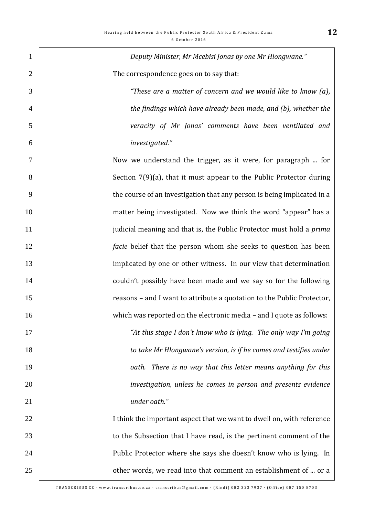| $\mathbf{1}$   | Deputy Minister, Mr Mcebisi Jonas by one Mr Hlongwane."                     |
|----------------|-----------------------------------------------------------------------------|
| $\overline{2}$ | The correspondence goes on to say that:                                     |
| 3              | "These are a matter of concern and we would like to know (a),               |
| $\overline{4}$ | the findings which have already been made, and (b), whether the             |
| 5              | veracity of Mr Jonas' comments have been ventilated and                     |
| 6              | investigated."                                                              |
| 7              | Now we understand the trigger, as it were, for paragraph  for               |
| 8              | Section $7(9)(a)$ , that it must appear to the Public Protector during      |
| 9              | the course of an investigation that any person is being implicated in a     |
| 10             | matter being investigated. Now we think the word "appear" has a             |
| 11             | judicial meaning and that is, the Public Protector must hold a <i>prima</i> |
| 12             | <i>facie</i> belief that the person whom she seeks to question has been     |
| 13             | implicated by one or other witness. In our view that determination          |
| 14             | couldn't possibly have been made and we say so for the following            |
| 15             | reasons - and I want to attribute a quotation to the Public Protector,      |
| 16             | which was reported on the electronic media - and I quote as follows:        |
| 17             | "At this stage I don't know who is lying. The only way I'm going            |
| 18             | to take Mr Hlongwane's version, is if he comes and testifies under          |
| 19             | oath. There is no way that this letter means anything for this              |
| 20             | investigation, unless he comes in person and presents evidence              |
| 21             | under oath."                                                                |
| 22             | I think the important aspect that we want to dwell on, with reference       |
| 23             | to the Subsection that I have read, is the pertinent comment of the         |
| 24             | Public Protector where she says she doesn't know who is lying. In           |
| 25             | other words, we read into that comment an establishment of  or a            |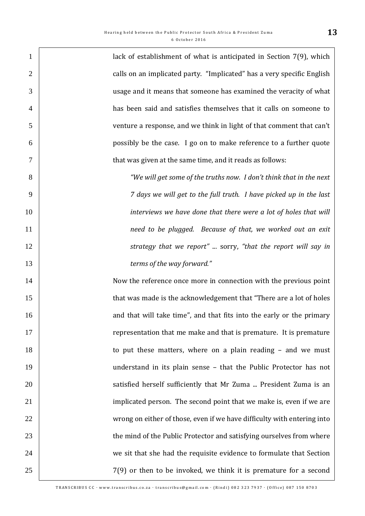| $\mathbf{1}$   | lack of establishment of what is anticipated in Section 7(9), which     |
|----------------|-------------------------------------------------------------------------|
| $\overline{2}$ | calls on an implicated party. "Implicated" has a very specific English  |
| 3              | usage and it means that someone has examined the veracity of what       |
| $\overline{4}$ | has been said and satisfies themselves that it calls on someone to      |
| 5              | venture a response, and we think in light of that comment that can't    |
| 6              | possibly be the case. I go on to make reference to a further quote      |
| $\tau$         | that was given at the same time, and it reads as follows:               |
| 8              | "We will get some of the truths now. I don't think that in the next     |
| 9              | 7 days we will get to the full truth. I have picked up in the last      |
| 10             | interviews we have done that there were a lot of holes that will        |
| 11             | need to be plugged. Because of that, we worked out an exit              |
| 12             | strategy that we report"  sorry, "that the report will say in           |
| 13             | terms of the way forward."                                              |
| 14             | Now the reference once more in connection with the previous point       |
| 15             | that was made is the acknowledgement that "There are a lot of holes     |
| 16             | and that will take time", and that fits into the early or the primary   |
| 17             | representation that me make and that is premature. It is premature      |
| 18             | to put these matters, where on a plain reading - and we must            |
| 19             | understand in its plain sense - that the Public Protector has not       |
| 20             | satisfied herself sufficiently that Mr Zuma  President Zuma is an       |
| 21             | implicated person. The second point that we make is, even if we are     |
| 22             | wrong on either of those, even if we have difficulty with entering into |
| 23             | the mind of the Public Protector and satisfying ourselves from where    |
| 24             | we sit that she had the requisite evidence to formulate that Section    |
| 25             | $7(9)$ or then to be invoked, we think it is premature for a second     |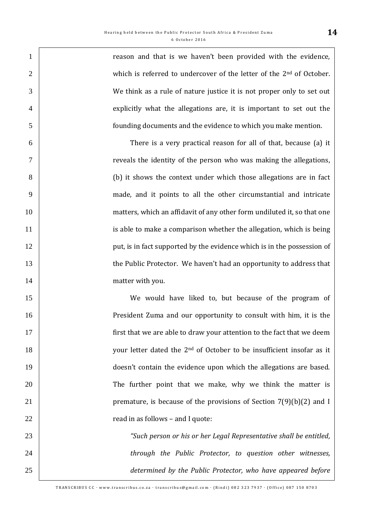| $\mathbf{1}$   | reason and that is we haven't been provided with the evidence,                    |
|----------------|-----------------------------------------------------------------------------------|
| $\overline{2}$ | which is referred to undercover of the letter of the 2 <sup>nd</sup> of October.  |
| 3              | We think as a rule of nature justice it is not proper only to set out             |
| $\overline{4}$ | explicitly what the allegations are, it is important to set out the               |
| 5              | founding documents and the evidence to which you make mention.                    |
| 6              | There is a very practical reason for all of that, because (a) it                  |
| $\overline{7}$ | reveals the identity of the person who was making the allegations,                |
| 8              | (b) it shows the context under which those allegations are in fact                |
| 9              | made, and it points to all the other circumstantial and intricate                 |
| 10             | matters, which an affidavit of any other form undiluted it, so that one           |
| 11             | is able to make a comparison whether the allegation, which is being               |
| 12             | put, is in fact supported by the evidence which is in the possession of           |
| 13             | the Public Protector. We haven't had an opportunity to address that               |
| 14             | matter with you.                                                                  |
| 15             | We would have liked to, but because of the program of                             |
| 16             | President Zuma and our opportunity to consult with him, it is the                 |
| 17             | first that we are able to draw your attention to the fact that we deem            |
| 18             | your letter dated the 2 <sup>nd</sup> of October to be insufficient insofar as it |
| 19             | doesn't contain the evidence upon which the allegations are based.                |
| 20             | The further point that we make, why we think the matter is                        |
| 21             | premature, is because of the provisions of Section $7(9)(b)(2)$ and I             |
| 22             | read in as follows - and I quote:                                                 |
| 23             | "Such person or his or her Legal Representative shall be entitled,                |
| 24             | through the Public Protector, to question other witnesses,                        |
| 25             | determined by the Public Protector, who have appeared before                      |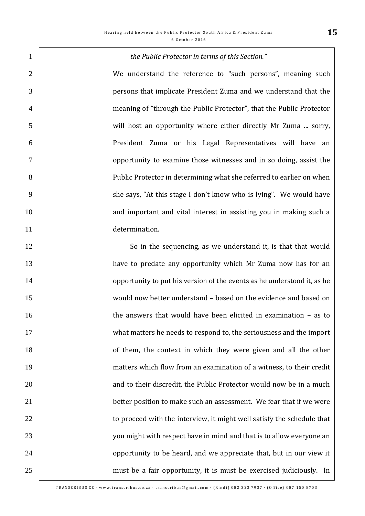| $\mathbf{1}$   | the Public Protector in terms of this Section."                         |
|----------------|-------------------------------------------------------------------------|
| $\overline{2}$ | We understand the reference to "such persons", meaning such             |
| 3              | persons that implicate President Zuma and we understand that the        |
| $\overline{4}$ | meaning of "through the Public Protector", that the Public Protector    |
| 5              | will host an opportunity where either directly Mr Zuma  sorry,          |
| 6              | President Zuma or his Legal Representatives will have an                |
| $\tau$         | opportunity to examine those witnesses and in so doing, assist the      |
| 8              | Public Protector in determining what she referred to earlier on when    |
| 9              | she says, "At this stage I don't know who is lying". We would have      |
| 10             | and important and vital interest in assisting you in making such a      |
| 11             | determination.                                                          |
| 12             | So in the sequencing, as we understand it, is that that would           |
| 13             | have to predate any opportunity which Mr Zuma now has for an            |
| 14             | opportunity to put his version of the events as he understood it, as he |
| 15             | would now better understand - based on the evidence and based on        |
| 16             | the answers that would have been elicited in examination $-$ as to      |
| 17             | what matters he needs to respond to, the seriousness and the import     |
| 18             | of them, the context in which they were given and all the other         |
| 19             | matters which flow from an examination of a witness, to their credit    |
| 20             | and to their discredit, the Public Protector would now be in a much     |
| 21             | better position to make such an assessment. We fear that if we were     |
| 22             | to proceed with the interview, it might well satisfy the schedule that  |
| 23             | you might with respect have in mind and that is to allow everyone an    |
| 24             | opportunity to be heard, and we appreciate that, but in our view it     |
| 25             | must be a fair opportunity, it is must be exercised judiciously. In     |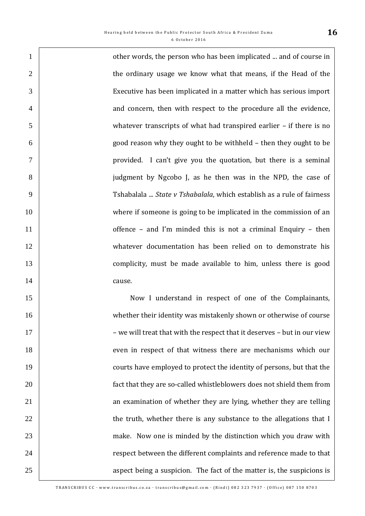**1 constructs** other words, the person who has been implicated ... and of course in 2 the ordinary usage we know what that means, if the Head of the Executive has been implicated in a matter which has serious import 4 and concern, then with respect to the procedure all the evidence, whatever transcripts of what had transpired earlier – if there is no good reason why they ought to be withheld – then they ought to be provided. I can't give you the quotation, but there is a seminal judgment by Ngcobo J, as he then was in the NPD, the case of Tshabalala ... *State v Tshabalala*, which establish as a rule of fairness 10 where if someone is going to be implicated in the commission of an **b** offence – and I'm minded this is not a criminal Enquiry – then whatever documentation has been relied on to demonstrate his **complicity**, must be made available to him, unless there is good 14 cause. Now I understand in respect of one of the Complainants, whether their identity was mistakenly shown or otherwise of course 17 | we will treat that with the respect that it deserves – but in our view 18 even in respect of that witness there are mechanisms which our **Fig. 2.1** courts have employed to protect the identity of persons, but that the **fact that they are so-called whistleblowers does not shield them from** 21 21 21 an examination of whether they are lying, whether they are telling 22 1 23 make. Now one is minded by the distinction which you draw with **24 respect between the different complaints and reference made to that**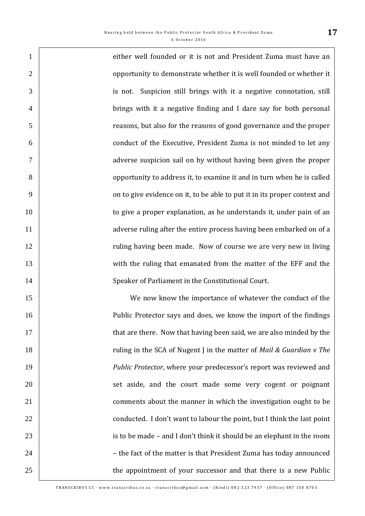| $\mathbf{1}$   | either well founded or it is not and President Zuma must have an          |
|----------------|---------------------------------------------------------------------------|
| $\overline{2}$ | opportunity to demonstrate whether it is well founded or whether it       |
| 3              | Suspicion still brings with it a negative connotation, still<br>is not.   |
| $\overline{4}$ | brings with it a negative finding and I dare say for both personal        |
| 5              | reasons, but also for the reasons of good governance and the proper       |
| 6              | conduct of the Executive, President Zuma is not minded to let any         |
| $\overline{7}$ | adverse suspicion sail on by without having been given the proper         |
| 8              | opportunity to address it, to examine it and in turn when he is called    |
| 9              | on to give evidence on it, to be able to put it in its proper context and |
| 10             | to give a proper explanation, as he understands it, under pain of an      |
| 11             | adverse ruling after the entire process having been embarked on of a      |
| 12             | ruling having been made. Now of course we are very new in living          |
| 13             | with the ruling that emanated from the matter of the EFF and the          |
| 14             | Speaker of Parliament in the Constitutional Court.                        |
| 15             | We now know the importance of whatever the conduct of the                 |
| 16             | Public Protector says and does, we know the import of the findings        |
| 17             | that are there. Now that having been said, we are also minded by the      |
| 18             | ruling in the SCA of Nugent J in the matter of Mail & Guardian v The      |
| 19             | Public Protector, where your predecessor's report was reviewed and        |
| 20             | set aside, and the court made some very cogent or poignant                |
| 21             | comments about the manner in which the investigation ought to be          |
| 22             | conducted. I don't want to labour the point, but I think the last point   |
| 23             | is to be made – and I don't think it should be an elephant in the room    |
| 24             | - the fact of the matter is that President Zuma has today announced       |
| 25             | the appointment of your successor and that there is a new Public          |

 $\mathsf{l}$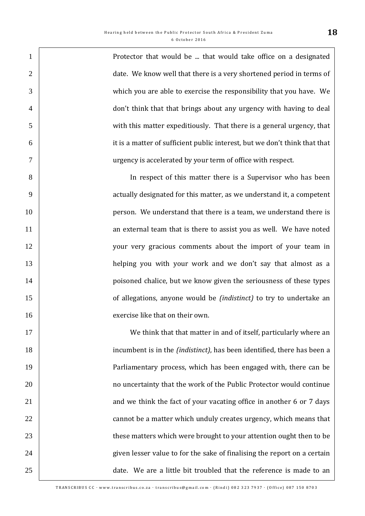Protector that would be ... that would take office on a designated 2 date. We know well that there is a very shortened period in terms of which you are able to exercise the responsibility that you have. We 4 don't think that that brings about any urgency with having to deal with this matter expeditiously. That there is a general urgency, that it is a matter of sufficient public interest, but we don't think that that urgency is accelerated by your term of office with respect. In respect of this matter there is a Supervisor who has been actually designated for this matter, as we understand it, a competent 10 person. We understand that there is a team, we understand there is 11 1 an external team that is there to assist you as well. We have noted 12 your very gracious comments about the import of your team in helping you with your work and we don't say that almost as a **poisoned chalice, but we know given the seriousness of these types of allegations, anyone would be** *(indistinct)* to try to undertake an **Exercise** like that on their own. We think that that matter in and of itself, particularly where an incumbent is in the *(indistinct)*, has been identified, there has been a Parliamentary process, which has been engaged with, there can be no uncertainty that the work of the Public Protector would continue 21 21 21 and we think the fact of your vacating office in another 6 or 7 days 22 2 cannot be a matter which unduly creates urgency, which means that **these matters which were brought to your attention ought then to be** 24 24 given lesser value to for the sake of finalising the report on a certain 25 date. We are a little bit troubled that the reference is made to an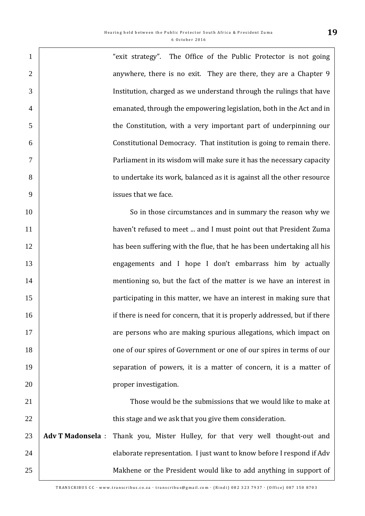$\Gamma$ 

| $\mathbf{1}$   |                         | "exit strategy". The Office of the Public Protector is not going          |
|----------------|-------------------------|---------------------------------------------------------------------------|
| $\overline{2}$ |                         | anywhere, there is no exit. They are there, they are a Chapter 9          |
| 3              |                         | Institution, charged as we understand through the rulings that have       |
| $\overline{4}$ |                         | emanated, through the empowering legislation, both in the Act and in      |
| 5              |                         | the Constitution, with a very important part of underpinning our          |
| 6              |                         | Constitutional Democracy. That institution is going to remain there.      |
| $\overline{7}$ |                         | Parliament in its wisdom will make sure it has the necessary capacity     |
| 8              |                         | to undertake its work, balanced as it is against all the other resource   |
| 9              |                         | issues that we face.                                                      |
| 10             |                         | So in those circumstances and in summary the reason why we                |
| 11             |                         | haven't refused to meet  and I must point out that President Zuma         |
| 12             |                         | has been suffering with the flue, that he has been undertaking all his    |
| 13             |                         | engagements and I hope I don't embarrass him by actually                  |
| 14             |                         | mentioning so, but the fact of the matter is we have an interest in       |
| 15             |                         | participating in this matter, we have an interest in making sure that     |
| 16             |                         | if there is need for concern, that it is properly addressed, but if there |
| 17             |                         | are persons who are making spurious allegations, which impact on          |
| 18             |                         | one of our spires of Government or one of our spires in terms of our      |
| 19             |                         | separation of powers, it is a matter of concern, it is a matter of        |
| 20             |                         | proper investigation.                                                     |
| 21             |                         | Those would be the submissions that we would like to make at              |
| 22             |                         | this stage and we ask that you give them consideration.                   |
| 23             | <b>Adv T Madonsela:</b> | Thank you, Mister Hulley, for that very well thought-out and              |
| 24             |                         | elaborate representation. I just want to know before I respond if Adv     |
| 25             |                         | Makhene or the President would like to add anything in support of         |
|                |                         |                                                                           |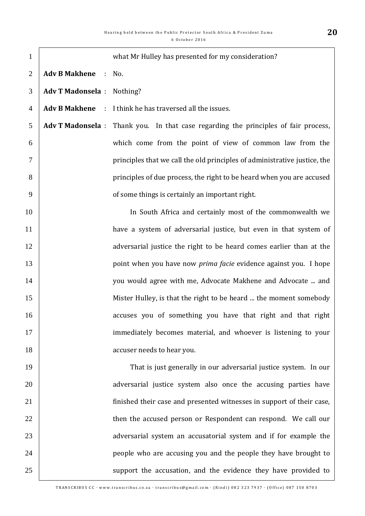| $\mathbf{1}$   |                                   | what Mr Hulley has presented for my consideration?                                  |
|----------------|-----------------------------------|-------------------------------------------------------------------------------------|
| $\overline{2}$ | Adv B Makhene : No.               |                                                                                     |
| 3              | <b>Adv T Madonsela</b> : Nothing? |                                                                                     |
| $\overline{4}$ |                                   | <b>Adv B Makhene</b> : I think he has traversed all the issues.                     |
| 5              |                                   | Adv T Madonsela : Thank you. In that case regarding the principles of fair process, |
| 6              |                                   | which come from the point of view of common law from the                            |
| $\overline{7}$ |                                   | principles that we call the old principles of administrative justice, the           |
| 8              |                                   | principles of due process, the right to be heard when you are accused               |
| 9              |                                   | of some things is certainly an important right.                                     |
| 10             |                                   | In South Africa and certainly most of the commonwealth we                           |
| 11             |                                   | have a system of adversarial justice, but even in that system of                    |
| 12             |                                   | adversarial justice the right to be heard comes earlier than at the                 |
| 13             |                                   | point when you have now <i>prima facie</i> evidence against you. I hope             |
| 14             |                                   | you would agree with me, Advocate Makhene and Advocate  and                         |
| 15             |                                   | Mister Hulley, is that the right to be heard  the moment somebody                   |
| 16             |                                   | accuses you of something you have that right and that right                         |
| 17             |                                   | immediately becomes material, and whoever is listening to your                      |
| 18             |                                   | accuser needs to hear you.                                                          |
| 19             |                                   | That is just generally in our adversarial justice system. In our                    |
| 20             |                                   | adversarial justice system also once the accusing parties have                      |
| 21             |                                   | finished their case and presented witnesses in support of their case,               |
| 22             |                                   | then the accused person or Respondent can respond. We call our                      |
| 23             |                                   | adversarial system an accusatorial system and if for example the                    |
| 24             |                                   | people who are accusing you and the people they have brought to                     |
| 25             |                                   | support the accusation, and the evidence they have provided to                      |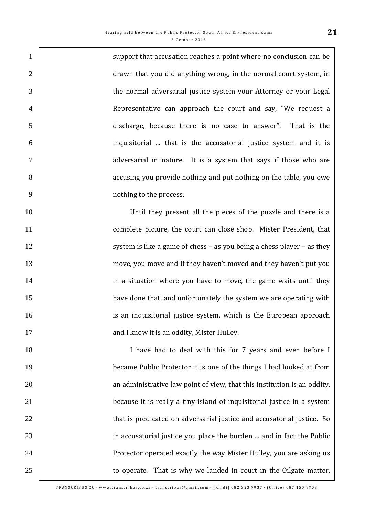1 support that accusation reaches a point where no conclusion can be **drawn** that you did anything wrong, in the normal court system, in the normal adversarial justice system your Attorney or your Legal 4 | Representative can approach the court and say, "We request a discharge, because there is no case to answer". That is the inquisitorial ... that is the accusatorial justice system and it is adversarial in nature. It is a system that says if those who are accusing you provide nothing and put nothing on the table, you owe nothing to the process.

 Until they present all the pieces of the puzzle and there is a **complete picture, the court can close shop.** Mister President, that 12 system is like a game of chess – as you being a chess player – as they move, you move and if they haven't moved and they haven't put you **in a situation where you have to move, the game waits until they have done that, and unfortunately the system we are operating with is an inquisitorial justice system, which is the European approach and I know it is an oddity, Mister Hulley.** 

18 | I have had to deal with this for 7 years and even before I became Public Protector it is one of the things I had looked at from **buyier 20** an administrative law point of view, that this institution is an oddity, because it is really a tiny island of inquisitorial justice in a system **that is predicated on adversarial justice and accusatorial justice.** So **in accusatorial justice you place the burden ... and in fact the Public Protector operated exactly the way Mister Hulley, you are asking us** 25 1 to operate. That is why we landed in court in the Oilgate matter,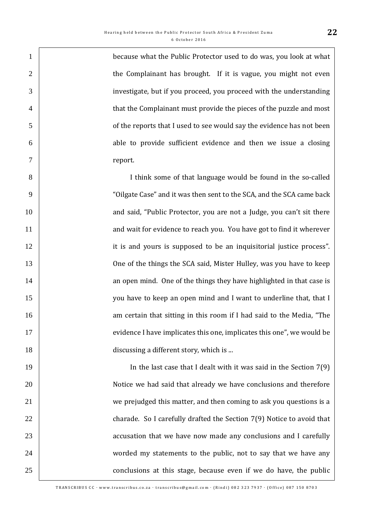1 because what the Public Protector used to do was, you look at what 2 1 3 investigate, but if you proceed, you proceed with the understanding 4 that the Complainant must provide the pieces of the puzzle and most 5 of the reports that I used to see would say the evidence has not been 6 able to provide sufficient evidence and then we issue a closing 7 report.

8 I think some of that language would be found in the so-called 9 "Oilgate Case" and it was then sent to the SCA, and the SCA came back 10 10 and said, "Public Protector, you are not a Judge, you can't sit there 11 1 and wait for evidence to reach you. You have got to find it wherever 12 **ightarrow** it is and yours is supposed to be an inquisitorial justice process". 13 **One of the things the SCA said, Mister Hulley, was you have to keep** 14 14 an open mind. One of the things they have highlighted in that case is 15 you have to keep an open mind and I want to underline that, that I 16 16 16 16 16 am certain that sitting in this room if I had said to the Media, "The 17 evidence I have implicates this one, implicates this one", we would be 18 **discussing a different story, which is ...** 

19 In the last case that I dealt with it was said in the Section 7(9) 20 Notice we had said that already we have conclusions and therefore 21 21 | we prejudged this matter, and then coming to ask you questions is a 22 **charade.** So I carefully drafted the Section 7(9) Notice to avoid that 23 **Fig. 23** accusation that we have now made any conclusions and I carefully 24 worded my statements to the public, not to say that we have any 25 25 conclusions at this stage, because even if we do have, the public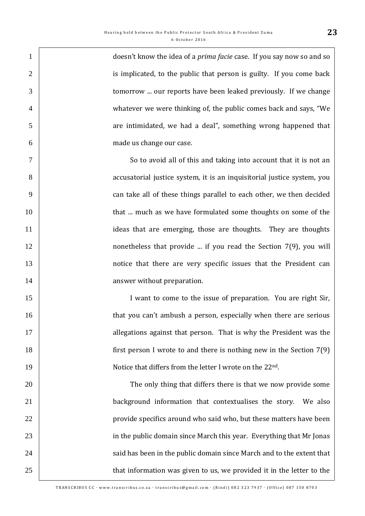| $\mathbf{1}$   | doesn't know the idea of a <i>prima facie</i> case. If you say now so and so |
|----------------|------------------------------------------------------------------------------|
| $\overline{2}$ | is implicated, to the public that person is guilty. If you come back         |
| 3              | tomorrow  our reports have been leaked previously. If we change              |
| $\overline{4}$ | whatever we were thinking of, the public comes back and says, "We            |
| 5              | are intimidated, we had a deal", something wrong happened that               |
| 6              | made us change our case.                                                     |
| $\tau$         | So to avoid all of this and taking into account that it is not an            |
| 8              | accusatorial justice system, it is an inquisitorial justice system, you      |
| 9              | can take all of these things parallel to each other, we then decided         |
| 10             | that  much as we have formulated some thoughts on some of the                |
| 11             | ideas that are emerging, those are thoughts. They are thoughts               |
| 12             | nonetheless that provide  if you read the Section $7(9)$ , you will          |
| 13             | notice that there are very specific issues that the President can            |
| 14             | answer without preparation.                                                  |
| 15             | I want to come to the issue of preparation. You are right Sir,               |
| 16             | that you can't ambush a person, especially when there are serious            |
| 17             | allegations against that person. That is why the President was the           |
| 18             | first person I wrote to and there is nothing new in the Section $7(9)$       |
| 19             | Notice that differs from the letter I wrote on the 22 <sup>nd</sup> .        |
| 20             | The only thing that differs there is that we now provide some                |
| 21             | background information that contextualises the story. We also                |
| 22             | provide specifics around who said who, but these matters have been           |
| 23             | in the public domain since March this year. Everything that Mr Jonas         |
| 24             | said has been in the public domain since March and to the extent that        |
| 25             | that information was given to us, we provided it in the letter to the        |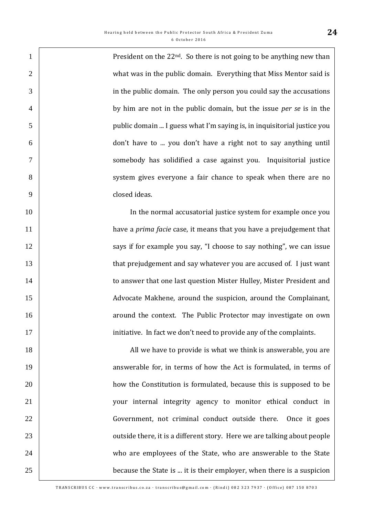1 . President on the  $22^{nd}$ . So there is not going to be anything new than 2 | what was in the public domain. Everything that Miss Mentor said is in the public domain. The only person you could say the accusations by him are not in the public domain, but the issue *per se* is in the public domain ... I guess what I'm saying is, in inquisitorial justice you don't have to ... you don't have a right not to say anything until somebody has solidified a case against you. Inquisitorial justice 8 system gives everyone a fair chance to speak when there are no closed ideas.

10 In the normal accusatorial justice system for example once you have a *prima facie* case, it means that you have a prejudgement that **Says** if for example you say, "I choose to say nothing", we can issue **that prejudgement and say whatever you are accused of.** I just want **to answer that one last question Mister Hulley, Mister President and**  Advocate Makhene, around the suspicion, around the Complainant, **16 around the context.** The Public Protector may investigate on own 17 initiative. In fact we don't need to provide any of the complaints.

18 18 All we have to provide is what we think is answerable, you are 19 1 20 how the Constitution is formulated, because this is supposed to be 21 your internal integrity agency to monitor ethical conduct in 22 Government, not criminal conduct outside there. Once it goes 23 **Fig. 23** outside there, it is a different story. Here we are talking about people 24 who are employees of the State, who are answerable to the State 25 because the State is ... it is their employer, when there is a suspicion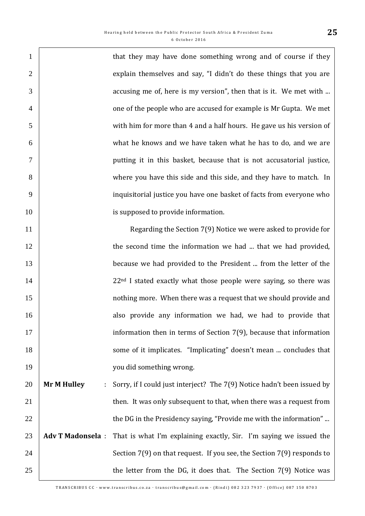| $\mathbf{1}$   |                         | that they may have done something wrong and of course if they                 |
|----------------|-------------------------|-------------------------------------------------------------------------------|
| $\overline{2}$ |                         | explain themselves and say, "I didn't do these things that you are            |
| 3              |                         | accusing me of, here is my version", then that is it. We met with             |
| $\overline{4}$ |                         | one of the people who are accused for example is Mr Gupta. We met             |
| 5              |                         | with him for more than 4 and a half hours. He gave us his version of          |
| 6              |                         | what he knows and we have taken what he has to do, and we are                 |
| $\tau$         |                         | putting it in this basket, because that is not accusatorial justice,          |
| 8              |                         | where you have this side and this side, and they have to match. In            |
| 9              |                         | inquisitorial justice you have one basket of facts from everyone who          |
| 10             |                         | is supposed to provide information.                                           |
| 11             |                         | Regarding the Section 7(9) Notice we were asked to provide for                |
| 12             |                         | the second time the information we had  that we had provided,                 |
| 13             |                         | because we had provided to the President  from the letter of the              |
| 14             |                         | 22 <sup>nd</sup> I stated exactly what those people were saying, so there was |
| 15             |                         | nothing more. When there was a request that we should provide and             |
| 16             |                         | also provide any information we had, we had to provide that                   |
| 17             |                         | information then in terms of Section $7(9)$ , because that information        |
| 18             |                         | some of it implicates. "Implicating" doesn't mean  concludes that             |
| 19             |                         | you did something wrong.                                                      |
| 20             | <b>Mr M Hulley</b>      | Sorry, if I could just interject? The 7(9) Notice hadn't been issued by       |
| 21             |                         | then. It was only subsequent to that, when there was a request from           |
| 22             |                         | the DG in the Presidency saying, "Provide me with the information"            |
| 23             | <b>Adv T Madonsela:</b> | That is what I'm explaining exactly, Sir. I'm saying we issued the            |
| 24             |                         | Section $7(9)$ on that request. If you see, the Section $7(9)$ responds to    |
| 25             |                         | the letter from the DG, it does that. The Section $7(9)$ Notice was           |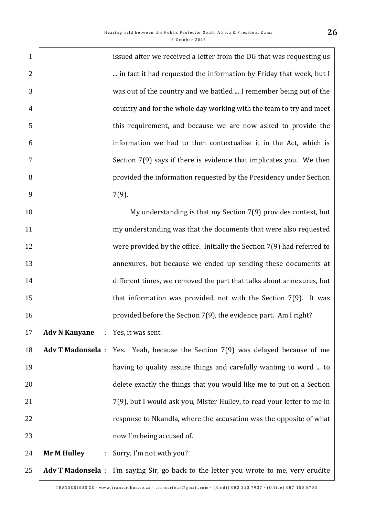|                                      | issued after we received a letter from the DG that was requesting us                  |
|--------------------------------------|---------------------------------------------------------------------------------------|
|                                      | in fact it had requested the information by Friday that week, but I                   |
|                                      | was out of the country and we battled  I remember being out of the                    |
|                                      | country and for the whole day working with the team to try and meet                   |
|                                      | this requirement, and because we are now asked to provide the                         |
|                                      | information we had to then contextualise it in the Act, which is                      |
|                                      | Section 7(9) says if there is evidence that implicates you. We then                   |
|                                      | provided the information requested by the Presidency under Section                    |
|                                      | $7(9)$ .                                                                              |
|                                      | My understanding is that my Section 7(9) provides context, but                        |
|                                      | my understanding was that the documents that were also requested                      |
|                                      | were provided by the office. Initially the Section 7(9) had referred to               |
|                                      | annexures, but because we ended up sending these documents at                         |
|                                      | different times, we removed the part that talks about annexures, but                  |
|                                      | that information was provided, not with the Section 7(9). It was                      |
|                                      | provided before the Section 7(9), the evidence part. Am I right?                      |
| Adv N Kanyane : Yes, it was sent.    |                                                                                       |
|                                      | Adv T Madonsela : Yes. Yeah, because the Section 7(9) was delayed because of me       |
|                                      | having to quality assure things and carefully wanting to word  to                     |
|                                      | delete exactly the things that you would like me to put on a Section                  |
|                                      | 7(9), but I would ask you, Mister Hulley, to read your letter to me in                |
|                                      | response to Nkandla, where the accusation was the opposite of what                    |
|                                      | now I'm being accused of.                                                             |
| <b>Mr M Hulley</b><br>$\mathbb{C}^2$ | Sorry, I'm not with you?                                                              |
|                                      | Adv T Madonsela : I'm saying Sir, go back to the letter you wrote to me, very erudite |
|                                      |                                                                                       |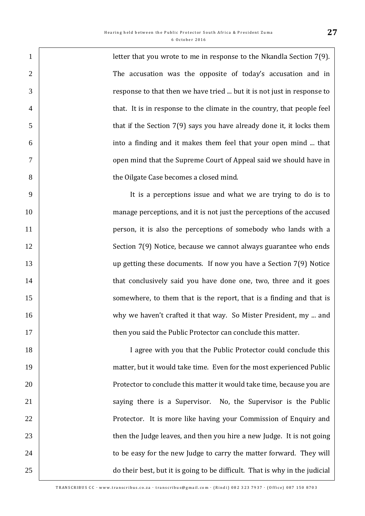**letter that you wrote to me in response to the Nkandla Section 7(9).** 2 The accusation was the opposite of today's accusation and in response to that then we have tried ... but it is not just in response to 4 that. It is in response to the climate in the country, that people feel 5 that if the Section 7(9) says you have already done it, it locks them into a finding and it makes them feel that your open mind ... that **Fig. 2.1** open mind that the Supreme Court of Appeal said we should have in the Oilgate Case becomes a closed mind.

 It is a perceptions issue and what we are trying to do is to manage perceptions, and it is not just the perceptions of the accused **person**, it is also the perceptions of somebody who lands with a 12 Section 7(9) Notice, because we cannot always guarantee who ends up getting these documents. If now you have a Section 7(9) Notice **that conclusively said you have done one, two, three and it goes** 15 Somewhere, to them that is the report, that is a finding and that is 16 why we haven't crafted it that way. So Mister President, my ... and **then you said the Public Protector can conclude this matter.** 

18 | I agree with you that the Public Protector could conclude this matter, but it would take time. Even for the most experienced Public **Protector to conclude this matter it would take time, because you are** 21 | Saying there is a Supervisor. No, the Supervisor is the Public **Protector.** It is more like having your Commission of Enquiry and 23 1 to be easy for the new Judge to carry the matter forward. They will do their best, but it is going to be difficult. That is why in the judicial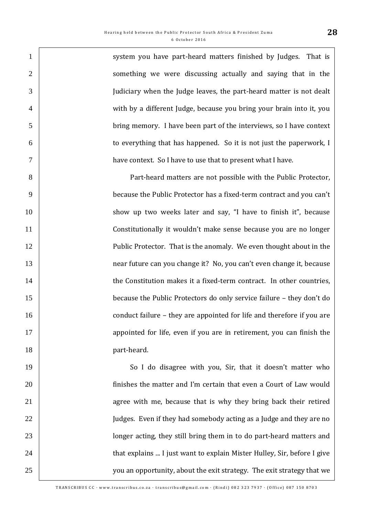1 system you have part-heard matters finished by Judges. That is 2 | something we were discussing actually and saying that in the Judiciary when the Judge leaves, the part-heard matter is not dealt with by a different Judge, because you bring your brain into it, you bring memory. I have been part of the interviews, so I have context to everything that has happened. So it is not just the paperwork, I have context. So I have to use that to present what I have.

 Part-heard matters are not possible with the Public Protector, because the Public Protector has a fixed-term contract and you can't 10 show up two weeks later and say, "I have to finish it", because Constitutionally it wouldn't make sense because you are no longer **Public Protector.** That is the anomaly. We even thought about in the near future can you change it? No, you can't even change it, because **the Constitution makes it a fixed-term contract.** In other countries, because the Public Protectors do only service failure – they don't do **conduct failure – they are appointed for life and therefore if you are appointed for life, even if you are in retirement, you can finish the part-heard.** 

19 So I do disagree with you, Sir, that it doesn't matter who **finishes the matter and I'm certain that even a Court of Law would** 21 agree with me, because that is why they bring back their retired 22 Judges. Even if they had somebody acting as a Judge and they are no 23 | longer acting, they still bring them in to do part-heard matters and **that explains ... I just want to explain Mister Hulley, Sir, before I give** 25 25 you an opportunity, about the exit strategy. The exit strategy that we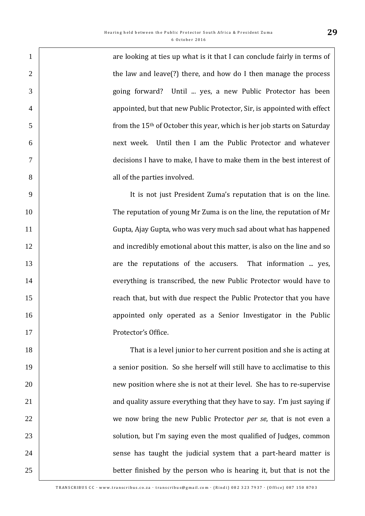1 are looking at ties up what is it that I can conclude fairly in terms of 2 the law and leave(?) there, and how do I then manage the process 3 going forward? Until ... yes, a new Public Protector has been 4 **appointed, but that new Public Protector, Sir, is appointed with effect**  $5 \parallel$  from the 15<sup>th</sup> of October this year, which is her job starts on Saturday 6 next week. Until then I am the Public Protector and whatever 7 decisions I have to make, I have to make them in the best interest of 8 all of the parties involved.

 It is not just President Zuma's reputation that is on the line. The reputation of young Mr Zuma is on the line, the reputation of Mr Gupta, Ajay Gupta, who was very much sad about what has happened **12 and incredibly emotional about this matter, is also on the line and so in the line and so** 13 are the reputations of the accusers. That information ... yes, **Example 2** everything is transcribed, the new Public Protector would have to 15 Teach that, but with due respect the Public Protector that you have **16 appointed only operated as a Senior Investigator in the Public** 17 Protector's Office.

18 | That is a level junior to her current position and she is acting at 19 19 a senior position. So she herself will still have to acclimatise to this 20 20 | 21 21 21 and quality assure everything that they have to say. I'm just saying if 22 we now bring the new Public Protector *per se*, that is not even a 23 | solution, but I'm saying even the most qualified of Judges, common 24 > 24 sense has taught the judicial system that a part-heard matter is 25 better finished by the person who is hearing it, but that is not the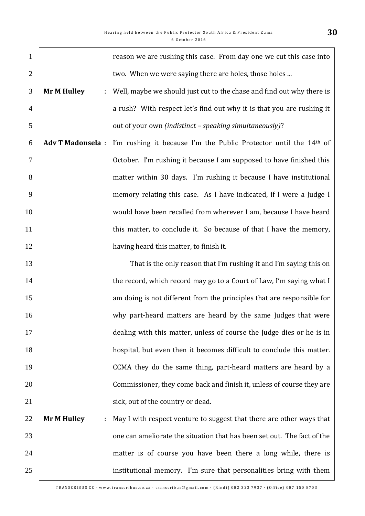| $\mathbf{1}$   |                          | reason we are rushing this case. From day one we cut this case into           |
|----------------|--------------------------|-------------------------------------------------------------------------------|
| $\overline{2}$ |                          | two. When we were saying there are holes, those holes                         |
| 3              | <b>Mr M Hulley</b><br>÷. | Well, maybe we should just cut to the chase and find out why there is         |
| $\overline{4}$ |                          | a rush? With respect let's find out why it is that you are rushing it         |
| 5              |                          | out of your own (indistinct - speaking simultaneously)?                       |
| 6              | <b>Adv T Madonsela:</b>  | I'm rushing it because I'm the Public Protector until the 14 <sup>th</sup> of |
| 7              |                          | October. I'm rushing it because I am supposed to have finished this           |
| 8              |                          | matter within 30 days. I'm rushing it because I have institutional            |
| 9              |                          | memory relating this case. As I have indicated, if I were a Judge I           |
| 10             |                          | would have been recalled from wherever I am, because I have heard             |
| 11             |                          | this matter, to conclude it. So because of that I have the memory,            |
| 12             |                          | having heard this matter, to finish it.                                       |
| 13             |                          | That is the only reason that I'm rushing it and I'm saying this on            |
| 14             |                          | the record, which record may go to a Court of Law, I'm saying what I          |
| 15             |                          | am doing is not different from the principles that are responsible for        |
| 16             |                          | why part-heard matters are heard by the same Judges that were                 |
| 17             |                          | dealing with this matter, unless of course the Judge dies or he is in         |
| 18             |                          | hospital, but even then it becomes difficult to conclude this matter.         |
| 19             |                          | CCMA they do the same thing, part-heard matters are heard by a                |
| 20             |                          | Commissioner, they come back and finish it, unless of course they are         |
| 21             |                          | sick, out of the country or dead.                                             |
| 22             | <b>Mr M Hulley</b><br>÷. | May I with respect venture to suggest that there are other ways that          |
| 23             |                          | one can ameliorate the situation that has been set out. The fact of the       |
| 24             |                          | matter is of course you have been there a long while, there is                |
| 25             |                          | institutional memory. I'm sure that personalities bring with them             |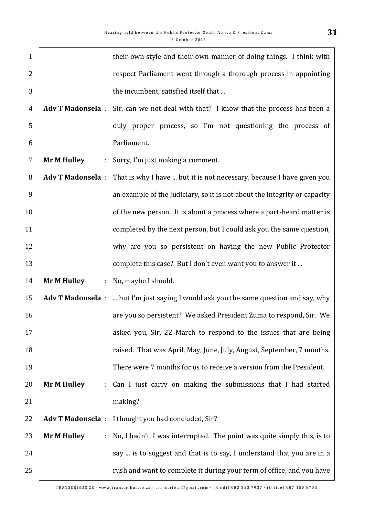| $\mathbf{1}$   |                          | their own style and their own manner of doing things. I think with                           |
|----------------|--------------------------|----------------------------------------------------------------------------------------------|
| $\overline{2}$ |                          | respect Parliament went through a thorough process in appointing                             |
| 3              |                          | the incumbent, satisfied itself that                                                         |
| $\overline{4}$ | <b>Adv T Madonsela:</b>  | Sir, can we not deal with that? I know that the process has been a                           |
| 5              |                          | duly proper process, so I'm not questioning the process of                                   |
| 6              |                          | Parliament.                                                                                  |
| $\tau$         | <b>Mr M Hulley</b>       | : Sorry, I'm just making a comment.                                                          |
| 8              | <b>Adv T Madonsela:</b>  | That is why I have  but it is not necessary, because I have given you                        |
| 9              |                          | an example of the Judiciary, so it is not about the integrity or capacity                    |
| 10             |                          | of the new person. It is about a process where a part-heard matter is                        |
| 11             |                          | completed by the next person, but I could ask you the same question,                         |
| 12             |                          | why are you so persistent on having the new Public Protector                                 |
| 13             |                          | complete this case? But I don't even want you to answer it                                   |
| 14             | <b>Mr M Hulley</b><br>÷  | No, maybe I should.                                                                          |
| 15             |                          | <b>Adv T Madonsela</b> :  but I'm just saying I would ask you the same question and say, why |
| 16             |                          | are you so persistent? We asked President Zuma to respond, Sir. We                           |
| 17             |                          | asked you, Sir, 22 March to respond to the issues that are being                             |
| 18             |                          | raised. That was April, May, June, July, August, September, 7 months.                        |
| 19             |                          | There were 7 months for us to receive a version from the President.                          |
| 20             | <b>Mr M Hulley</b><br>÷. | Can I just carry on making the submissions that I had started                                |
| 21             |                          | making?                                                                                      |
| 22             |                          | Adv T Madonsela : I thought you had concluded, Sir?                                          |
| 23             | <b>Mr M Hulley</b><br>÷  | No, I hadn't, I was interrupted. The point was quite simply this, is to                      |
| 24             |                          | say  is to suggest and that is to say, I understand that you are in a                        |
| 25             |                          | rush and want to complete it during your term of office, and you have                        |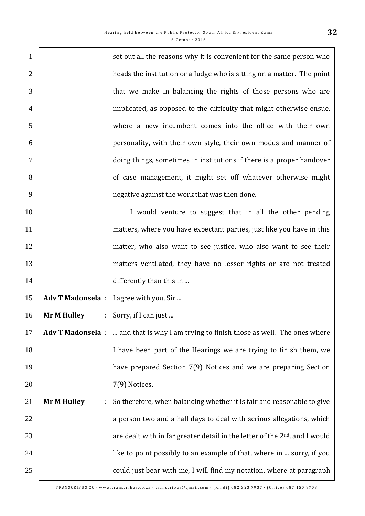| $\mathbf{1}$   |                          | set out all the reasons why it is convenient for the same person who                          |
|----------------|--------------------------|-----------------------------------------------------------------------------------------------|
| $\overline{2}$ |                          | heads the institution or a Judge who is sitting on a matter. The point                        |
| 3              |                          | that we make in balancing the rights of those persons who are                                 |
| $\overline{4}$ |                          | implicated, as opposed to the difficulty that might otherwise ensue,                          |
| 5              |                          | where a new incumbent comes into the office with their own                                    |
| 6              |                          | personality, with their own style, their own modus and manner of                              |
| 7              |                          | doing things, sometimes in institutions if there is a proper handover                         |
| 8              |                          | of case management, it might set off whatever otherwise might                                 |
| 9              |                          | negative against the work that was then done.                                                 |
| 10             |                          | I would venture to suggest that in all the other pending                                      |
| 11             |                          | matters, where you have expectant parties, just like you have in this                         |
| 12             |                          | matter, who also want to see justice, who also want to see their                              |
| 13             |                          | matters ventilated, they have no lesser rights or are not treated                             |
| 14             |                          | differently than this in                                                                      |
| 15             |                          | Adv T Madonsela : I agree with you, Sir                                                       |
| 16             | <b>Mr M Hulley</b>       | : Sorry, if I can just                                                                        |
| 17             |                          | <b>Adv T Madonsela</b> :  and that is why I am trying to finish those as well. The ones where |
| 18             |                          | I have been part of the Hearings we are trying to finish them, we                             |
| 19             |                          | have prepared Section 7(9) Notices and we are preparing Section                               |
| 20             |                          | 7(9) Notices.                                                                                 |
| 21             | <b>Mr M Hulley</b><br>÷. | So therefore, when balancing whether it is fair and reasonable to give                        |
| 22             |                          | a person two and a half days to deal with serious allegations, which                          |
| 23             |                          | are dealt with in far greater detail in the letter of the 2 <sup>nd</sup> , and I would       |
| 24             |                          | like to point possibly to an example of that, where in  sorry, if you                         |
| 25             |                          | could just bear with me, I will find my notation, where at paragraph                          |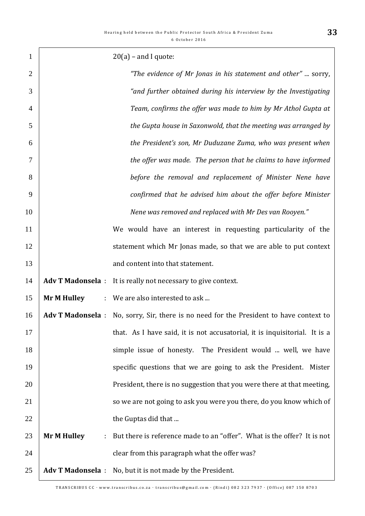| $\mathbf{1}$   |                         | $20(a)$ – and I quote:                                                                  |
|----------------|-------------------------|-----------------------------------------------------------------------------------------|
| $\overline{2}$ |                         | "The evidence of Mr Jonas in his statement and other"  sorry,                           |
| 3              |                         | "and further obtained during his interview by the Investigating                         |
| $\overline{4}$ |                         | Team, confirms the offer was made to him by Mr Athol Gupta at                           |
| 5              |                         | the Gupta house in Saxonwold, that the meeting was arranged by                          |
| 6              |                         | the President's son, Mr Duduzane Zuma, who was present when                             |
| 7              |                         | the offer was made. The person that he claims to have informed                          |
| 8              |                         | before the removal and replacement of Minister Nene have                                |
| 9              |                         | confirmed that he advised him about the offer before Minister                           |
| 10             |                         | Nene was removed and replaced with Mr Des van Rooyen."                                  |
| 11             |                         | We would have an interest in requesting particularity of the                            |
| 12             |                         | statement which Mr Jonas made, so that we are able to put context                       |
| 13             |                         | and content into that statement.                                                        |
| 14             |                         | Adv T Madonsela : It is really not necessary to give context.                           |
| 15             | <b>Mr M Hulley</b>      | : We are also interested to ask                                                         |
| 16             |                         | Adv T Madonsela : No, sorry, Sir, there is no need for the President to have context to |
| 17             |                         | that. As I have said, it is not accusatorial, it is inquisitorial. It is a              |
| 18             |                         | simple issue of honesty. The President would  well, we have                             |
| 19             |                         | specific questions that we are going to ask the President. Mister                       |
| 20             |                         | President, there is no suggestion that you were there at that meeting,                  |
| 21             |                         | so we are not going to ask you were you there, do you know which of                     |
| 22             |                         | the Guptas did that                                                                     |
| 23             | <b>Mr M Hulley</b><br>÷ | But there is reference made to an "offer". What is the offer? It is not                 |
| 24             |                         | clear from this paragraph what the offer was?                                           |
| 25             | <b>Adv T Madonsela:</b> | No, but it is not made by the President.                                                |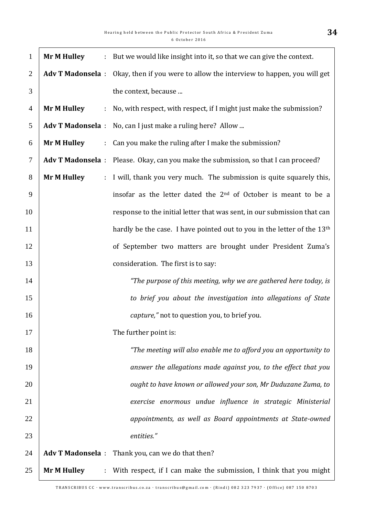| $\mathbf{1}$   | <b>Mr M Hulley</b><br>$\ddot{\phantom{a}}$        | But we would like insight into it, so that we can give the context.                     |
|----------------|---------------------------------------------------|-----------------------------------------------------------------------------------------|
| 2              |                                                   | Adv T Madonsela : Okay, then if you were to allow the interview to happen, you will get |
| 3              |                                                   | the context, because                                                                    |
| $\overline{4}$ | <b>Mr M Hulley</b><br>$\mathcal{I}^{\mathcal{I}}$ | No, with respect, with respect, if I might just make the submission?                    |
| 5              | <b>Adv T Madonsela:</b>                           | No, can I just make a ruling here? Allow                                                |
| 6              | <b>Mr M Hulley</b><br>÷.                          | Can you make the ruling after I make the submission?                                    |
| $\tau$         |                                                   | Adv T Madonsela : Please. Okay, can you make the submission, so that I can proceed?     |
| 8              | <b>Mr M Hulley</b><br>$\mathcal{L}^{\mathcal{L}}$ | I will, thank you very much. The submission is quite squarely this,                     |
| 9              |                                                   | insofar as the letter dated the 2 <sup>nd</sup> of October is meant to be a             |
| 10             |                                                   | response to the initial letter that was sent, in our submission that can                |
| 11             |                                                   | hardly be the case. I have pointed out to you in the letter of the 13 <sup>th</sup>     |
| 12             |                                                   | of September two matters are brought under President Zuma's                             |
| 13             |                                                   | consideration. The first is to say:                                                     |
| 14             |                                                   | "The purpose of this meeting, why we are gathered here today, is                        |
| 15             |                                                   | to brief you about the investigation into allegations of State                          |
| 16             |                                                   | <i>capture,"</i> not to question you, to brief you.                                     |
| 17             |                                                   | The further point is:                                                                   |
| 18             |                                                   | "The meeting will also enable me to afford you an opportunity to                        |
| 19             |                                                   | answer the allegations made against you, to the effect that you                         |
| 20             |                                                   | ought to have known or allowed your son, Mr Duduzane Zuma, to                           |
| 21             |                                                   | exercise enormous undue influence in strategic Ministerial                              |
| 22             |                                                   | appointments, as well as Board appointments at State-owned                              |
| 23             |                                                   | entities."                                                                              |
| 24             |                                                   | Adv T Madonsela : Thank you, can we do that then?                                       |
| 25             | <b>Mr M Hulley</b><br>$\mathcal{L}^{\mathcal{L}}$ | With respect, if I can make the submission, I think that you might                      |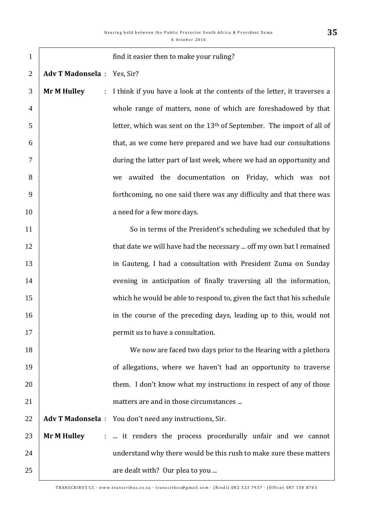| $\mathbf{1}$   |                                                   | find it easier then to make your ruling?                                          |
|----------------|---------------------------------------------------|-----------------------------------------------------------------------------------|
| $\overline{2}$ | <b>Adv T Madonsela</b> : Yes, Sir?                |                                                                                   |
| 3              | <b>Mr M Hulley</b><br>÷,                          | I think if you have a look at the contents of the letter, it traverses a          |
| $\overline{4}$ |                                                   | whole range of matters, none of which are foreshadowed by that                    |
| 5              |                                                   | letter, which was sent on the 13 <sup>th</sup> of September. The import of all of |
| 6              |                                                   | that, as we come here prepared and we have had our consultations                  |
| 7              |                                                   | during the latter part of last week, where we had an opportunity and              |
| 8              |                                                   | awaited the documentation on Friday, which was not<br>we                          |
| 9              |                                                   | forthcoming, no one said there was any difficulty and that there was              |
| 10             |                                                   | a need for a few more days.                                                       |
| 11             |                                                   | So in terms of the President's scheduling we scheduled that by                    |
| 12             |                                                   | that date we will have had the necessary  off my own bat I remained               |
| 13             |                                                   | in Gauteng, I had a consultation with President Zuma on Sunday                    |
| 14             |                                                   | evening in anticipation of finally traversing all the information,                |
| 15             |                                                   | which he would be able to respond to, given the fact that his schedule            |
| 16             |                                                   | in the course of the preceding days, leading up to this, would not                |
| 17             |                                                   | permit us to have a consultation.                                                 |
| 18             |                                                   | We now are faced two days prior to the Hearing with a plethora                    |
| 19             |                                                   | of allegations, where we haven't had an opportunity to traverse                   |
| 20             |                                                   | them. I don't know what my instructions in respect of any of those                |
| 21             |                                                   | matters are and in those circumstances                                            |
| 22             |                                                   | Adv T Madonsela : You don't need any instructions, Sir.                           |
| 23             | <b>Mr M Hulley</b><br>$\mathcal{I}^{\mathcal{I}}$ | it renders the process procedurally unfair and we cannot                          |
| 24             |                                                   | understand why there would be this rush to make sure these matters                |
| 25             |                                                   | are dealt with? Our plea to you                                                   |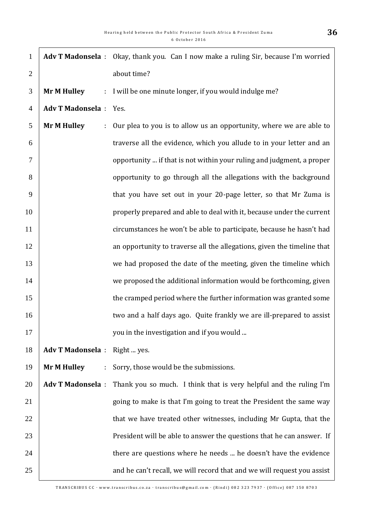| $\mathbf{1}$   |                          | Adv T Madonsela : Okay, thank you. Can I now make a ruling Sir, because I'm worried |
|----------------|--------------------------|-------------------------------------------------------------------------------------|
| $\overline{2}$ |                          | about time?                                                                         |
| 3              | <b>Mr M Hulley</b><br>÷. | I will be one minute longer, if you would indulge me?                               |
| $\overline{4}$ | <b>Adv T Madonsela:</b>  | Yes.                                                                                |
| 5              | <b>Mr M Hulley</b><br>÷  | Our plea to you is to allow us an opportunity, where we are able to                 |
| 6              |                          | traverse all the evidence, which you allude to in your letter and an                |
| 7              |                          | opportunity  if that is not within your ruling and judgment, a proper               |
| 8              |                          | opportunity to go through all the allegations with the background                   |
| 9              |                          | that you have set out in your 20-page letter, so that Mr Zuma is                    |
| 10             |                          | properly prepared and able to deal with it, because under the current               |
| 11             |                          | circumstances he won't be able to participate, because he hasn't had                |
| 12             |                          | an opportunity to traverse all the allegations, given the timeline that             |
| 13             |                          | we had proposed the date of the meeting, given the timeline which                   |
| 14             |                          | we proposed the additional information would be forthcoming, given                  |
| 15             |                          | the cramped period where the further information was granted some                   |
| 16             |                          | two and a half days ago. Quite frankly we are ill-prepared to assist                |
| 17             |                          | you in the investigation and if you would                                           |
| 18             | <b>Adv T Madonsela:</b>  | Right  yes.                                                                         |
| 19             | <b>Mr M Hulley</b><br>÷  | Sorry, those would be the submissions.                                              |
| 20             | <b>Adv T Madonsela:</b>  | Thank you so much. I think that is very helpful and the ruling I'm                  |
| 21             |                          | going to make is that I'm going to treat the President the same way                 |
| 22             |                          | that we have treated other witnesses, including Mr Gupta, that the                  |
| 23             |                          | President will be able to answer the questions that he can answer. If               |
| 24             |                          | there are questions where he needs  he doesn't have the evidence                    |
| 25             |                          | and he can't recall, we will record that and we will request you assist             |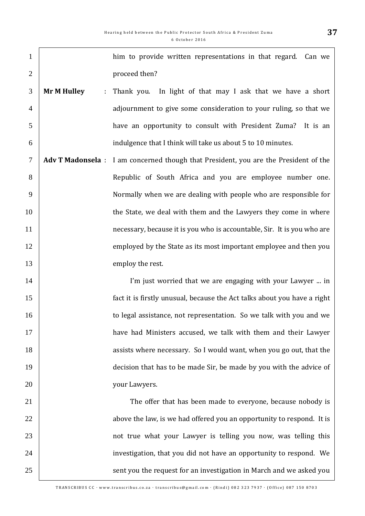| $\mathbf{1}$   |                         | him to provide written representations in that regard. Can we                        |
|----------------|-------------------------|--------------------------------------------------------------------------------------|
| $\overline{2}$ |                         | proceed then?                                                                        |
| 3              | <b>Mr M Hulley</b><br>÷ | In light of that may I ask that we have a short<br>Thank you.                        |
| $\overline{4}$ |                         | adjournment to give some consideration to your ruling, so that we                    |
| 5              |                         | have an opportunity to consult with President Zuma? It is an                         |
| 6              |                         | indulgence that I think will take us about 5 to 10 minutes.                          |
| $\tau$         |                         | Adv T Madonsela : I am concerned though that President, you are the President of the |
| 8              |                         | Republic of South Africa and you are employee number one.                            |
| 9              |                         | Normally when we are dealing with people who are responsible for                     |
| 10             |                         | the State, we deal with them and the Lawyers they come in where                      |
| 11             |                         | necessary, because it is you who is accountable, Sir. It is you who are              |
| 12             |                         | employed by the State as its most important employee and then you                    |
| 13             |                         | employ the rest.                                                                     |
| 14             |                         | I'm just worried that we are engaging with your Lawyer  in                           |
| 15             |                         | fact it is firstly unusual, because the Act talks about you have a right             |
| 16             |                         | to legal assistance, not representation. So we talk with you and we                  |
| 17             |                         | have had Ministers accused, we talk with them and their Lawyer                       |
| 18             |                         | assists where necessary. So I would want, when you go out, that the                  |
| 19             |                         | decision that has to be made Sir, be made by you with the advice of                  |
| 20             |                         | your Lawyers.                                                                        |
| 21             |                         | The offer that has been made to everyone, because nobody is                          |
| 22             |                         | above the law, is we had offered you an opportunity to respond. It is                |
| 23             |                         | not true what your Lawyer is telling you now, was telling this                       |
| 24             |                         | investigation, that you did not have an opportunity to respond. We                   |
| 25             |                         | sent you the request for an investigation in March and we asked you                  |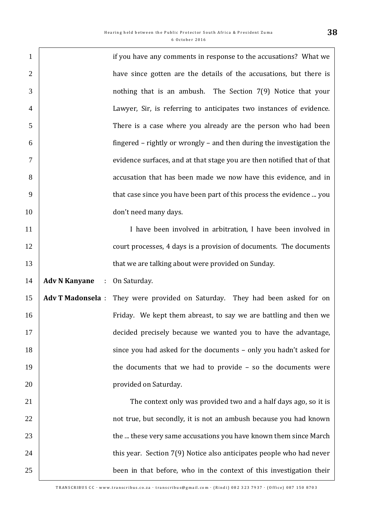| $\mathbf{1}$   |                                | if you have any comments in response to the accusations? What we             |
|----------------|--------------------------------|------------------------------------------------------------------------------|
| $\overline{2}$ |                                | have since gotten are the details of the accusations, but there is           |
| 3              |                                | nothing that is an ambush. The Section 7(9) Notice that your                 |
| $\overline{4}$ |                                | Lawyer, Sir, is referring to anticipates two instances of evidence.          |
| 5              |                                | There is a case where you already are the person who had been                |
| 6              |                                | fingered – rightly or wrongly – and then during the investigation the        |
| $\tau$         |                                | evidence surfaces, and at that stage you are then notified that of that      |
| 8              |                                | accusation that has been made we now have this evidence, and in              |
| 9              |                                | that case since you have been part of this process the evidence  you         |
| 10             |                                | don't need many days.                                                        |
| 11             |                                | I have been involved in arbitration, I have been involved in                 |
| 12             |                                | court processes, 4 days is a provision of documents. The documents           |
| 13             |                                | that we are talking about were provided on Sunday.                           |
| 14             | <b>Adv N Kanyane</b><br>$\sim$ | On Saturday.                                                                 |
| 15             |                                | Adv T Madonsela : They were provided on Saturday. They had been asked for on |
| 16             |                                | Friday. We kept them abreast, to say we are battling and then we             |
| 17             |                                | decided precisely because we wanted you to have the advantage,               |
| 18             |                                | since you had asked for the documents - only you hadn't asked for            |
| 19             |                                | the documents that we had to provide $-$ so the documents were               |
| 20             |                                | provided on Saturday.                                                        |
| 21             |                                | The context only was provided two and a half days ago, so it is              |
| 22             |                                | not true, but secondly, it is not an ambush because you had known            |
| 23             |                                | the  these very same accusations you have known them since March             |
| 24             |                                | this year. Section 7(9) Notice also anticipates people who had never         |
| 25             |                                | been in that before, who in the context of this investigation their          |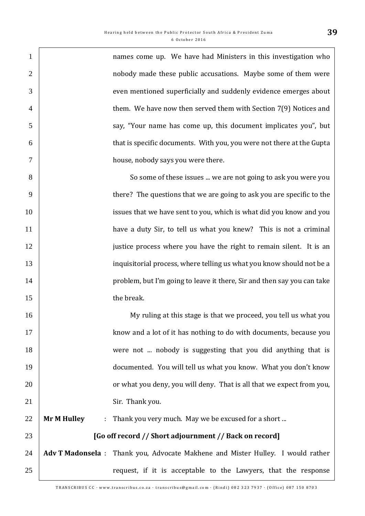| $\mathbf{1}$   | names come up. We have had Ministers in this investigation who                  |
|----------------|---------------------------------------------------------------------------------|
| $\overline{2}$ | nobody made these public accusations. Maybe some of them were                   |
| 3              | even mentioned superficially and suddenly evidence emerges about                |
| $\overline{4}$ | them. We have now then served them with Section 7(9) Notices and                |
| 5              | say, "Your name has come up, this document implicates you", but                 |
| 6              | that is specific documents. With you, you were not there at the Gupta           |
| 7              | house, nobody says you were there.                                              |
| 8              | So some of these issues  we are not going to ask you were you                   |
| 9              | there? The questions that we are going to ask you are specific to the           |
| 10             | issues that we have sent to you, which is what did you know and you             |
| 11             | have a duty Sir, to tell us what you knew? This is not a criminal               |
| 12             | justice process where you have the right to remain silent. It is an             |
| 13             | inquisitorial process, where telling us what you know should not be a           |
| 14             | problem, but I'm going to leave it there, Sir and then say you can take         |
| 15             | the break.                                                                      |
| 16             | My ruling at this stage is that we proceed, you tell us what you                |
| 17             | know and a lot of it has nothing to do with documents, because you              |
| 18             | were not  nobody is suggesting that you did anything that is                    |
| 19             | documented. You will tell us what you know. What you don't know                 |
| 20             | or what you deny, you will deny. That is all that we expect from you,           |
| 21             | Sir. Thank you.                                                                 |
| 22             | <b>Mr M Hulley</b><br>Thank you very much. May we be excused for a short<br>ł,  |
| 23             | [Go off record // Short adjournment // Back on record]                          |
| 24             | Adv T Madonsela : Thank you, Advocate Makhene and Mister Hulley. I would rather |
| 25             | request, if it is acceptable to the Lawyers, that the response                  |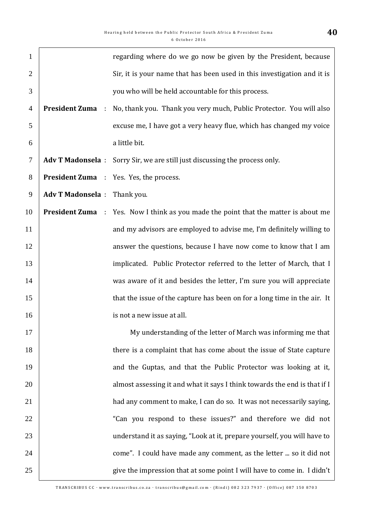| $\mathbf{1}$   |                                       | regarding where do we go now be given by the President, because             |
|----------------|---------------------------------------|-----------------------------------------------------------------------------|
| $\overline{2}$ |                                       | Sir, it is your name that has been used in this investigation and it is     |
| 3              |                                       | you who will be held accountable for this process.                          |
| $\overline{4}$ | <b>President Zuma</b><br>$\mathbf{r}$ | No, thank you. Thank you very much, Public Protector. You will also         |
| 5              |                                       | excuse me, I have got a very heavy flue, which has changed my voice         |
| 6              |                                       | a little bit.                                                               |
| $\tau$         |                                       | Adv T Madonsela : Sorry Sir, we are still just discussing the process only. |
| 8              |                                       | <b>President Zuma</b> : Yes. Yes, the process.                              |
| 9              | Adv T Madonsela : Thank you.          |                                                                             |
| 10             | <b>President Zuma</b>                 | : Yes. Now I think as you made the point that the matter is about me        |
| 11             |                                       | and my advisors are employed to advise me, I'm definitely willing to        |
| 12             |                                       | answer the questions, because I have now come to know that I am             |
| 13             |                                       | implicated. Public Protector referred to the letter of March, that I        |
| 14             |                                       | was aware of it and besides the letter, I'm sure you will appreciate        |
| 15             |                                       | that the issue of the capture has been on for a long time in the air. It    |
| 16             |                                       | is not a new issue at all.                                                  |
| 17             |                                       | My understanding of the letter of March was informing me that               |
| 18             |                                       | there is a complaint that has come about the issue of State capture         |
| 19             |                                       | and the Guptas, and that the Public Protector was looking at it,            |
| 20             |                                       | almost assessing it and what it says I think towards the end is that if I   |
| 21             |                                       | had any comment to make, I can do so. It was not necessarily saying,        |
| 22             |                                       | "Can you respond to these issues?" and therefore we did not                 |
| 23             |                                       | understand it as saying, "Look at it, prepare yourself, you will have to    |
| 24             |                                       | come". I could have made any comment, as the letter  so it did not          |
| 25             |                                       | give the impression that at some point I will have to come in. I didn't     |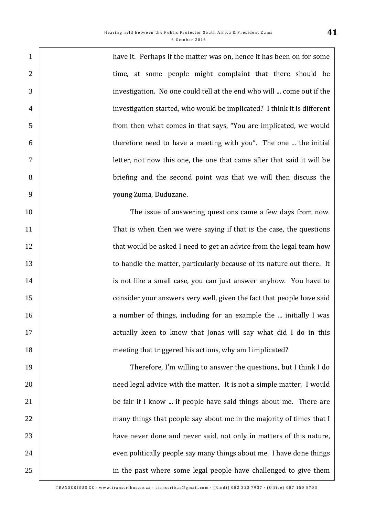have it. Perhaps if the matter was on, hence it has been on for some 2 | time, at some people might complaint that there should be investigation. No one could tell at the end who will ... come out if the investigation started, who would be implicated? I think it is different from then what comes in that says, "You are implicated, we would therefore need to have a meeting with you". The one ... the initial letter, not now this one, the one that came after that said it will be briefing and the second point was that we will then discuss the young Zuma, Duduzane.

 The issue of answering questions came a few days from now. 11 That is when then we were saying if that is the case, the questions 12 that would be asked I need to get an advice from the legal team how **to handle the matter, particularly because of its nature out there.** It **is not like a small case, you can just answer anyhow.** You have to **consider your answers very well, given the fact that people have said** 16 16 a number of things, including for an example the ... initially I was 17 1 meeting that triggered his actions, why am I implicated?

 Therefore, I'm willing to answer the questions, but I think I do **need legal advice with the matter.** It is not a simple matter. I would **be fair if I know ... if people have said things about me. There are 1** many things that people say about me in the majority of times that I **have never done and never said, not only in matters of this nature,** 24 even politically people say many things about me. I have done things 25 in the past where some legal people have challenged to give them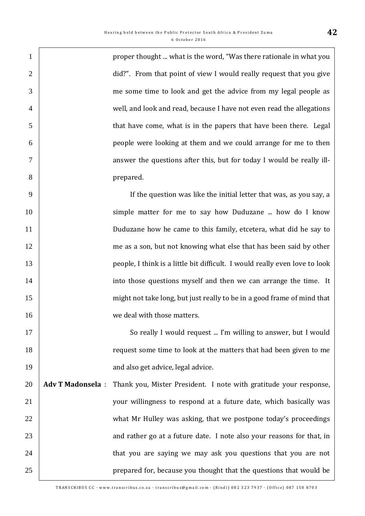**proper thought ... what is the word, "Was there rationale in what you** 2 did?". From that point of view I would really request that you give me some time to look and get the advice from my legal people as well, and look and read, because I have not even read the allegations that have come, what is in the papers that have been there. Legal people were looking at them and we could arrange for me to then answer the questions after this, but for today I would be really ill-8 prepared.

 If the question was like the initial letter that was, as you say, a 10 Simple matter for me to say how Duduzane ... how do I know Duduzane how he came to this family, etcetera, what did he say to 12 me as a son, but not knowing what else that has been said by other people, I think is a little bit difficult. I would really even love to look **into those questions myself and then we can arrange the time.** It 15 might not take long, but just really to be in a good frame of mind that **16** we deal with those matters.

17 So really I would request ... I'm willing to answer, but I would 18 request some time to look at the matters that had been given to me 19 **19 and also get advice, legal advice.** 

20 **Adv T Madonsela** : Thank you, Mister President. I note with gratitude your response, 21 your willingness to respond at a future date, which basically was 22 What Mr Hulley was asking, that we postpone today's proceedings 23 23 and rather go at a future date. I note also your reasons for that, in 24 24 24 that you are saying we may ask you questions that you are not 25 **prepared for, because you thought that the questions that would be**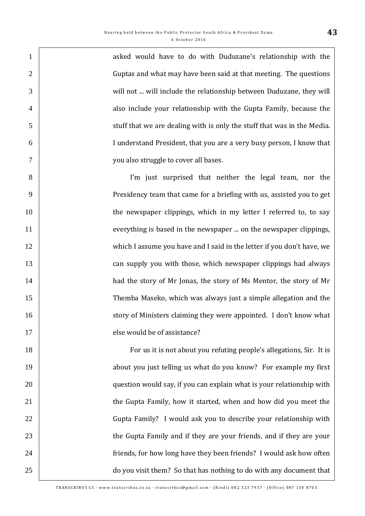| $\mathbf{1}$   | asked would have to do with Duduzane's relationship with the            |
|----------------|-------------------------------------------------------------------------|
| $\overline{2}$ | Guptas and what may have been said at that meeting. The questions       |
| 3              | will not  will include the relationship between Duduzane, they will     |
| $\overline{4}$ | also include your relationship with the Gupta Family, because the       |
| 5              | stuff that we are dealing with is only the stuff that was in the Media. |
| 6              | I understand President, that you are a very busy person, I know that    |
| $\tau$         | you also struggle to cover all bases.                                   |
| 8              | I'm just surprised that neither the legal team, nor the                 |
| 9              | Presidency team that came for a briefing with us, assisted you to get   |
| 10             | the newspaper clippings, which in my letter I referred to, to say       |
| 11             | everything is based in the newspaper  on the newspaper clippings,       |
| 12             | which I assume you have and I said in the letter if you don't have, we  |
| 13             | can supply you with those, which newspaper clippings had always         |
| 14             | had the story of Mr Jonas, the story of Ms Mentor, the story of Mr      |
| 15             | Themba Maseko, which was always just a simple allegation and the        |
| 16             | story of Ministers claiming they were appointed. I don't know what      |
| 17             | else would be of assistance?                                            |
| 18             | For us it is not about you refuting people's allegations, Sir. It is    |
| 19             | about you just telling us what do you know? For example my first        |
| 20             | question would say, if you can explain what is your relationship with   |
| 21             | the Gupta Family, how it started, when and how did you meet the         |
| 22             | Gupta Family? I would ask you to describe your relationship with        |
| 23             | the Gupta Family and if they are your friends, and if they are your     |
| 24             | friends, for how long have they been friends? I would ask how often     |
| 25             | do you visit them? So that has nothing to do with any document that     |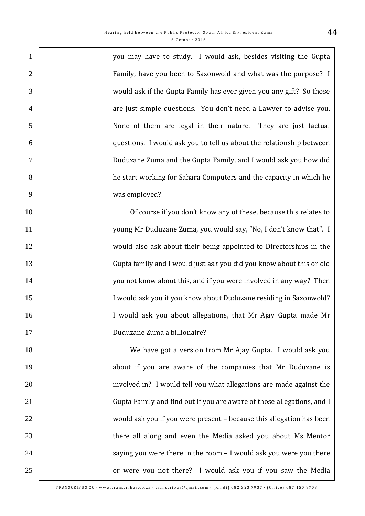you may have to study. I would ask, besides visiting the Gupta Family, have you been to Saxonwold and what was the purpose? I would ask if the Gupta Family has ever given you any gift? So those 4 are just simple questions. You don't need a Lawyer to advise you. None of them are legal in their nature. They are just factual questions. I would ask you to tell us about the relationship between Duduzane Zuma and the Gupta Family, and I would ask you how did he start working for Sahara Computers and the capacity in which he was employed?

10 10 Of course if you don't know any of these, because this relates to young Mr Duduzane Zuma, you would say, "No, I don't know that". I would also ask about their being appointed to Directorships in the Gupta family and I would just ask you did you know about this or did 14 x you not know about this, and if you were involved in any way? Then 15 | I would ask you if you know about Duduzane residing in Saxonwold? I would ask you about allegations, that Mr Ajay Gupta made Mr Duduzane Zuma a billionaire?

 We have got a version from Mr Ajay Gupta. I would ask you **19** about if you are aware of the companies that Mr Duduzane is **involved in?** I would tell you what allegations are made against the 21 | Gupta Family and find out if you are aware of those allegations, and I would ask you if you were present – because this allegation has been **there all along and even the Media asked you about Ms Mentor**  $\vert$  saying you were there in the room – I would ask you were you there **Fig. 25** or were you not there? I would ask you if you saw the Media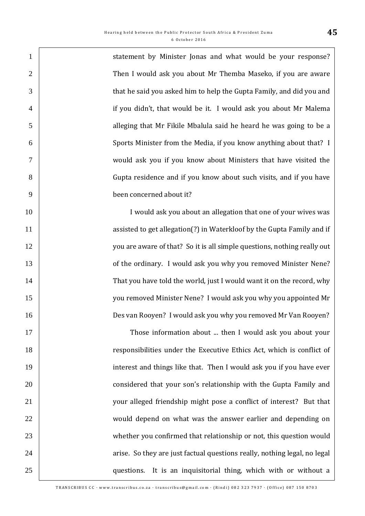| $\mathbf{1}$   | statement by Minister Jonas and what would be your response?              |
|----------------|---------------------------------------------------------------------------|
| $\overline{2}$ | Then I would ask you about Mr Themba Maseko, if you are aware             |
| 3              | that he said you asked him to help the Gupta Family, and did you and      |
| $\overline{4}$ | if you didn't, that would be it. I would ask you about Mr Malema          |
| 5              | alleging that Mr Fikile Mbalula said he heard he was going to be a        |
| 6              | Sports Minister from the Media, if you know anything about that? I        |
| $\tau$         | would ask you if you know about Ministers that have visited the           |
| 8              | Gupta residence and if you know about such visits, and if you have        |
| 9              | been concerned about it?                                                  |
| 10             | I would ask you about an allegation that one of your wives was            |
| 11             | assisted to get allegation(?) in Waterkloof by the Gupta Family and if    |
| 12             | you are aware of that? So it is all simple questions, nothing really out  |
| 13             | of the ordinary. I would ask you why you removed Minister Nene?           |
| 14             | That you have told the world, just I would want it on the record, why     |
| 15             | you removed Minister Nene? I would ask you why you appointed Mr           |
| 16             | Des van Rooyen? I would ask you why you removed Mr Van Rooyen?            |
| 17             | Those information about  then I would ask you about your                  |
| 18             | responsibilities under the Executive Ethics Act, which is conflict of     |
| 19             | interest and things like that. Then I would ask you if you have ever      |
| 20             | considered that your son's relationship with the Gupta Family and         |
| 21             | your alleged friendship might pose a conflict of interest? But that       |
| 22             | would depend on what was the answer earlier and depending on              |
| 23             | whether you confirmed that relationship or not, this question would       |
| 24             | arise. So they are just factual questions really, nothing legal, no legal |
| 25             | It is an inquisitorial thing, which with or without a<br>questions.       |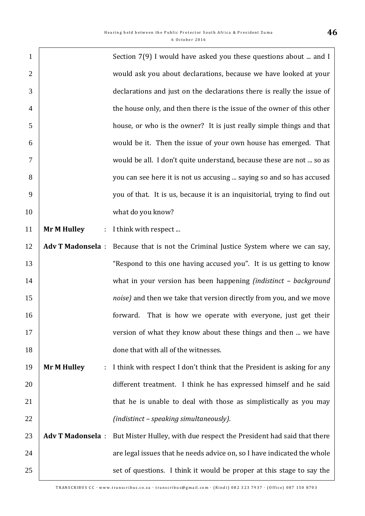| $\mathbf{1}$   |                          | Section 7(9) I would have asked you these questions about  and I          |
|----------------|--------------------------|---------------------------------------------------------------------------|
| $\overline{2}$ |                          | would ask you about declarations, because we have looked at your          |
| 3              |                          | declarations and just on the declarations there is really the issue of    |
| $\overline{4}$ |                          | the house only, and then there is the issue of the owner of this other    |
| 5              |                          | house, or who is the owner? It is just really simple things and that      |
| 6              |                          | would be it. Then the issue of your own house has emerged. That           |
| 7              |                          | would be all. I don't quite understand, because these are not  so as      |
| 8              |                          | you can see here it is not us accusing  saying so and so has accused      |
| 9              |                          | you of that. It is us, because it is an inquisitorial, trying to find out |
| 10             |                          | what do you know?                                                         |
| 11             | <b>Mr M Hulley</b><br>÷  | I think with respect                                                      |
| 12             | <b>Adv T Madonsela:</b>  | Because that is not the Criminal Justice System where we can say,         |
| 13             |                          | "Respond to this one having accused you". It is us getting to know        |
| 14             |                          | what in your version has been happening (indistinct - background          |
| 15             |                          | noise) and then we take that version directly from you, and we move       |
| 16             |                          | That is how we operate with everyone, just get their<br>forward.          |
| 17             |                          | version of what they know about these things and then  we have            |
| 18             |                          | done that with all of the witnesses.                                      |
| 19             | <b>Mr M Hulley</b><br>t, | I think with respect I don't think that the President is asking for any   |
| 20             |                          | different treatment. I think he has expressed himself and he said         |
| 21             |                          | that he is unable to deal with those as simplistically as you may         |
| 22             |                          | (indistinct - speaking simultaneously).                                   |
| 23             | <b>Adv T Madonsela:</b>  | But Mister Hulley, with due respect the President had said that there     |
| 24             |                          | are legal issues that he needs advice on, so I have indicated the whole   |
| 25             |                          | set of questions. I think it would be proper at this stage to say the     |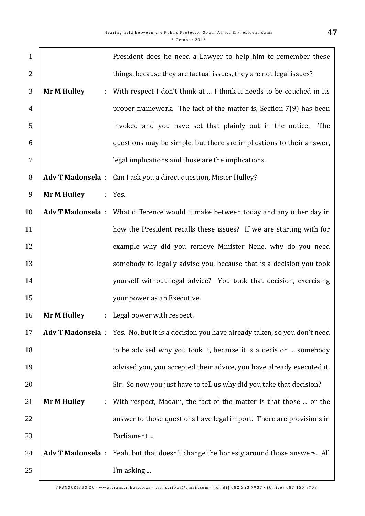| $\mathbf{1}$   |                         |    | President does he need a Lawyer to help him to remember these                             |
|----------------|-------------------------|----|-------------------------------------------------------------------------------------------|
| $\overline{2}$ |                         |    | things, because they are factual issues, they are not legal issues?                       |
| 3              | <b>Mr M Hulley</b>      | ÷. | With respect I don't think at  I think it needs to be couched in its                      |
| $\overline{4}$ |                         |    | proper framework. The fact of the matter is, Section 7(9) has been                        |
| 5              |                         |    | invoked and you have set that plainly out in the notice.<br>The                           |
| 6              |                         |    | questions may be simple, but there are implications to their answer,                      |
| $\overline{7}$ |                         |    | legal implications and those are the implications.                                        |
| 8              | <b>Adv T Madonsela:</b> |    | Can I ask you a direct question, Mister Hulley?                                           |
| 9              | <b>Mr M Hulley</b>      |    | : Yes.                                                                                    |
| 10             |                         |    | Adv T Madonsela : What difference would it make between today and any other day in        |
| 11             |                         |    | how the President recalls these issues? If we are starting with for                       |
| 12             |                         |    | example why did you remove Minister Nene, why do you need                                 |
| 13             |                         |    | somebody to legally advise you, because that is a decision you took                       |
| 14             |                         |    | yourself without legal advice? You took that decision, exercising                         |
| 15             |                         |    | your power as an Executive.                                                               |
| 16             | <b>Mr M Hulley</b>      | ÷. | Legal power with respect.                                                                 |
| 17             |                         |    | Adv T Madonsela : Yes. No, but it is a decision you have already taken, so you don't need |
| 18             |                         |    | to be advised why you took it, because it is a decision  somebody                         |
| 19             |                         |    | advised you, you accepted their advice, you have already executed it,                     |
| 20             |                         |    | Sir. So now you just have to tell us why did you take that decision?                      |
| 21             | <b>Mr M Hulley</b>      | ÷  | With respect, Madam, the fact of the matter is that those  or the                         |
| 22             |                         |    | answer to those questions have legal import. There are provisions in                      |
| 23             |                         |    | Parliament                                                                                |
| 24             |                         |    | Adv T Madonsela : Yeah, but that doesn't change the honesty around those answers. All     |
| 25             |                         |    | I'm asking                                                                                |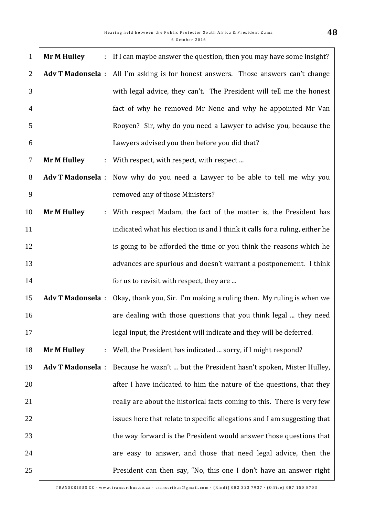| $\mathbf{1}$   | <b>Mr M Hulley</b>      |    | : If I can maybe answer the question, then you may have some insight?              |
|----------------|-------------------------|----|------------------------------------------------------------------------------------|
| $\overline{2}$ |                         |    | Adv T Madonsela : All I'm asking is for honest answers. Those answers can't change |
| 3              |                         |    | with legal advice, they can't. The President will tell me the honest               |
| $\overline{4}$ |                         |    | fact of why he removed Mr Nene and why he appointed Mr Van                         |
| 5              |                         |    | Rooyen? Sir, why do you need a Lawyer to advise you, because the                   |
| 6              |                         |    | Lawyers advised you then before you did that?                                      |
| $\tau$         | <b>Mr M Hulley</b>      | ÷. | With respect, with respect, with respect                                           |
| 8              |                         |    | Adv T Madonsela : Now why do you need a Lawyer to be able to tell me why you       |
| 9              |                         |    | removed any of those Ministers?                                                    |
| 10             | <b>Mr M Hulley</b>      | t. | With respect Madam, the fact of the matter is, the President has                   |
| 11             |                         |    | indicated what his election is and I think it calls for a ruling, either he        |
| 12             |                         |    | is going to be afforded the time or you think the reasons which he                 |
| 13             |                         |    | advances are spurious and doesn't warrant a postponement. I think                  |
| 14             |                         |    | for us to revisit with respect, they are                                           |
| 15             | <b>Adv T Madonsela:</b> |    | Okay, thank you, Sir. I'm making a ruling then. My ruling is when we               |
| 16             |                         |    | are dealing with those questions that you think legal  they need                   |
| 17             |                         |    | legal input, the President will indicate and they will be deferred.                |
| 18             | <b>Mr M Hulley</b>      | t. | Well, the President has indicated  sorry, if I might respond?                      |
| 19             | <b>Adv T Madonsela:</b> |    | Because he wasn't  but the President hasn't spoken, Mister Hulley,                 |
| 20             |                         |    | after I have indicated to him the nature of the questions, that they               |
| 21             |                         |    | really are about the historical facts coming to this. There is very few            |
| 22             |                         |    | issues here that relate to specific allegations and I am suggesting that           |
| 23             |                         |    | the way forward is the President would answer those questions that                 |
| 24             |                         |    | are easy to answer, and those that need legal advice, then the                     |
| 25             |                         |    | President can then say, "No, this one I don't have an answer right                 |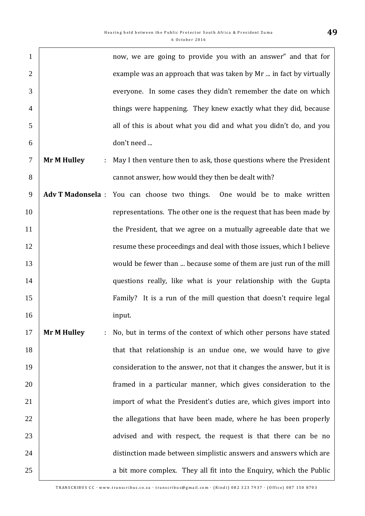| $\mathbf{1}$   |                         | now, we are going to provide you with an answer" and that for             |
|----------------|-------------------------|---------------------------------------------------------------------------|
| $\overline{2}$ |                         | example was an approach that was taken by Mr  in fact by virtually        |
| 3              |                         | everyone. In some cases they didn't remember the date on which            |
| $\overline{4}$ |                         | things were happening. They knew exactly what they did, because           |
| 5              |                         | all of this is about what you did and what you didn't do, and you         |
| 6              |                         | don't need                                                                |
| $\tau$         | <b>Mr M Hulley</b><br>÷ | May I then venture then to ask, those questions where the President       |
| 8              |                         | cannot answer, how would they then be dealt with?                         |
| 9              |                         | Adv T Madonsela : You can choose two things. One would be to make written |
| 10             |                         | representations. The other one is the request that has been made by       |
| 11             |                         | the President, that we agree on a mutually agreeable date that we         |
| 12             |                         | resume these proceedings and deal with those issues, which I believe      |
| 13             |                         | would be fewer than  because some of them are just run of the mill        |
| 14             |                         | questions really, like what is your relationship with the Gupta           |
| 15             |                         | Family? It is a run of the mill question that doesn't require legal       |
| 16             |                         | input.                                                                    |
| 17             | <b>Mr M Hulley</b>      | No, but in terms of the context of which other persons have stated        |
| 18             |                         | that that relationship is an undue one, we would have to give             |
| 19             |                         | consideration to the answer, not that it changes the answer, but it is    |
| 20             |                         | framed in a particular manner, which gives consideration to the           |
| 21             |                         | import of what the President's duties are, which gives import into        |
| 22             |                         | the allegations that have been made, where he has been properly           |
| 23             |                         | advised and with respect, the request is that there can be no             |
| 24             |                         | distinction made between simplistic answers and answers which are         |
| 25             |                         | a bit more complex. They all fit into the Enquiry, which the Public       |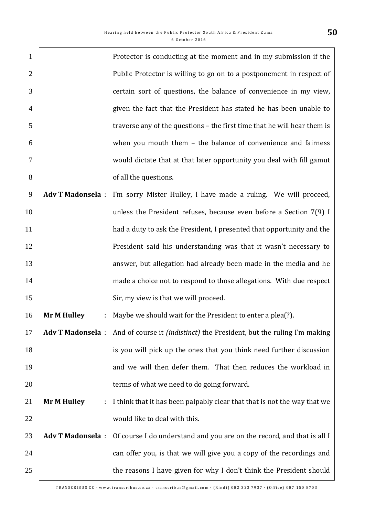| $\mathbf{1}$   |                          | Protector is conducting at the moment and in my submission if the                                      |
|----------------|--------------------------|--------------------------------------------------------------------------------------------------------|
| $\overline{2}$ |                          | Public Protector is willing to go on to a postponement in respect of                                   |
| 3              |                          | certain sort of questions, the balance of convenience in my view,                                      |
| $\overline{4}$ |                          | given the fact that the President has stated he has been unable to                                     |
| 5              |                          | traverse any of the questions - the first time that he will hear them is                               |
| 6              |                          | when you mouth them - the balance of convenience and fairness                                          |
| $\overline{7}$ |                          | would dictate that at that later opportunity you deal with fill gamut                                  |
| 8              |                          | of all the questions.                                                                                  |
| 9              | <b>Adv T Madonsela:</b>  | I'm sorry Mister Hulley, I have made a ruling. We will proceed,                                        |
| 10             |                          | unless the President refuses, because even before a Section $7(9)$ I                                   |
| 11             |                          | had a duty to ask the President, I presented that opportunity and the                                  |
| 12             |                          | President said his understanding was that it wasn't necessary to                                       |
| 13             |                          | answer, but allegation had already been made in the media and he                                       |
| 14             |                          | made a choice not to respond to those allegations. With due respect                                    |
| 15             |                          | Sir, my view is that we will proceed.                                                                  |
| 16             | <b>Mr M Hulley</b>       | Maybe we should wait for the President to enter a plea(?).                                             |
| 17             |                          | <b>Adv T Madonsela</b> : And of course it <i>(indistinct)</i> the President, but the ruling I'm making |
| 18             |                          | is you will pick up the ones that you think need further discussion                                    |
| 19             |                          | and we will then defer them. That then reduces the workload in                                         |
| 20             |                          | terms of what we need to do going forward.                                                             |
| 21             | <b>Mr M Hulley</b><br>÷. | I think that it has been palpably clear that that is not the way that we                               |
| 22             |                          | would like to deal with this.                                                                          |
| 23             | <b>Adv T Madonsela:</b>  | Of course I do understand and you are on the record, and that is all I                                 |
| 24             |                          | can offer you, is that we will give you a copy of the recordings and                                   |
| 25             |                          | the reasons I have given for why I don't think the President should                                    |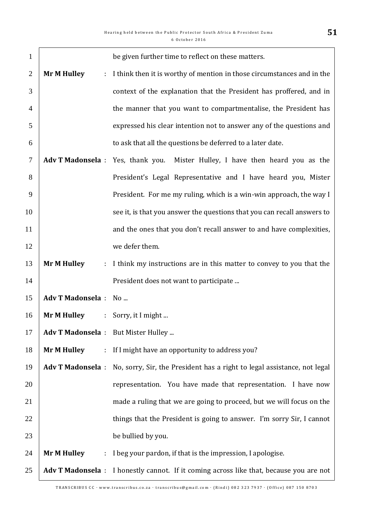| $\mathbf{1}$   |                                            | be given further time to reflect on these matters.                                      |
|----------------|--------------------------------------------|-----------------------------------------------------------------------------------------|
| $\overline{2}$ | <b>Mr M Hulley</b><br>÷                    | I think then it is worthy of mention in those circumstances and in the                  |
| 3              |                                            | context of the explanation that the President has proffered, and in                     |
| $\overline{4}$ |                                            | the manner that you want to compartmentalise, the President has                         |
| 5              |                                            | expressed his clear intention not to answer any of the questions and                    |
| 6              |                                            | to ask that all the questions be deferred to a later date.                              |
| 7              | <b>Adv T Madonsela</b> : Yes, thank you.   | Mister Hulley, I have then heard you as the                                             |
| 8              |                                            | President's Legal Representative and I have heard you, Mister                           |
| 9              |                                            | President. For me my ruling, which is a win-win approach, the way I                     |
| 10             |                                            | see it, is that you answer the questions that you can recall answers to                 |
| 11             |                                            | and the ones that you don't recall answer to and have complexities,                     |
| 12             |                                            | we defer them.                                                                          |
| 13             | <b>Mr M Hulley</b><br>÷.                   | I think my instructions are in this matter to convey to you that the                    |
| 14             |                                            | President does not want to participate                                                  |
| 15             | <b>Adv T Madonsela:</b>                    | $No$                                                                                    |
| 16             | <b>Mr M Hulley</b>                         | : Sorry, it I might                                                                     |
| 17             | Adv T Madonsela : But Mister Hulley        |                                                                                         |
| 18             | <b>Mr M Hulley</b><br>÷.                   | If I might have an opportunity to address you?                                          |
| 19             | <b>Adv T Madonsela:</b>                    | No, sorry, Sir, the President has a right to legal assistance, not legal                |
| 20             |                                            | representation. You have made that representation. I have now                           |
| 21             |                                            | made a ruling that we are going to proceed, but we will focus on the                    |
| 22             |                                            | things that the President is going to answer. I'm sorry Sir, I cannot                   |
| 23             |                                            | be bullied by you.                                                                      |
| 24             | <b>Mr M Hulley</b><br>$\ddot{\phantom{a}}$ | I beg your pardon, if that is the impression, I apologise.                              |
| 25             |                                            | Adv T Madonsela : I honestly cannot. If it coming across like that, because you are not |

 $\overline{\phantom{a}}$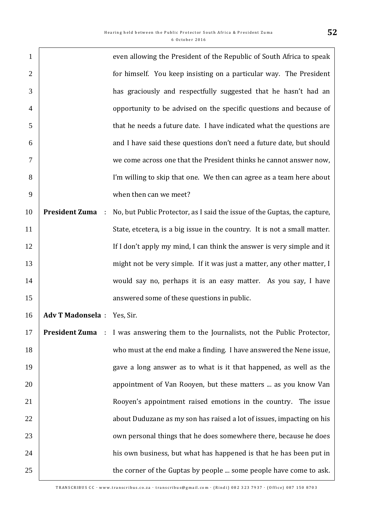| $\mathbf{1}$   |                             | even allowing the President of the Republic of South Africa to speak      |
|----------------|-----------------------------|---------------------------------------------------------------------------|
| $\overline{2}$ |                             | for himself. You keep insisting on a particular way. The President        |
| 3              |                             | has graciously and respectfully suggested that he hasn't had an           |
| $\overline{4}$ |                             | opportunity to be advised on the specific questions and because of        |
| 5              |                             | that he needs a future date. I have indicated what the questions are      |
| 6              |                             | and I have said these questions don't need a future date, but should      |
| 7              |                             | we come across one that the President thinks he cannot answer now,        |
| 8              |                             | I'm willing to skip that one. We then can agree as a team here about      |
| 9              |                             | when then can we meet?                                                    |
| 10             | <b>President Zuma</b><br>÷  | No, but Public Protector, as I said the issue of the Guptas, the capture, |
| 11             |                             | State, etcetera, is a big issue in the country. It is not a small matter. |
| 12             |                             | If I don't apply my mind, I can think the answer is very simple and it    |
| 13             |                             | might not be very simple. If it was just a matter, any other matter, I    |
| 14             |                             | would say no, perhaps it is an easy matter. As you say, I have            |
| 15             |                             | answered some of these questions in public.                               |
| 16             | Adv T Madonsela : Yes, Sir. |                                                                           |
| 17             | <b>President Zuma</b> :     | I was answering them to the Journalists, not the Public Protector,        |
| 18             |                             | who must at the end make a finding. I have answered the Nene issue,       |
| 19             |                             | gave a long answer as to what is it that happened, as well as the         |
| 20             |                             | appointment of Van Rooyen, but these matters  as you know Van             |
| 21             |                             | Rooyen's appointment raised emotions in the country. The issue            |
| 22             |                             | about Duduzane as my son has raised a lot of issues, impacting on his     |
| 23             |                             | own personal things that he does somewhere there, because he does         |
| 24             |                             | his own business, but what has happened is that he has been put in        |
| 25             |                             | the corner of the Guptas by people  some people have come to ask.         |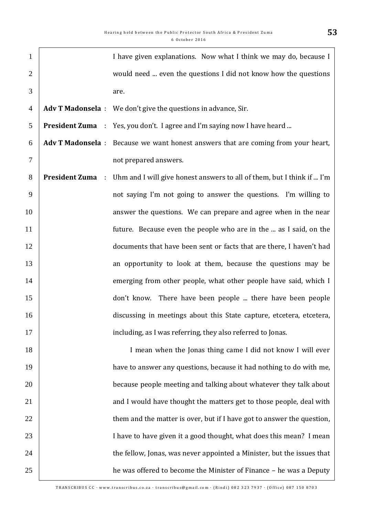| $\mathbf{1}$   |                                    | I have given explanations. Now what I think we may do, because I                  |
|----------------|------------------------------------|-----------------------------------------------------------------------------------|
| $\overline{2}$ |                                    | would need  even the questions I did not know how the questions                   |
| 3              |                                    | are.                                                                              |
| $\overline{4}$ |                                    | Adv T Madonsela : We don't give the questions in advance, Sir.                    |
| 5              |                                    | <b>President Zuma</b> : Yes, you don't. I agree and I'm saying now I have heard   |
| 6              |                                    | Adv T Madonsela : Because we want honest answers that are coming from your heart, |
| $\tau$         |                                    | not prepared answers.                                                             |
| 8              | <b>President Zuma</b><br>$\sim 10$ | Uhm and I will give honest answers to all of them, but I think if  I'm            |
| 9              |                                    | not saying I'm not going to answer the questions. I'm willing to                  |
| 10             |                                    | answer the questions. We can prepare and agree when in the near                   |
| 11             |                                    | future. Because even the people who are in the  as I said, on the                 |
| 12             |                                    | documents that have been sent or facts that are there, I haven't had              |
| 13             |                                    | an opportunity to look at them, because the questions may be                      |
| 14             |                                    | emerging from other people, what other people have said, which I                  |
| 15             |                                    | don't know. There have been people  there have been people                        |
| 16             |                                    | discussing in meetings about this State capture, etcetera, etcetera,              |
| 17             |                                    | including, as I was referring, they also referred to Jonas.                       |
| 18             |                                    | I mean when the Jonas thing came I did not know I will ever                       |
| 19             |                                    | have to answer any questions, because it had nothing to do with me,               |
| 20             |                                    | because people meeting and talking about whatever they talk about                 |
| 21             |                                    | and I would have thought the matters get to those people, deal with               |
| 22             |                                    | them and the matter is over, but if I have got to answer the question,            |
| 23             |                                    | I have to have given it a good thought, what does this mean? I mean               |
| 24             |                                    | the fellow, Jonas, was never appointed a Minister, but the issues that            |
| 25             |                                    | he was offered to become the Minister of Finance - he was a Deputy                |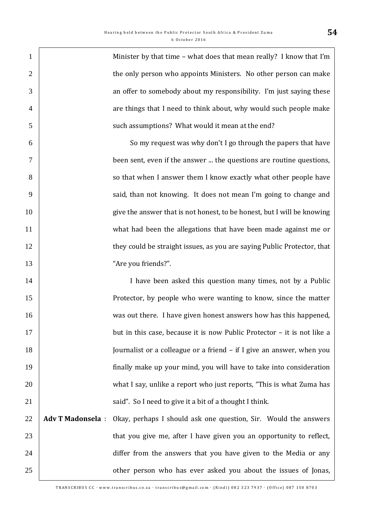| $\mathbf{1}$   |                         | Minister by that time - what does that mean really? I know that I'm     |
|----------------|-------------------------|-------------------------------------------------------------------------|
| $\overline{2}$ |                         | the only person who appoints Ministers. No other person can make        |
| 3              |                         | an offer to somebody about my responsibility. I'm just saying these     |
| $\overline{4}$ |                         | are things that I need to think about, why would such people make       |
| 5              |                         | such assumptions? What would it mean at the end?                        |
| 6              |                         | So my request was why don't I go through the papers that have           |
| 7              |                         | been sent, even if the answer  the questions are routine questions,     |
| 8              |                         | so that when I answer them I know exactly what other people have        |
| 9              |                         | said, than not knowing. It does not mean I'm going to change and        |
| 10             |                         | give the answer that is not honest, to be honest, but I will be knowing |
| 11             |                         | what had been the allegations that have been made against me or         |
| 12             |                         | they could be straight issues, as you are saying Public Protector, that |
| 13             |                         | "Are you friends?".                                                     |
| 14             |                         | I have been asked this question many times, not by a Public             |
| 15             |                         | Protector, by people who were wanting to know, since the matter         |
| 16             |                         | was out there. I have given honest answers how has this happened,       |
| 17             |                         | but in this case, because it is now Public Protector - it is not like a |
| 18             |                         | Journalist or a colleague or a friend – if I give an answer, when you   |
| 19             |                         | finally make up your mind, you will have to take into consideration     |
| 20             |                         | what I say, unlike a report who just reports, "This is what Zuma has    |
| 21             |                         | said". So I need to give it a bit of a thought I think.                 |
| 22             | <b>Adv T Madonsela:</b> | Okay, perhaps I should ask one question, Sir. Would the answers         |
| 23             |                         | that you give me, after I have given you an opportunity to reflect,     |
| 24             |                         | differ from the answers that you have given to the Media or any         |
| 25             |                         | other person who has ever asked you about the issues of Jonas,          |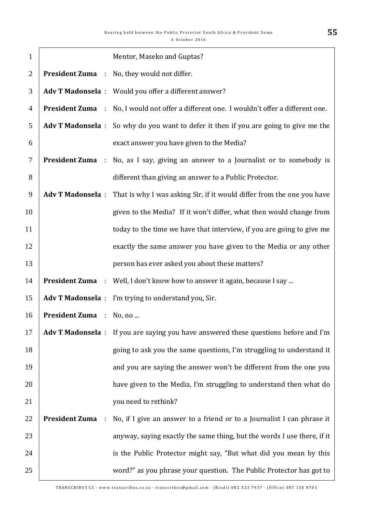| $\mathbf{1}$   |                                               | Mentor, Maseko and Guptas?                                                                       |
|----------------|-----------------------------------------------|--------------------------------------------------------------------------------------------------|
| $\overline{2}$ |                                               | <b>President Zuma</b> : No, they would not differ.                                               |
| 3              |                                               | Adv T Madonsela : Would you offer a different answer?                                            |
| 4              |                                               | <b>President Zuma</b> : No, I would not offer a different one. I wouldn't offer a different one. |
| 5              |                                               | <b>Adv T Madonsela</b> : So why do you want to defer it then if you are going to give me the     |
| 6              |                                               | exact answer you have given to the Media?                                                        |
| $\tau$         |                                               | <b>President Zuma</b> : No, as I say, giving an answer to a Journalist or to somebody is         |
| 8              |                                               | different than giving an answer to a Public Protector.                                           |
| 9              | <b>Adv T Madonsela:</b>                       | That is why I was asking Sir, if it would differ from the one you have                           |
| 10             |                                               | given to the Media? If it won't differ, what then would change from                              |
| 11             |                                               | today to the time we have that interview, if you are going to give me                            |
| 12             |                                               | exactly the same answer you have given to the Media or any other                                 |
| 13             |                                               | person has ever asked you about these matters?                                                   |
| 14             |                                               | <b>President Zuma</b> : Well, I don't know how to answer it again, because I say                 |
| 15             |                                               | Adv T Madonsela : I'm trying to understand you, Sir.                                             |
| 16             | President Zuma : No, no                       |                                                                                                  |
| 17             |                                               | Adv T Madonsela : If you are saying you have answered these questions before and I'm             |
| 18             |                                               | going to ask you the same questions, I'm struggling to understand it                             |
| 19             |                                               | and you are saying the answer won't be different from the one you                                |
| 20             |                                               | have given to the Media, I'm struggling to understand then what do                               |
| 21             |                                               | you need to rethink?                                                                             |
| 22             | <b>President Zuma</b><br>$\ddot{\phantom{a}}$ | No, if I give an answer to a friend or to a Journalist I can phrase it                           |
| 23             |                                               | anyway, saying exactly the same thing, but the words I use there, if it                          |
| 24             |                                               | is the Public Protector might say, "But what did you mean by this                                |
| 25             |                                               | word?" as you phrase your question. The Public Protector has got to                              |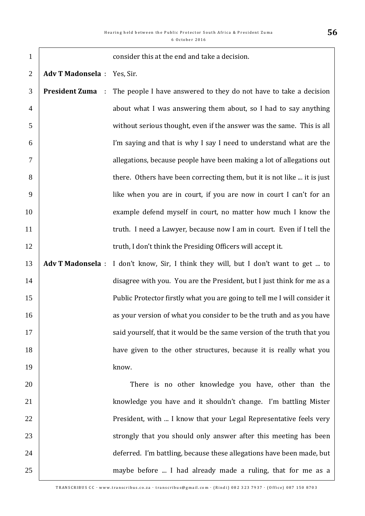| $\mathbf{1}$   |                             | consider this at the end and take a decision.                             |
|----------------|-----------------------------|---------------------------------------------------------------------------|
| $\overline{2}$ | Adv T Madonsela : Yes, Sir. |                                                                           |
| 3              | <b>President Zuma</b> :     | The people I have answered to they do not have to take a decision         |
| $\overline{4}$ |                             | about what I was answering them about, so I had to say anything           |
| 5              |                             | without serious thought, even if the answer was the same. This is all     |
| 6              |                             | I'm saying and that is why I say I need to understand what are the        |
| 7              |                             | allegations, because people have been making a lot of allegations out     |
| 8              |                             | there. Others have been correcting them, but it is not like  it is just   |
| 9              |                             | like when you are in court, if you are now in court I can't for an        |
| 10             |                             | example defend myself in court, no matter how much I know the             |
| 11             |                             | truth. I need a Lawyer, because now I am in court. Even if I tell the     |
| 12             |                             | truth, I don't think the Presiding Officers will accept it.               |
| 13             | <b>Adv T Madonsela:</b>     | I don't know, Sir, I think they will, but I don't want to get  to         |
| 14             |                             | disagree with you. You are the President, but I just think for me as a    |
| 15             |                             | Public Protector firstly what you are going to tell me I will consider it |
| 16             |                             | as your version of what you consider to be the truth and as you have      |
| 17             |                             | said yourself, that it would be the same version of the truth that you    |
| 18             |                             | have given to the other structures, because it is really what you         |
| 19             |                             | know.                                                                     |
| 20             |                             | There is no other knowledge you have, other than the                      |
| 21             |                             | knowledge you have and it shouldn't change. I'm battling Mister           |
| 22             |                             | President, with  I know that your Legal Representative feels very         |
| 23             |                             | strongly that you should only answer after this meeting has been          |
| 24             |                             | deferred. I'm battling, because these allegations have been made, but     |
| 25             |                             | maybe before  I had already made a ruling, that for me as a               |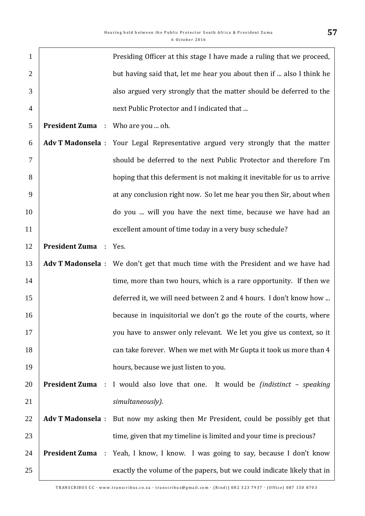| $\mathbf{1}$   |                                          | Presiding Officer at this stage I have made a ruling that we proceed,                         |
|----------------|------------------------------------------|-----------------------------------------------------------------------------------------------|
| $\overline{2}$ |                                          | but having said that, let me hear you about then if  also I think he                          |
| 3              |                                          | also argued very strongly that the matter should be deferred to the                           |
| $\overline{4}$ |                                          | next Public Protector and I indicated that                                                    |
| 5              | <b>President Zuma</b> : Who are you  oh. |                                                                                               |
| 6              |                                          | Adv T Madonsela : Your Legal Representative argued very strongly that the matter              |
| $\overline{7}$ |                                          | should be deferred to the next Public Protector and therefore I'm                             |
| 8              |                                          | hoping that this deferment is not making it inevitable for us to arrive                       |
| 9              |                                          | at any conclusion right now. So let me hear you then Sir, about when                          |
| 10             |                                          | do you  will you have the next time, because we have had an                                   |
| 11             |                                          | excellent amount of time today in a very busy schedule?                                       |
| 12             | <b>President Zuma</b>                    | : Yes.                                                                                        |
| 13             |                                          | Adv T Madonsela : We don't get that much time with the President and we have had              |
| 14             |                                          | time, more than two hours, which is a rare opportunity. If then we                            |
| 15             |                                          | deferred it, we will need between 2 and 4 hours. I don't know how                             |
| 16             |                                          | because in inquisitorial we don't go the route of the courts, where                           |
| 17             |                                          | you have to answer only relevant. We let you give us context, so it                           |
| 18             |                                          | can take forever. When we met with Mr Gupta it took us more than 4                            |
| 19             |                                          | hours, because we just listen to you.                                                         |
| 20             |                                          | <b>President Zuma</b> : I would also love that one. It would be <i>(indistinct - speaking</i> |
| 21             |                                          | simultaneously).                                                                              |
| 22             | <b>Adv T Madonsela:</b>                  | But now my asking then Mr President, could be possibly get that                               |
| 23             |                                          | time, given that my timeline is limited and your time is precious?                            |
| 24             |                                          | <b>President Zuma</b> : Yeah, I know, I know. I was going to say, because I don't know        |
| 25             |                                          | exactly the volume of the papers, but we could indicate likely that in                        |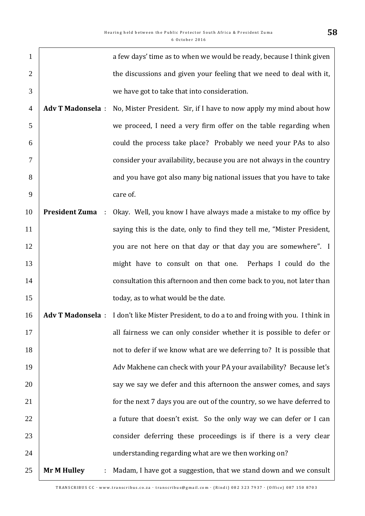| $\mathbf{1}$   |                            | a few days' time as to when we would be ready, because I think given                        |
|----------------|----------------------------|---------------------------------------------------------------------------------------------|
| $\overline{2}$ |                            | the discussions and given your feeling that we need to deal with it,                        |
| 3              |                            | we have got to take that into consideration.                                                |
| $\overline{4}$ | <b>Adv T Madonsela:</b>    | No, Mister President. Sir, if I have to now apply my mind about how                         |
| 5              |                            | we proceed, I need a very firm offer on the table regarding when                            |
| 6              |                            | could the process take place? Probably we need your PAs to also                             |
| 7              |                            | consider your availability, because you are not always in the country                       |
| 8              |                            | and you have got also many big national issues that you have to take                        |
| 9              |                            | care of.                                                                                    |
| 10             | <b>President Zuma</b><br>÷ | Okay. Well, you know I have always made a mistake to my office by                           |
| 11             |                            | saying this is the date, only to find they tell me, "Mister President,                      |
| 12             |                            | you are not here on that day or that day you are somewhere". I                              |
| 13             |                            | might have to consult on that one. Perhaps I could do the                                   |
| 14             |                            | consultation this afternoon and then come back to you, not later than                       |
| 15             |                            | today, as to what would be the date.                                                        |
| 16             |                            | Adv T Madonsela : I don't like Mister President, to do a to and froing with you. I think in |
| 17             |                            | all fairness we can only consider whether it is possible to defer or                        |
| 18             |                            | not to defer if we know what are we deferring to? It is possible that                       |
| 19             |                            | Adv Makhene can check with your PA your availability? Because let's                         |
| 20             |                            | say we say we defer and this afternoon the answer comes, and says                           |
| 21             |                            | for the next 7 days you are out of the country, so we have deferred to                      |
| 22             |                            | a future that doesn't exist. So the only way we can defer or I can                          |
| 23             |                            | consider deferring these proceedings is if there is a very clear                            |
| 24             |                            | understanding regarding what are we then working on?                                        |
| 25             | <b>Mr M Hulley</b><br>÷    | Madam, I have got a suggestion, that we stand down and we consult                           |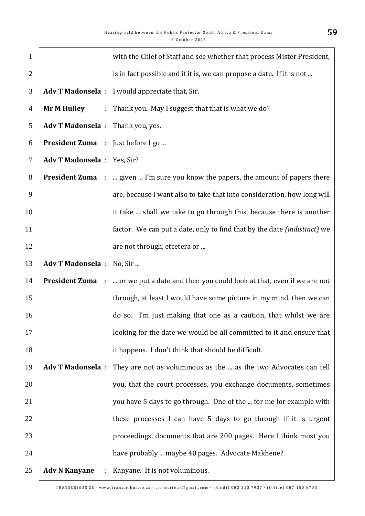| $\mathbf{1}$   |                                   | with the Chief of Staff and see whether that process Mister President,                        |
|----------------|-----------------------------------|-----------------------------------------------------------------------------------------------|
| $\overline{2}$ |                                   | is in fact possible and if it is, we can propose a date. If it is not                         |
| 3              |                                   | Adv T Madonsela : I would appreciate that, Sir.                                               |
| $\overline{4}$ | <b>Mr M Hulley</b>                | : Thank you. May I suggest that that is what we do?                                           |
| 5              | Adv T Madonsela : Thank you, yes. |                                                                                               |
| 6              | President Zuma : Just before I go |                                                                                               |
| $\overline{7}$ | Adv T Madonsela : Yes, Sir?       |                                                                                               |
| 8              |                                   | <b>President Zuma</b> :  given  I'm sure you know the papers, the amount of papers there      |
| 9              |                                   | are, because I want also to take that into consideration, how long will                       |
| 10             |                                   | it take  shall we take to go through this, because there is another                           |
| 11             |                                   | factor. We can put a date, only to find that by the date <i>(indistinct)</i> we               |
| 12             |                                   | are not through, etcetera or                                                                  |
| 13             | Adv T Madonsela : No, Sir         |                                                                                               |
| 14             |                                   | <b>President Zuma</b> :  or we put a date and then you could look at that, even if we are not |
| 15             |                                   | through, at least I would have some picture in my mind, then we can                           |
| 16             |                                   | do so. I'm just making that one as a caution, that whilst we are                              |
| 17             |                                   | looking for the date we would be all committed to it and ensure that                          |
| 18             |                                   | it happens. I don't think that should be difficult.                                           |
| 19             | <b>Adv T Madonsela:</b>           | They are not as voluminous as the  as the two Advocates can tell                              |
| 20             |                                   | you, that the court processes, you exchange documents, sometimes                              |
| 21             |                                   | you have 5 days to go through. One of the  for me for example with                            |
| 22             |                                   | these processes I can have 5 days to go through if it is urgent                               |
| 23             |                                   | proceedings, documents that are 200 pages. Here I think most you                              |
| 24             |                                   | have probably  maybe 40 pages. Advocate Makhene?                                              |
| 25             | <b>Adv N Kanyane</b><br>÷         | Kanyane. It is not voluminous.                                                                |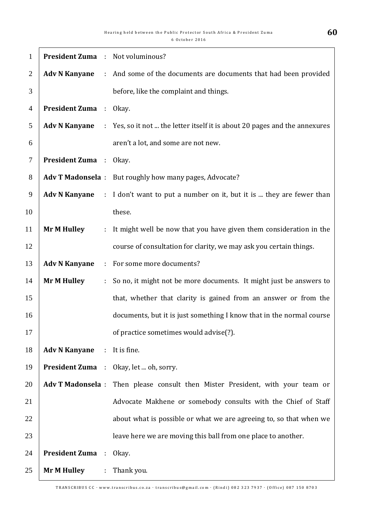| $\mathbf{1}$   | <b>President Zuma</b> : Not voluminous? |                |                                                                                |
|----------------|-----------------------------------------|----------------|--------------------------------------------------------------------------------|
| 2              | <b>Adv N Kanyane</b>                    |                | : And some of the documents are documents that had been provided               |
| 3              |                                         |                | before, like the complaint and things.                                         |
| $\overline{4}$ | <b>President Zuma</b> : Okay.           |                |                                                                                |
| 5              | <b>Adv N Kanyane</b>                    |                | : Yes, so it not  the letter itself it is about 20 pages and the annexures     |
| 6              |                                         |                | aren't a lot, and some are not new.                                            |
| 7              | <b>President Zuma</b> : Okay.           |                |                                                                                |
| 8              |                                         |                | Adv T Madonsela : But roughly how many pages, Advocate?                        |
| 9              | <b>Adv N Kanyane</b>                    |                | : I don't want to put a number on it, but it is  they are fewer than           |
| 10             |                                         |                | these.                                                                         |
| 11             | <b>Mr M Hulley</b>                      | ÷.             | It might well be now that you have given them consideration in the             |
| 12             |                                         |                | course of consultation for clarity, we may ask you certain things.             |
| 13             | <b>Adv N Kanyane</b>                    | ÷.             | For some more documents?                                                       |
| 14             | <b>Mr M Hulley</b>                      | $\mathbb{Z}^n$ | So no, it might not be more documents. It might just be answers to             |
| 15             |                                         |                | that, whether that clarity is gained from an answer or from the                |
| 16             |                                         |                | documents, but it is just something I know that in the normal course           |
| 17             |                                         |                | of practice sometimes would advise(?).                                         |
| 18             | <b>Adv N Kanyane</b>                    |                | $:$ It is fine.                                                                |
| 19             |                                         |                | <b>President Zuma</b> : Okay, let  oh, sorry.                                  |
| 20             |                                         |                | Adv T Madonsela : Then please consult then Mister President, with your team or |
| 21             |                                         |                | Advocate Makhene or somebody consults with the Chief of Staff                  |
| 22             |                                         |                | about what is possible or what we are agreeing to, so that when we             |
| 23             |                                         |                | leave here we are moving this ball from one place to another.                  |
| 24             | <b>President Zuma</b> :                 |                | Okay.                                                                          |
| 25             | <b>Mr M Hulley</b>                      |                | : Thank you.                                                                   |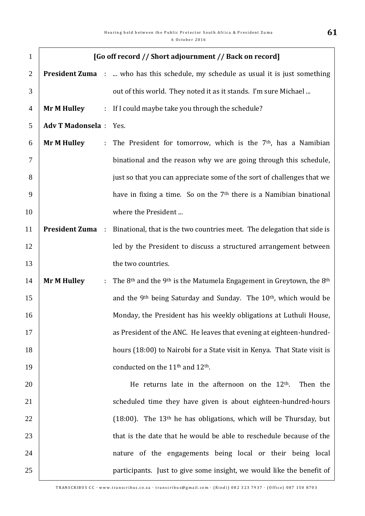| $\mathbf{1}$   |                               |                             | [Go off record // Short adjournment // Back on record]                                                  |
|----------------|-------------------------------|-----------------------------|---------------------------------------------------------------------------------------------------------|
| $\overline{2}$ |                               |                             | <b>President Zuma</b> :  who has this schedule, my schedule as usual it is just something               |
| 3              |                               |                             | out of this world. They noted it as it stands. I'm sure Michael                                         |
| $\overline{4}$ | <b>Mr M Hulley</b>            |                             | : If I could maybe take you through the schedule?                                                       |
| 5              | <b>Adv T Madonsela</b> : Yes. |                             |                                                                                                         |
| 6              | <b>Mr M Hulley</b>            | $\mathbb{R}^n$              | The President for tomorrow, which is the 7 <sup>th</sup> , has a Namibian                               |
| $\overline{7}$ |                               |                             | binational and the reason why we are going through this schedule,                                       |
| 8              |                               |                             | just so that you can appreciate some of the sort of challenges that we                                  |
| 9              |                               |                             | have in fixing a time. So on the $7th$ there is a Namibian binational                                   |
| 10             |                               |                             | where the President                                                                                     |
| 11             | <b>President Zuma</b>         | $\ddot{\phantom{a}}$        | Binational, that is the two countries meet. The delegation that side is                                 |
| 12             |                               |                             | led by the President to discuss a structured arrangement between                                        |
| 13             |                               |                             | the two countries.                                                                                      |
| 14             | <b>Mr M Hulley</b>            | $\mathcal{L}^{\mathcal{L}}$ | The 8 <sup>th</sup> and the 9 <sup>th</sup> is the Matumela Engagement in Greytown, the 8 <sup>th</sup> |
| 15             |                               |                             | and the 9 <sup>th</sup> being Saturday and Sunday. The 10 <sup>th</sup> , which would be                |
| 16             |                               |                             | Monday, the President has his weekly obligations at Luthuli House,                                      |
| 17             |                               |                             | as President of the ANC. He leaves that evening at eighteen-hundred-                                    |
| 18             |                               |                             | hours (18:00) to Nairobi for a State visit in Kenya. That State visit is                                |
| 19             |                               |                             | conducted on the 11 <sup>th</sup> and 12 <sup>th</sup> .                                                |
| 20             |                               |                             | He returns late in the afternoon on the $12th$ .<br>Then the                                            |
| 21             |                               |                             | scheduled time they have given is about eighteen-hundred-hours                                          |
| 22             |                               |                             | $(18.00)$ . The 13 <sup>th</sup> he has obligations, which will be Thursday, but                        |
| 23             |                               |                             | that is the date that he would be able to reschedule because of the                                     |
| 24             |                               |                             | nature of the engagements being local or their being local                                              |
| 25             |                               |                             | participants. Just to give some insight, we would like the benefit of                                   |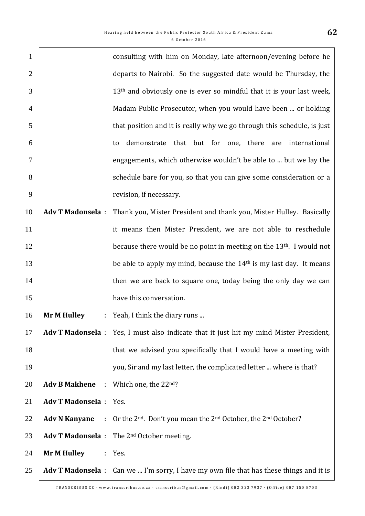$\Gamma$ 

| $\mathbf{1}$   |                               | consulting with him on Monday, late afternoon/evening before he                                     |
|----------------|-------------------------------|-----------------------------------------------------------------------------------------------------|
| $\overline{2}$ |                               | departs to Nairobi. So the suggested date would be Thursday, the                                    |
| 3              |                               | 13 <sup>th</sup> and obviously one is ever so mindful that it is your last week,                    |
| $\overline{4}$ |                               | Madam Public Prosecutor, when you would have been  or holding                                       |
| 5              |                               | that position and it is really why we go through this schedule, is just                             |
| 6              |                               | demonstrate that but for one, there are<br>international<br>to                                      |
| $\overline{7}$ |                               | engagements, which otherwise wouldn't be able to  but we lay the                                    |
| 8              |                               | schedule bare for you, so that you can give some consideration or a                                 |
| 9              |                               | revision, if necessary.                                                                             |
| 10             | <b>Adv T Madonsela:</b>       | Thank you, Mister President and thank you, Mister Hulley. Basically                                 |
| 11             |                               | it means then Mister President, we are not able to reschedule                                       |
| 12             |                               | because there would be no point in meeting on the 13 <sup>th</sup> . I would not                    |
| 13             |                               | be able to apply my mind, because the $14th$ is my last day. It means                               |
| 14             |                               | then we are back to square one, today being the only day we can                                     |
| 15             |                               | have this conversation.                                                                             |
| 16             | <b>Mr M Hulley</b><br>÷.      | Yeah, I think the diary runs                                                                        |
| 17             |                               | Adv T Madonsela : Yes, I must also indicate that it just hit my mind Mister President,              |
| 18             |                               | that we advised you specifically that I would have a meeting with                                   |
| 19             |                               | you, Sir and my last letter, the complicated letter  where is that?                                 |
| 20             | <b>Adv B Makhene :</b>        | Which one, the 22nd?                                                                                |
| 21             | <b>Adv T Madonsela</b> : Yes. |                                                                                                     |
| 22             | <b>Adv N Kanyane</b>          | : Or the 2 <sup>nd</sup> . Don't you mean the 2 <sup>nd</sup> October, the 2 <sup>nd</sup> October? |
| 23             |                               | <b>Adv T Madonsela</b> : The $2^{nd}$ October meeting.                                              |
| 24             | <b>Mr M Hulley</b>            | : Yes.                                                                                              |
| 25             |                               | Adv T Madonsela : Can we  I'm sorry, I have my own file that has these things and it is             |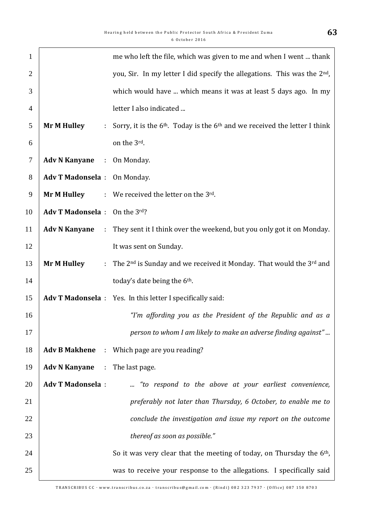| $\mathbf{1}$   |                                       |                              | me who left the file, which was given to me and when I went  thank                   |
|----------------|---------------------------------------|------------------------------|--------------------------------------------------------------------------------------|
| $\overline{2}$ |                                       |                              | you, Sir. In my letter I did specify the allegations. This was the 2 <sup>nd</sup> , |
| 3              |                                       |                              | which would have  which means it was at least 5 days ago. In my                      |
| $\overline{4}$ |                                       |                              | letter I also indicated                                                              |
| 5              | <b>Mr M Hulley</b>                    | $\mathcal{L}_{\mathrm{max}}$ | Sorry, it is the $6th$ . Today is the $6th$ and we received the letter I think       |
| 6              |                                       |                              | on the 3rd.                                                                          |
| 7              | <b>Adv N Kanyane</b>                  |                              | : On Monday.                                                                         |
| 8              | Adv T Madonsela : On Monday.          |                              |                                                                                      |
| 9              |                                       |                              | <b>Mr M Hulley</b> : We received the letter on the $3^{rd}$ .                        |
| 10             | Adv T Madonsela: On the 3rd?          |                              |                                                                                      |
| 11             | <b>Adv N Kanyane</b>                  |                              | : They sent it I think over the weekend, but you only got it on Monday.              |
| 12             |                                       |                              | It was sent on Sunday.                                                               |
| 13             | <b>Mr M Hulley</b>                    |                              | : The $2^{nd}$ is Sunday and we received it Monday. That would the $3^{rd}$ and      |
| 14             |                                       |                              | today's date being the 6 <sup>th</sup> .                                             |
| 15             |                                       |                              | Adv T Madonsela : Yes. In this letter I specifically said:                           |
| 16             |                                       |                              | "I'm affording you as the President of the Republic and as a                         |
| 17             |                                       |                              | person to whom I am likely to make an adverse finding against"                       |
| 18             |                                       |                              | <b>Adv B Makhene</b> : Which page are you reading?                                   |
| 19             | <b>Adv N Kanyane</b> : The last page. |                              |                                                                                      |
| 20             | <b>Adv T Madonsela:</b>               |                              | "to respond to the above at your earliest convenience,                               |
| 21             |                                       |                              | preferably not later than Thursday, 6 October, to enable me to                       |
| 22             |                                       |                              | conclude the investigation and issue my report on the outcome                        |
| 23             |                                       |                              | thereof as soon as possible."                                                        |
| 24             |                                       |                              | So it was very clear that the meeting of today, on Thursday the 6 <sup>th</sup> ,    |
| 25             |                                       |                              | was to receive your response to the allegations. I specifically said                 |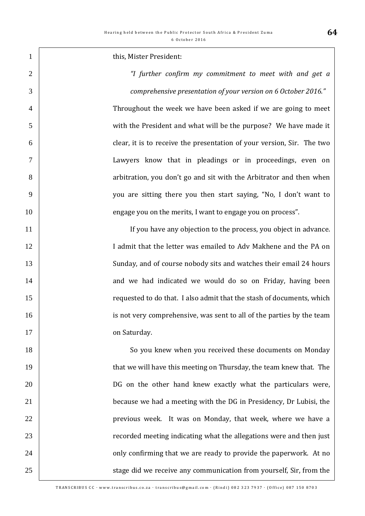**this, Mister President:**  *"I further confirm my commitment to meet with and get a comprehensive presentation of your version on 6 October 2016."*  Throughout the week we have been asked if we are going to meet with the President and what will be the purpose? We have made it clear, it is to receive the presentation of your version, Sir. The two Lawyers know that in pleadings or in proceedings, even on 8 8 8 arbitration, you don't go and sit with the Arbitrator and then when you are sitting there you then start saying, "No, I don't want to **engage 1** engage you on the merits. I want to engage you on process". 11 | If you have any objection to the process, you object in advance. 12 12 I admit that the letter was emailed to Adv Makhene and the PA on 13 Sunday, and of course nobody sits and watches their email 24 hours **14** and we had indicated we would do so on Friday, having been **The State of the standard is a standard to do that.** I also admit that the stash of documents, which **is not very comprehensive, was sent to all of the parties by the team** 17 on Saturday. 18 So you knew when you received these documents on Monday **that we will have this meeting on Thursday, the team knew that. The** 20 | DG on the other hand knew exactly what the particulars were, **because we had a meeting with the DG in Presidency, Dr Lubisi, the previous week.** It was on Monday, that week, where we have a **Fig. 23 recorded meeting indicating what the allegations were and then just buy** confirming that we are ready to provide the paperwork. At no 25 Stage did we receive any communication from yourself, Sir, from the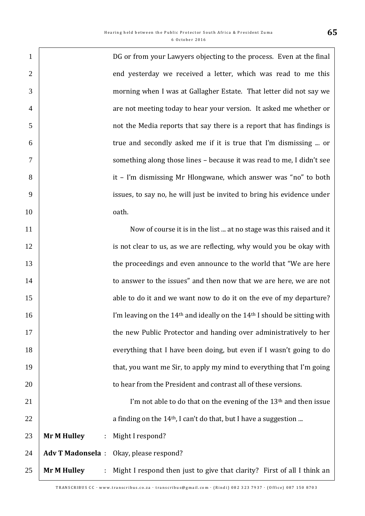| $\mathbf{1}$   |                         |   | DG or from your Lawyers objecting to the process. Even at the final                              |
|----------------|-------------------------|---|--------------------------------------------------------------------------------------------------|
| $\overline{2}$ |                         |   | end yesterday we received a letter, which was read to me this                                    |
| 3              |                         |   | morning when I was at Gallagher Estate. That letter did not say we                               |
| $\overline{4}$ |                         |   | are not meeting today to hear your version. It asked me whether or                               |
| 5              |                         |   | not the Media reports that say there is a report that has findings is                            |
| 6              |                         |   | true and secondly asked me if it is true that I'm dismissing  or                                 |
| 7              |                         |   | something along those lines - because it was read to me, I didn't see                            |
| 8              |                         |   | it - I'm dismissing Mr Hlongwane, which answer was "no" to both                                  |
| 9              |                         |   | issues, to say no, he will just be invited to bring his evidence under                           |
| 10             |                         |   | oath.                                                                                            |
| 11             |                         |   | Now of course it is in the list  at no stage was this raised and it                              |
| 12             |                         |   | is not clear to us, as we are reflecting, why would you be okay with                             |
| 13             |                         |   | the proceedings and even announce to the world that "We are here                                 |
| 14             |                         |   | to answer to the issues" and then now that we are here, we are not                               |
| 15             |                         |   | able to do it and we want now to do it on the eve of my departure?                               |
| 16             |                         |   | I'm leaving on the 14 <sup>th</sup> and ideally on the 14 <sup>th</sup> I should be sitting with |
| 17             |                         |   | the new Public Protector and handing over administratively to her                                |
| 18             |                         |   | everything that I have been doing, but even if I wasn't going to do                              |
| 19             |                         |   | that, you want me Sir, to apply my mind to everything that I'm going                             |
| 20             |                         |   | to hear from the President and contrast all of these versions.                                   |
| 21             |                         |   | I'm not able to do that on the evening of the 13 <sup>th</sup> and then issue                    |
| 22             |                         |   | a finding on the 14 <sup>th</sup> , I can't do that, but I have a suggestion                     |
| 23             | <b>Mr M Hulley</b>      | ÷ | Might I respond?                                                                                 |
| 24             | <b>Adv T Madonsela:</b> |   | Okay, please respond?                                                                            |
| 25             | <b>Mr M Hulley</b>      | ÷ | Might I respond then just to give that clarity? First of all I think an                          |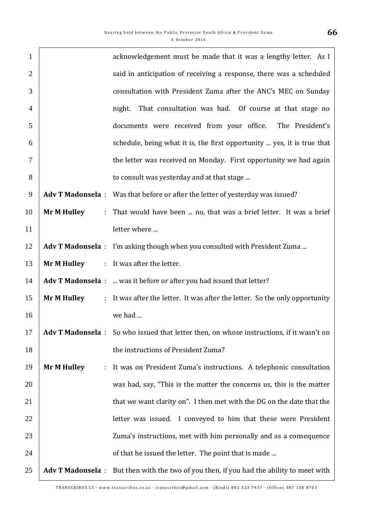| $\mathbf{1}$   |                         | acknowledgement must be made that it was a lengthy letter. As I                          |
|----------------|-------------------------|------------------------------------------------------------------------------------------|
| $\overline{2}$ |                         | said in anticipation of receiving a response, there was a scheduled                      |
| 3              |                         | consultation with President Zuma after the ANC's MEC on Sunday                           |
| $\overline{4}$ |                         | That consultation was had. Of course at that stage no<br>night.                          |
| 5              |                         | documents were received from your office.<br>The President's                             |
| 6              |                         | schedule, being what it is, the first opportunity  yes, it is true that                  |
| $\overline{7}$ |                         | the letter was received on Monday. First opportunity we had again                        |
| 8              |                         | to consult was yesterday and at that stage                                               |
| 9              |                         | Adv T Madonsela : Was that before or after the letter of yesterday was issued?           |
| 10             | <b>Mr M Hulley</b>      | : That would have been  no, that was a brief letter. It was a brief                      |
| 11             |                         | letter where                                                                             |
| 12             |                         | Adv T Madonsela : I'm asking though when you consulted with President Zuma               |
| 13             | <b>Mr M Hulley</b>      | : It was after the letter.                                                               |
| 14             |                         | Adv T Madonsela :  was it before or after you had issued that letter?                    |
| 15             | <b>Mr M Hulley</b>      | : It was after the letter. It was after the letter. So the only opportunity              |
| 16             |                         | we had                                                                                   |
| 17             |                         | Adv T Madonsela : So who issued that letter then, on whose instructions, if it wasn't on |
| 18             |                         | the instructions of President Zuma?                                                      |
| 19             | <b>Mr M Hulley</b><br>÷ | It was on President Zuma's instructions. A telephonic consultation                       |
| 20             |                         | was had, say, "This is the matter the concerns us, this is the matter                    |
| 21             |                         | that we want clarity on". I then met with the DG on the date that the                    |
| 22             |                         | letter was issued. I conveyed to him that these were President                           |
| 23             |                         | Zuma's instructions, met with him personally and as a consequence                        |
| 24             |                         | of that he issued the letter. The point that is made                                     |
| 25             | <b>Adv T Madonsela:</b> | But then with the two of you then, if you had the ability to meet with                   |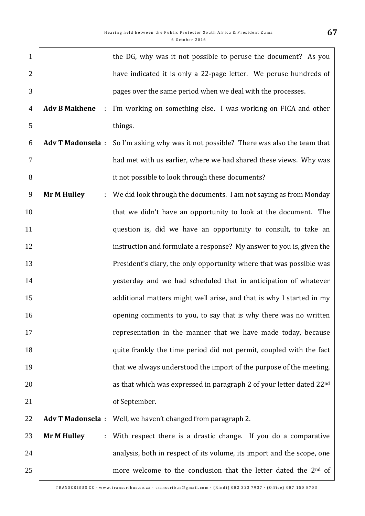| $\mathbf{1}$     |                         |    | the DG, why was it not possible to peruse the document? As you              |
|------------------|-------------------------|----|-----------------------------------------------------------------------------|
| $\overline{2}$   |                         |    | have indicated it is only a 22-page letter. We peruse hundreds of           |
| 3                |                         |    | pages over the same period when we deal with the processes.                 |
| $\overline{4}$   | <b>Adv B Makhene</b>    | ÷. | I'm working on something else. I was working on FICA and other              |
| 5                |                         |    | things.                                                                     |
| 6                | <b>Adv T Madonsela:</b> |    | So I'm asking why was it not possible? There was also the team that         |
| $\overline{7}$   |                         |    | had met with us earlier, where we had shared these views. Why was           |
| 8                |                         |    | it not possible to look through these documents?                            |
| $\boldsymbol{9}$ | <b>Mr M Hulley</b>      | t. | We did look through the documents. I am not saying as from Monday           |
| 10               |                         |    | that we didn't have an opportunity to look at the document. The             |
| 11               |                         |    | question is, did we have an opportunity to consult, to take an              |
| 12               |                         |    | instruction and formulate a response? My answer to you is, given the        |
| 13               |                         |    | President's diary, the only opportunity where that was possible was         |
| 14               |                         |    | yesterday and we had scheduled that in anticipation of whatever             |
| 15               |                         |    | additional matters might well arise, and that is why I started in my        |
| 16               |                         |    | opening comments to you, to say that is why there was no written            |
| 17               |                         |    | representation in the manner that we have made today, because               |
| 18               |                         |    | quite frankly the time period did not permit, coupled with the fact         |
| 19               |                         |    | that we always understood the import of the purpose of the meeting,         |
| 20               |                         |    | as that which was expressed in paragraph 2 of your letter dated 22nd        |
| 21               |                         |    | of September.                                                               |
| 22               |                         |    | Adv T Madonsela : Well, we haven't changed from paragraph 2.                |
| 23               | <b>Mr M Hulley</b>      | ÷  | With respect there is a drastic change. If you do a comparative             |
| 24               |                         |    | analysis, both in respect of its volume, its import and the scope, one      |
| 25               |                         |    | more welcome to the conclusion that the letter dated the 2 <sup>nd</sup> of |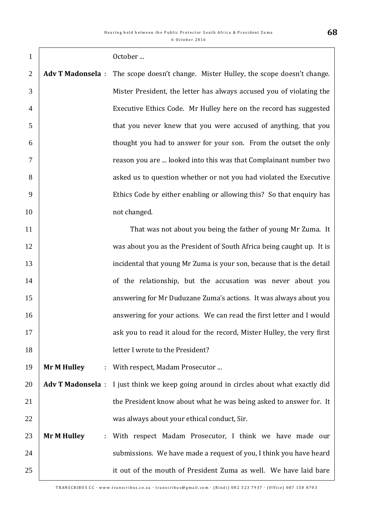| $\mathbf{1}$   |                                      | October                                                                               |
|----------------|--------------------------------------|---------------------------------------------------------------------------------------|
| $\overline{2}$ | <b>Adv T Madonsela:</b>              | The scope doesn't change. Mister Hulley, the scope doesn't change.                    |
| 3              |                                      | Mister President, the letter has always accused you of violating the                  |
| $\overline{4}$ |                                      | Executive Ethics Code. Mr Hulley here on the record has suggested                     |
| 5              |                                      | that you never knew that you were accused of anything, that you                       |
| 6              |                                      | thought you had to answer for your son. From the outset the only                      |
| $\tau$         |                                      | reason you are  looked into this was that Complainant number two                      |
| 8              |                                      | asked us to question whether or not you had violated the Executive                    |
| 9              |                                      | Ethics Code by either enabling or allowing this? So that enquiry has                  |
| 10             |                                      | not changed.                                                                          |
| 11             |                                      | That was not about you being the father of young Mr Zuma. It                          |
| 12             |                                      | was about you as the President of South Africa being caught up. It is                 |
| 13             |                                      | incidental that young Mr Zuma is your son, because that is the detail                 |
| 14             |                                      | of the relationship, but the accusation was never about you                           |
| 15             |                                      | answering for Mr Duduzane Zuma's actions. It was always about you                     |
| 16             |                                      | answering for your actions. We can read the first letter and I would                  |
| 17             |                                      | ask you to read it aloud for the record, Mister Hulley, the very first                |
| 18             |                                      | letter I wrote to the President?                                                      |
| 19             | <b>Mr M Hulley</b><br>$\mathbb{Z}^+$ | With respect, Madam Prosecutor                                                        |
| 20             |                                      | Adv T Madonsela : I just think we keep going around in circles about what exactly did |
| 21             |                                      | the President know about what he was being asked to answer for. It                    |
| 22             |                                      | was always about your ethical conduct, Sir.                                           |
| 23             | <b>Mr M Hulley</b><br>÷.             | With respect Madam Prosecutor, I think we have made our                               |
| 24             |                                      | submissions. We have made a request of you, I think you have heard                    |
| 25             |                                      | it out of the mouth of President Zuma as well. We have laid bare                      |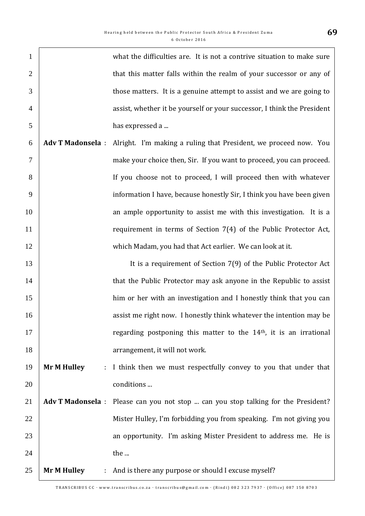| $\mathbf{1}$   |                          | what the difficulties are. It is not a contrive situation to make sure  |
|----------------|--------------------------|-------------------------------------------------------------------------|
| $\overline{2}$ |                          | that this matter falls within the realm of your successor or any of     |
| 3              |                          | those matters. It is a genuine attempt to assist and we are going to    |
| $\overline{4}$ |                          | assist, whether it be yourself or your successor, I think the President |
| 5              |                          | has expressed a                                                         |
| 6              | <b>Adv T Madonsela:</b>  | Alright. I'm making a ruling that President, we proceed now. You        |
| 7              |                          | make your choice then, Sir. If you want to proceed, you can proceed.    |
| 8              |                          | If you choose not to proceed, I will proceed then with whatever         |
| 9              |                          | information I have, because honestly Sir, I think you have been given   |
| 10             |                          | an ample opportunity to assist me with this investigation. It is a      |
| 11             |                          | requirement in terms of Section $7(4)$ of the Public Protector Act,     |
| 12             |                          | which Madam, you had that Act earlier. We can look at it.               |
| 13             |                          | It is a requirement of Section 7(9) of the Public Protector Act         |
| 14             |                          | that the Public Protector may ask anyone in the Republic to assist      |
| 15             |                          | him or her with an investigation and I honestly think that you can      |
| 16             |                          | assist me right now. I honestly think whatever the intention may be     |
| 17             |                          | regarding postponing this matter to the $14th$ , it is an irrational    |
| 18             |                          | arrangement, it will not work.                                          |
| 19             | <b>Mr M Hulley</b><br>÷. | I think then we must respectfully convey to you that under that         |
| 20             |                          | conditions                                                              |
| 21             | <b>Adv T Madonsela:</b>  | Please can you not stop  can you stop talking for the President?        |
| 22             |                          | Mister Hulley, I'm forbidding you from speaking. I'm not giving you     |
| 23             |                          | an opportunity. I'm asking Mister President to address me. He is        |
| 24             |                          | the                                                                     |
| 25             | <b>Mr M Hulley</b>       | : And is there any purpose or should I excuse myself?                   |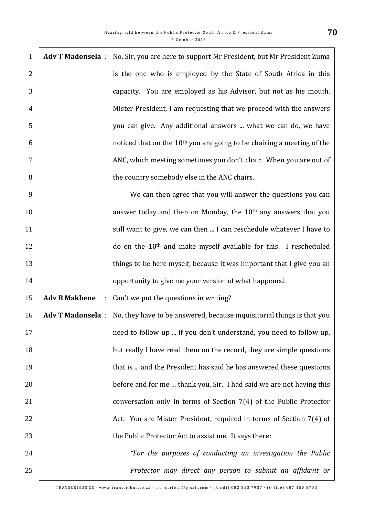| $\mathbf{1}$   |                           | Adv T Madonsela : No, Sir, you are here to support Mr President, but Mr President Zuma   |
|----------------|---------------------------|------------------------------------------------------------------------------------------|
| $\overline{2}$ |                           | is the one who is employed by the State of South Africa in this                          |
| 3              |                           | capacity. You are employed as his Advisor, but not as his mouth.                         |
| $\overline{4}$ |                           | Mister President, I am requesting that we proceed with the answers                       |
| 5              |                           | you can give. Any additional answers  what we can do, we have                            |
| 6              |                           | noticed that on the 10 <sup>th</sup> you are going to be chairing a meeting of the       |
| $\tau$         |                           | ANC, which meeting sometimes you don't chair. When you are out of                        |
| 8              |                           | the country somebody else in the ANC chairs.                                             |
| 9              |                           | We can then agree that you will answer the questions you can                             |
| 10             |                           | answer today and then on Monday, the 10 <sup>th</sup> any answers that you               |
| 11             |                           | still want to give, we can then  I can reschedule whatever I have to                     |
| 12             |                           | do on the 10 <sup>th</sup> and make myself available for this. I rescheduled             |
| 13             |                           | things to be here myself, because it was important that I give you an                    |
| 14             |                           | opportunity to give me your version of what happened.                                    |
| 15             | <b>Adv B Makhene</b><br>÷ | Can't we put the questions in writing?                                                   |
| 16             |                           | Adv T Madonsela : No, they have to be answered, because inquisitorial things is that you |
| 17             |                           | need to follow up  if you don't understand, you need to follow up,                       |
| 18             |                           | but really I have read them on the record, they are simple questions                     |
| 19             |                           | that is  and the President has said he has answered these questions                      |
| 20             |                           | before and for me  thank you, Sir. I had said we are not having this                     |
| 21             |                           | conversation only in terms of Section 7(4) of the Public Protector                       |
| 22             |                           | Act. You are Mister President, required in terms of Section 7(4) of                      |
| 23             |                           | the Public Protector Act to assist me. It says there:                                    |
| 24             |                           | "For the purposes of conducting an investigation the Public                              |
| 25             |                           | Protector may direct any person to submit an affidavit or                                |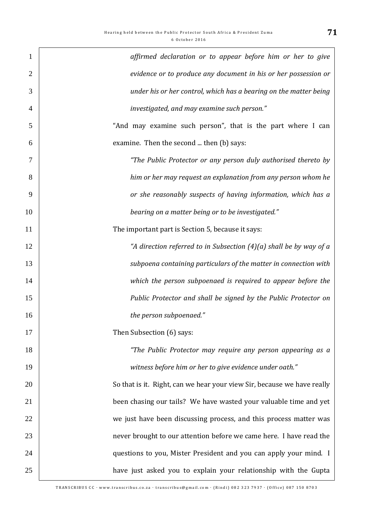| $\mathbf{1}$   | affirmed declaration or to appear before him or her to give             |
|----------------|-------------------------------------------------------------------------|
| $\overline{2}$ | evidence or to produce any document in his or her possession or         |
| 3              | under his or her control, which has a bearing on the matter being       |
| $\overline{4}$ | investigated, and may examine such person."                             |
| 5              | "And may examine such person", that is the part where I can             |
| 6              | examine. Then the second  then (b) says:                                |
| 7              | "The Public Protector or any person duly authorised thereto by          |
| 8              | him or her may request an explanation from any person whom he           |
| 9              | or she reasonably suspects of having information, which has a           |
| 10             | bearing on a matter being or to be investigated."                       |
| 11             | The important part is Section 5, because it says:                       |
| 12             | "A direction referred to in Subsection $(4)(a)$ shall be by way of a    |
| 13             | subpoena containing particulars of the matter in connection with        |
| 14             | which the person subpoenaed is required to appear before the            |
| 15             | Public Protector and shall be signed by the Public Protector on         |
| 16             | the person subpoenaed."                                                 |
| 17             | Then Subsection (6) says:                                               |
| 18             | "The Public Protector may require any person appearing as a             |
| 19             | witness before him or her to give evidence under oath."                 |
| 20             | So that is it. Right, can we hear your view Sir, because we have really |
| 21             | been chasing our tails? We have wasted your valuable time and yet       |
| 22             | we just have been discussing process, and this process matter was       |
| 23             | never brought to our attention before we came here. I have read the     |
| 24             | questions to you, Mister President and you can apply your mind. I       |
| 25             | have just asked you to explain your relationship with the Gupta         |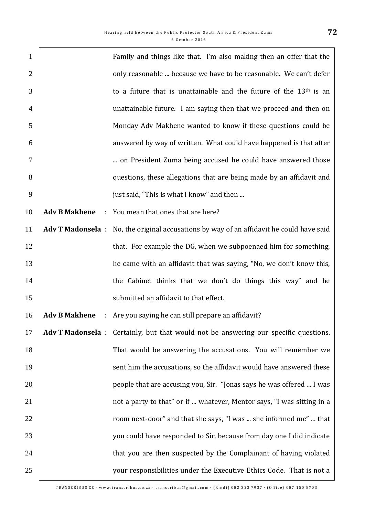| $\mathbf{1}$   |                                        | Family and things like that. I'm also making then an offer that the    |
|----------------|----------------------------------------|------------------------------------------------------------------------|
| $\overline{2}$ |                                        | only reasonable  because we have to be reasonable. We can't defer      |
| 3              |                                        | to a future that is unattainable and the future of the $13th$ is an    |
| $\overline{4}$ |                                        | unattainable future. I am saying then that we proceed and then on      |
| 5              |                                        | Monday Adv Makhene wanted to know if these questions could be          |
| 6              |                                        | answered by way of written. What could have happened is that after     |
| $\tau$         |                                        | on President Zuma being accused he could have answered those           |
| 8              |                                        | questions, these allegations that are being made by an affidavit and   |
| 9              |                                        | just said, "This is what I know" and then                              |
| 10             | <b>Adv B Makhene</b><br>$\mathbb{R}^n$ | You mean that ones that are here?                                      |
| 11             | <b>Adv T Madonsela:</b>                | No, the original accusations by way of an affidavit he could have said |
| 12             |                                        | that. For example the DG, when we subpoenaed him for something,        |
| 13             |                                        | he came with an affidavit that was saying, "No, we don't know this,    |
| 14             |                                        | the Cabinet thinks that we don't do things this way" and he            |
| 15             |                                        | submitted an affidavit to that effect.                                 |
| 16             | <b>Adv B Makhene</b><br>÷              | Are you saying he can still prepare an affidavit?                      |
| 17             | <b>Adv T Madonsela:</b>                | Certainly, but that would not be answering our specific questions.     |
| 18             |                                        | That would be answering the accusations. You will remember we          |
| 19             |                                        | sent him the accusations, so the affidavit would have answered these   |
| 20             |                                        | people that are accusing you, Sir. "Jonas says he was offered  I was   |
| 21             |                                        | not a party to that" or if  whatever, Mentor says, "I was sitting in a |
| 22             |                                        | room next-door" and that she says, "I was  she informed me"  that      |
| 23             |                                        | you could have responded to Sir, because from day one I did indicate   |
| 24             |                                        | that you are then suspected by the Complainant of having violated      |
| 25             |                                        | your responsibilities under the Executive Ethics Code. That is not a   |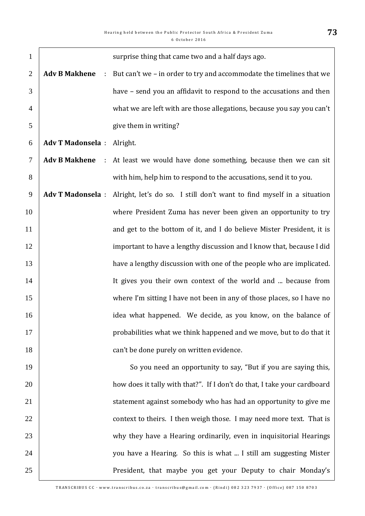| $\mathbf{1}$   |                         |   | surprise thing that came two and a half days ago.                                        |
|----------------|-------------------------|---|------------------------------------------------------------------------------------------|
| $\overline{2}$ | <b>Adv B Makhene</b>    | ÷ | But can't we - in order to try and accommodate the timelines that we                     |
| 3              |                         |   | have – send you an affidavit to respond to the accusations and then                      |
| $\overline{4}$ |                         |   | what we are left with are those allegations, because you say you can't                   |
| 5              |                         |   | give them in writing?                                                                    |
| 6              | <b>Adv T Madonsela:</b> |   | Alright.                                                                                 |
| 7              |                         |   | <b>Adv B Makhene</b> : At least we would have done something, because then we can sit    |
| 8              |                         |   | with him, help him to respond to the accusations, send it to you.                        |
| 9              |                         |   | Adv T Madonsela : Alright, let's do so. I still don't want to find myself in a situation |
| 10             |                         |   | where President Zuma has never been given an opportunity to try                          |
| 11             |                         |   | and get to the bottom of it, and I do believe Mister President, it is                    |
| 12             |                         |   | important to have a lengthy discussion and I know that, because I did                    |
| 13             |                         |   | have a lengthy discussion with one of the people who are implicated.                     |
| 14             |                         |   | It gives you their own context of the world and  because from                            |
| 15             |                         |   | where I'm sitting I have not been in any of those places, so I have no                   |
| 16             |                         |   | idea what happened. We decide, as you know, on the balance of                            |
| 17             |                         |   | probabilities what we think happened and we move, but to do that it                      |
| 18             |                         |   | can't be done purely on written evidence.                                                |
| 19             |                         |   | So you need an opportunity to say, "But if you are saying this,                          |
| 20             |                         |   | how does it tally with that?". If I don't do that, I take your cardboard                 |
| 21             |                         |   | statement against somebody who has had an opportunity to give me                         |
| 22             |                         |   | context to theirs. I then weigh those. I may need more text. That is                     |
| 23             |                         |   | why they have a Hearing ordinarily, even in inquisitorial Hearings                       |
| 24             |                         |   | you have a Hearing. So this is what  I still am suggesting Mister                        |
| 25             |                         |   | President, that maybe you get your Deputy to chair Monday's                              |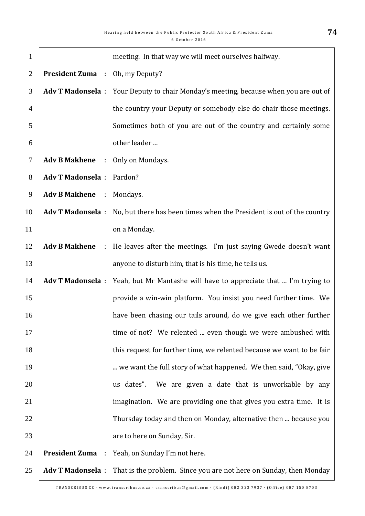| $\mathbf{1}$   |                                        |             | meeting. In that way we will meet ourselves halfway.                                    |
|----------------|----------------------------------------|-------------|-----------------------------------------------------------------------------------------|
| $\overline{2}$ | <b>President Zuma</b> : Oh, my Deputy? |             |                                                                                         |
| 3              |                                        |             | Adv T Madonsela : Your Deputy to chair Monday's meeting, because when you are out of    |
| $\overline{4}$ |                                        |             | the country your Deputy or somebody else do chair those meetings.                       |
| 5              |                                        |             | Sometimes both of you are out of the country and certainly some                         |
| 6              |                                        |             | other leader                                                                            |
| $\tau$         | <b>Adv B Makhene</b>                   | $\sim 10^6$ | Only on Mondays.                                                                        |
| 8              | <b>Adv T Madonsela</b> : Pardon?       |             |                                                                                         |
| 9              | Adv B Makhene : Mondays.               |             |                                                                                         |
| 10             |                                        |             | Adv T Madonsela : No, but there has been times when the President is out of the country |
| 11             |                                        |             | on a Monday.                                                                            |
| 12             |                                        |             | Adv B Makhene : He leaves after the meetings. I'm just saying Gwede doesn't want        |
| 13             |                                        |             | anyone to disturb him, that is his time, he tells us.                                   |
| 14             |                                        |             | Adv T Madonsela : Yeah, but Mr Mantashe will have to appreciate that  I'm trying to     |
| 15             |                                        |             | provide a win-win platform. You insist you need further time. We                        |
| 16             |                                        |             | have been chasing our tails around, do we give each other further                       |
| 17             |                                        |             | time of not? We relented  even though we were ambushed with                             |
| 18             |                                        |             | this request for further time, we relented because we want to be fair                   |
| 19             |                                        |             | we want the full story of what happened. We then said, "Okay, give                      |
| 20             |                                        |             | We are given a date that is unworkable by any<br>us dates".                             |
| 21             |                                        |             | imagination. We are providing one that gives you extra time. It is                      |
| 22             |                                        |             | Thursday today and then on Monday, alternative then  because you                        |
| 23             |                                        |             | are to here on Sunday, Sir.                                                             |
| 24             |                                        |             | <b>President Zuma</b> : Yeah, on Sunday I'm not here.                                   |
| 25             |                                        |             | Adv T Madonsela : That is the problem. Since you are not here on Sunday, then Monday    |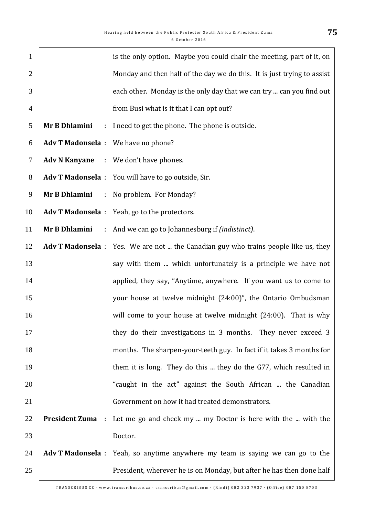| $\mathbf{1}$   |                                     | is the only option. Maybe you could chair the meeting, part of it, on               |
|----------------|-------------------------------------|-------------------------------------------------------------------------------------|
| $\overline{2}$ |                                     | Monday and then half of the day we do this. It is just trying to assist             |
| 3              |                                     | each other. Monday is the only day that we can try  can you find out                |
| $\overline{4}$ |                                     | from Busi what is it that I can opt out?                                            |
| 5              | Mr B Dhlamini                       | : I need to get the phone. The phone is outside.                                    |
| 6              | Adv T Madonsela : We have no phone? |                                                                                     |
| 7              |                                     | Adv N Kanyane : We don't have phones.                                               |
| 8              |                                     | Adv T Madonsela : You will have to go outside, Sir.                                 |
| 9              |                                     | Mr B Dhlamini : No problem. For Monday?                                             |
| 10             |                                     | Adv T Madonsela : Yeah, go to the protectors.                                       |
| 11             | Mr B Dhlamini                       | : And we can go to Johannesburg if <i>(indistinct)</i> .                            |
| 12             |                                     | Adv T Madonsela : Yes. We are not  the Canadian guy who trains people like us, they |
| 13             |                                     | say with them  which unfortunately is a principle we have not                       |
| 14             |                                     | applied, they say, "Anytime, anywhere. If you want us to come to                    |
| 15             |                                     | your house at twelve midnight (24:00)", the Ontario Ombudsman                       |
| 16             |                                     | will come to your house at twelve midnight (24:00). That is why                     |
| 17             |                                     | they do their investigations in 3 months. They never exceed 3                       |
| 18             |                                     | months. The sharpen-your-teeth guy. In fact if it takes 3 months for                |
| 19             |                                     | them it is long. They do this  they do the G77, which resulted in                   |
| 20             |                                     | "caught in the act" against the South African  the Canadian                         |
| 21             |                                     | Government on how it had treated demonstrators.                                     |
| 22             | <b>President Zuma</b> :             | Let me go and check my  my Doctor is here with the  with the                        |
| 23             |                                     | Doctor.                                                                             |
| 24             |                                     | Adv T Madonsela : Yeah, so anytime anywhere my team is saying we can go to the      |
| 25             |                                     | President, wherever he is on Monday, but after he has then done half                |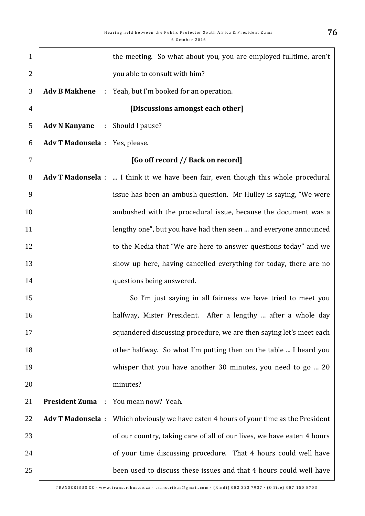| $\mathbf{1}$   |                                | the meeting. So what about you, you are employed fulltime, aren't                     |
|----------------|--------------------------------|---------------------------------------------------------------------------------------|
| $\overline{2}$ |                                | you able to consult with him?                                                         |
| 3              | <b>Adv B Makhene</b>           | : Yeah, but I'm booked for an operation.                                              |
| $\overline{4}$ |                                | [Discussions amongst each other]                                                      |
| 5              | <b>Adv N Kanyane</b>           | : Should I pause?                                                                     |
| 6              | Adv T Madonsela : Yes, please. |                                                                                       |
| $\tau$         |                                | [Go off record // Back on record]                                                     |
| 8              |                                | Adv T Madonsela :  I think it we have been fair, even though this whole procedural    |
| 9              |                                | issue has been an ambush question. Mr Hulley is saying, "We were                      |
| 10             |                                | ambushed with the procedural issue, because the document was a                        |
| 11             |                                | lengthy one", but you have had then seen  and everyone announced                      |
| 12             |                                | to the Media that "We are here to answer questions today" and we                      |
| 13             |                                | show up here, having cancelled everything for today, there are no                     |
| 14             |                                | questions being answered.                                                             |
| 15             |                                | So I'm just saying in all fairness we have tried to meet you                          |
| 16             |                                | halfway, Mister President. After a lengthy  after a whole day                         |
| 17             |                                | squandered discussing procedure, we are then saying let's meet each                   |
| 18             |                                | other halfway. So what I'm putting then on the table  I heard you                     |
| 19             |                                | whisper that you have another 30 minutes, you need to go  20                          |
| 20             |                                | minutes?                                                                              |
| 21             |                                | <b>President Zuma</b> : You mean now? Yeah.                                           |
| 22             |                                | Adv T Madonsela : Which obviously we have eaten 4 hours of your time as the President |
| 23             |                                | of our country, taking care of all of our lives, we have eaten 4 hours                |
| 24             |                                | of your time discussing procedure. That 4 hours could well have                       |
| 25             |                                | been used to discuss these issues and that 4 hours could well have                    |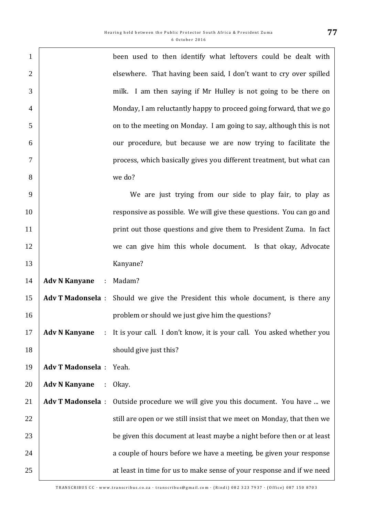| $\mathbf{1}$   |                                   | been used to then identify what leftovers could be dealt with                    |
|----------------|-----------------------------------|----------------------------------------------------------------------------------|
| $\overline{2}$ |                                   | elsewhere. That having been said, I don't want to cry over spilled               |
| 3              |                                   | milk. I am then saying if Mr Hulley is not going to be there on                  |
| $\overline{4}$ |                                   | Monday, I am reluctantly happy to proceed going forward, that we go              |
| 5              |                                   | on to the meeting on Monday. I am going to say, although this is not             |
| 6              |                                   | our procedure, but because we are now trying to facilitate the                   |
| 7              |                                   | process, which basically gives you different treatment, but what can             |
| 8              |                                   | we do?                                                                           |
| 9              |                                   | We are just trying from our side to play fair, to play as                        |
| 10             |                                   | responsive as possible. We will give these questions. You can go and             |
| 11             |                                   | print out those questions and give them to President Zuma. In fact               |
| 12             |                                   | we can give him this whole document. Is that okay, Advocate                      |
| 13             |                                   | Kanyane?                                                                         |
| 14             | <b>Adv N Kanyane</b><br>$\sim$    | Madam?                                                                           |
| 15             |                                   | Adv T Madonsela : Should we give the President this whole document, is there any |
| 16             |                                   | problem or should we just give him the questions?                                |
| 17             | <b>Adv N Kanyane</b><br>$\sim 10$ | It is your call. I don't know, it is your call. You asked whether you            |
| 18             |                                   | should give just this?                                                           |
| 19             | <b>Adv T Madonsela:</b>           | Yeah.                                                                            |
| 20             | <b>Adv N Kanyane</b><br>$\sim 10$ | Okay.                                                                            |
| 21             | <b>Adv T Madonsela:</b>           | Outside procedure we will give you this document. You have  we                   |
| 22             |                                   | still are open or we still insist that we meet on Monday, that then we           |
| 23             |                                   | be given this document at least maybe a night before then or at least            |
| 24             |                                   | a couple of hours before we have a meeting, be given your response               |
| 25             |                                   | at least in time for us to make sense of your response and if we need            |
|                |                                   |                                                                                  |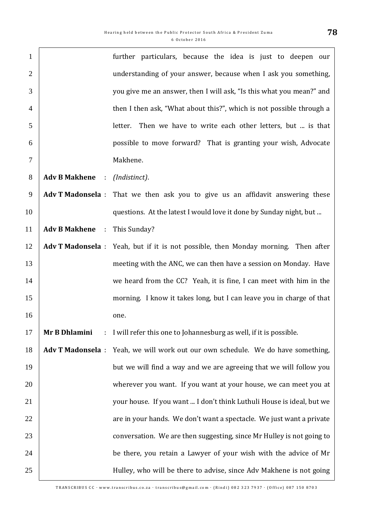| $\mathbf{1}$   |                        | further particulars, because the idea is just to deepen our                        |
|----------------|------------------------|------------------------------------------------------------------------------------|
| $\overline{2}$ |                        | understanding of your answer, because when I ask you something,                    |
| 3              |                        | you give me an answer, then I will ask, "Is this what you mean?" and               |
| $\overline{4}$ |                        | then I then ask, "What about this?", which is not possible through a               |
| 5              |                        | Then we have to write each other letters, but  is that<br>letter.                  |
| 6              |                        | possible to move forward? That is granting your wish, Advocate                     |
| $\tau$         |                        | Makhene.                                                                           |
| 8              | <b>Adv B Makhene :</b> | (Indistinct).                                                                      |
| 9              |                        | Adv T Madonsela : That we then ask you to give us an affidavit answering these     |
| 10             |                        | questions. At the latest I would love it done by Sunday night, but                 |
| 11             | <b>Adv B Makhene</b> : | This Sunday?                                                                       |
| 12             |                        | Adv T Madonsela : Yeah, but if it is not possible, then Monday morning. Then after |
| 13             |                        | meeting with the ANC, we can then have a session on Monday. Have                   |
| 14             |                        | we heard from the CC? Yeah, it is fine, I can meet with him in the                 |
| 15             |                        | morning. I know it takes long, but I can leave you in charge of that               |
| 16             |                        | one.                                                                               |
| 17             | Mr B Dhlamini<br>÷.    | I will refer this one to Johannesburg as well, if it is possible.                  |
| 18             |                        | Adv T Madonsela : Yeah, we will work out our own schedule. We do have something,   |
| 19             |                        | but we will find a way and we are agreeing that we will follow you                 |
| 20             |                        | wherever you want. If you want at your house, we can meet you at                   |
| 21             |                        | your house. If you want  I don't think Luthuli House is ideal, but we              |
| 22             |                        | are in your hands. We don't want a spectacle. We just want a private               |
| 23             |                        | conversation. We are then suggesting, since Mr Hulley is not going to              |
| 24             |                        | be there, you retain a Lawyer of your wish with the advice of Mr                   |
| 25             |                        | Hulley, who will be there to advise, since Adv Makhene is not going                |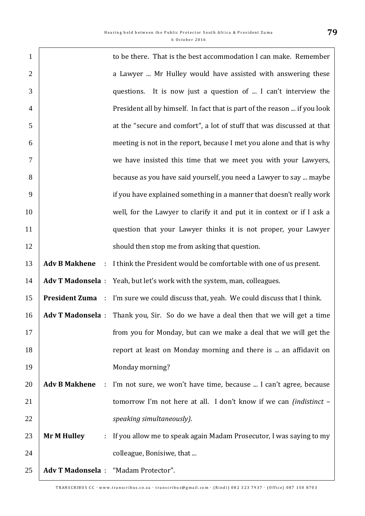$\Gamma$ 

| $\mathbf{1}$   |                                   | to be there. That is the best accommodation I can make. Remember                             |
|----------------|-----------------------------------|----------------------------------------------------------------------------------------------|
| $\overline{2}$ |                                   | a Lawyer  Mr Hulley would have assisted with answering these                                 |
| 3              |                                   | questions. It is now just a question of  I can't interview the                               |
| $\overline{4}$ |                                   | President all by himself. In fact that is part of the reason  if you look                    |
| 5              |                                   | at the "secure and comfort", a lot of stuff that was discussed at that                       |
| 6              |                                   | meeting is not in the report, because I met you alone and that is why                        |
| 7              |                                   | we have insisted this time that we meet you with your Lawyers,                               |
| 8              |                                   | because as you have said yourself, you need a Lawyer to say  maybe                           |
| 9              |                                   | if you have explained something in a manner that doesn't really work                         |
| 10             |                                   | well, for the Lawyer to clarify it and put it in context or if I ask a                       |
| 11             |                                   | question that your Lawyer thinks it is not proper, your Lawyer                               |
| 12             |                                   | should then stop me from asking that question.                                               |
| 13             |                                   | Adv B Makhene : I think the President would be comfortable with one of us present.           |
| 14             |                                   | Adv T Madonsela : Yeah, but let's work with the system, man, colleagues.                     |
| 15             |                                   | <b>President Zuma</b> : I'm sure we could discuss that, yeah. We could discuss that I think. |
| 16             |                                   | Adv T Madonsela : Thank you, Sir. So do we have a deal then that we will get a time          |
| 17             |                                   | from you for Monday, but can we make a deal that we will get the                             |
| 18             |                                   | report at least on Monday morning and there is  an affidavit on                              |
| 19             |                                   | Monday morning?                                                                              |
| 20             | <b>Adv B Makhene</b><br>$\sim$ 1. | I'm not sure, we won't have time, because  I can't agree, because                            |
| 21             |                                   | tomorrow I'm not here at all. I don't know if we can <i>(indistinct -</i>                    |
| 22             |                                   | speaking simultaneously).                                                                    |
| 23             | <b>Mr M Hulley</b><br>÷           | If you allow me to speak again Madam Prosecutor, I was saying to my                          |
| 24             |                                   | colleague, Bonisiwe, that                                                                    |
| 25             |                                   | Adv T Madonsela : "Madam Protector".                                                         |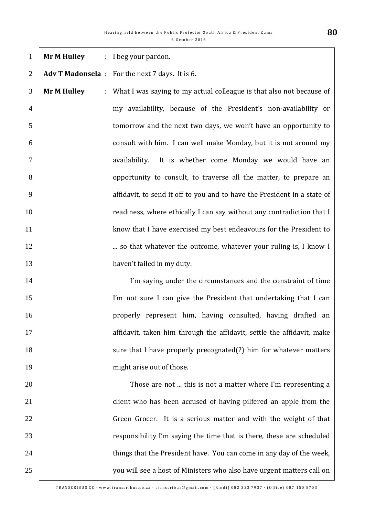| $\mathbf{1}$   | <b>Mr M Hulley</b> | : I beg your pardon.                                                     |
|----------------|--------------------|--------------------------------------------------------------------------|
| $\overline{2}$ |                    | Adv T Madonsela : For the next 7 days. It is 6.                          |
| 3              | <b>Mr M Hulley</b> | : What I was saying to my actual colleague is that also not because of   |
| $\overline{4}$ |                    | my availability, because of the President's non-availability or          |
| 5              |                    | tomorrow and the next two days, we won't have an opportunity to          |
| 6              |                    | consult with him. I can well make Monday, but it is not around my        |
| $\tau$         |                    | availability. It is whether come Monday we would have an                 |
| 8              |                    | opportunity to consult, to traverse all the matter, to prepare an        |
| 9              |                    | affidavit, to send it off to you and to have the President in a state of |
| 10             |                    | readiness, where ethically I can say without any contradiction that I    |
| 11             |                    | know that I have exercised my best endeavours for the President to       |
| 12             |                    | so that whatever the outcome, whatever your ruling is, I know I          |
| 13             |                    | haven't failed in my duty.                                               |
| 14             |                    | I'm saying under the circumstances and the constraint of time            |
| 15             |                    | I'm not sure I can give the President that undertaking that I can        |
| 16             |                    | properly represent him, having consulted, having drafted an              |
| 17             |                    | affidavit, taken him through the affidavit, settle the affidavit, make   |
| 18             |                    | sure that I have properly precognated(?) him for whatever matters        |
| 19             |                    | might arise out of those.                                                |
| 20             |                    | Those are not  this is not a matter where I'm representing a             |
| 21             |                    | client who has been accused of having pilfered an apple from the         |
| 22             |                    | Green Grocer. It is a serious matter and with the weight of that         |
| 23             |                    | responsibility I'm saying the time that is there, these are scheduled    |
| 24             |                    | things that the President have. You can come in any day of the week,     |
| 25             |                    | you will see a host of Ministers who also have urgent matters call on    |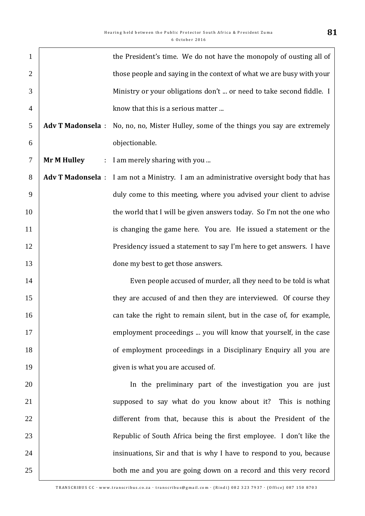| $\mathbf{1}$   |                         | the President's time. We do not have the monopoly of ousting all of                   |
|----------------|-------------------------|---------------------------------------------------------------------------------------|
| $\overline{2}$ |                         | those people and saying in the context of what we are busy with your                  |
| 3              |                         | Ministry or your obligations don't  or need to take second fiddle. I                  |
| $\overline{4}$ |                         | know that this is a serious matter                                                    |
| 5              | <b>Adv T Madonsela:</b> | No, no, no, Mister Hulley, some of the things you say are extremely                   |
| 6              |                         | objectionable.                                                                        |
| $\tau$         | <b>Mr M Hulley</b>      | : I am merely sharing with you                                                        |
| 8              |                         | Adv T Madonsela : I am not a Ministry. I am an administrative oversight body that has |
| 9              |                         | duly come to this meeting, where you advised your client to advise                    |
| 10             |                         | the world that I will be given answers today. So I'm not the one who                  |
| 11             |                         | is changing the game here. You are. He issued a statement or the                      |
| 12             |                         | Presidency issued a statement to say I'm here to get answers. I have                  |
| 13             |                         | done my best to get those answers.                                                    |
| 14             |                         | Even people accused of murder, all they need to be told is what                       |
| 15             |                         | they are accused of and then they are interviewed. Of course they                     |
| 16             |                         | can take the right to remain silent, but in the case of, for example,                 |
| 17             |                         | employment proceedings  you will know that yourself, in the case                      |
| 18             |                         | of employment proceedings in a Disciplinary Enquiry all you are                       |
| 19             |                         | given is what you are accused of.                                                     |
| 20             |                         | In the preliminary part of the investigation you are just                             |
| 21             |                         | supposed to say what do you know about it? This is nothing                            |
| 22             |                         | different from that, because this is about the President of the                       |
| 23             |                         | Republic of South Africa being the first employee. I don't like the                   |
| 24             |                         | insinuations, Sir and that is why I have to respond to you, because                   |
| 25             |                         | both me and you are going down on a record and this very record                       |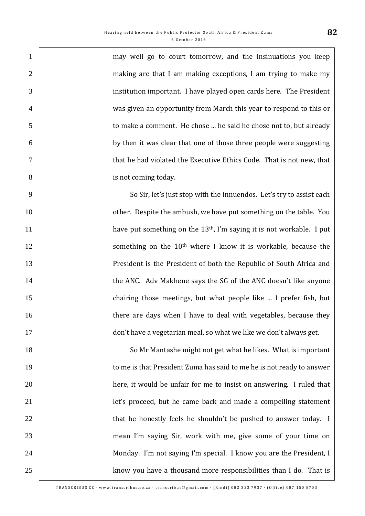1 | may well go to court tomorrow, and the insinuations you keep 2 making are that I am making exceptions, I am trying to make my institution important. I have played open cards here. The President was given an opportunity from March this year to respond to this or to make a comment. He chose ... he said he chose not to, but already by then it was clear that one of those three people were suggesting that he had violated the Executive Ethics Code. That is not new, that **is not coming today.** 

9 So Sir, let's just stop with the innuendos. Let's try to assist each 10 **10** other. Despite the ambush, we have put something on the table. You  $\mu$  have put something on the 13<sup>th</sup>, I'm saying it is not workable. I put 12 | something on the 10<sup>th</sup> where I know it is workable, because the 13 | President is the President of both the Republic of South Africa and 14 **the ANC.** Adv Makhene says the SG of the ANC doesn't like anyone 15 **chairing those meetings, but what people like ... I prefer fish, but** 16 **there are days when I have to deal with vegetables, because they** 17 don't have a vegetarian meal, so what we like we don't always get.

18 So Mr Mantashe might not get what he likes. What is important 19 to me is that President Zuma has said to me he is not ready to answer 20 **here**, it would be unfair for me to insist on answering. I ruled that 21 | let's proceed, but he came back and made a compelling statement 22 1 23 mean I'm saying Sir, work with me, give some of your time on 24 Monday. I'm not saying I'm special. I know you are the President, I 25 Xhow you have a thousand more responsibilities than I do. That is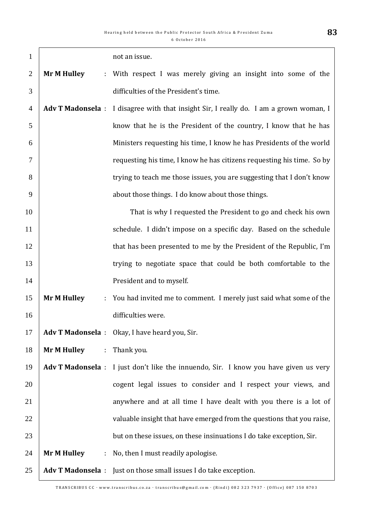| $\mathbf{1}$   |                    |    | not an issue.                                                                          |
|----------------|--------------------|----|----------------------------------------------------------------------------------------|
| $\overline{2}$ | <b>Mr M Hulley</b> |    | : With respect I was merely giving an insight into some of the                         |
| 3              |                    |    | difficulties of the President's time.                                                  |
| $\overline{4}$ |                    |    | Adv T Madonsela : I disagree with that insight Sir, I really do. I am a grown woman, I |
| 5              |                    |    | know that he is the President of the country, I know that he has                       |
| 6              |                    |    | Ministers requesting his time, I know he has Presidents of the world                   |
| $\tau$         |                    |    | requesting his time, I know he has citizens requesting his time. So by                 |
| 8              |                    |    | trying to teach me those issues, you are suggesting that I don't know                  |
| 9              |                    |    | about those things. I do know about those things.                                      |
| 10             |                    |    | That is why I requested the President to go and check his own                          |
| 11             |                    |    | schedule. I didn't impose on a specific day. Based on the schedule                     |
| 12             |                    |    | that has been presented to me by the President of the Republic, I'm                    |
| 13             |                    |    | trying to negotiate space that could be both comfortable to the                        |
| 14             |                    |    | President and to myself.                                                               |
| 15             | <b>Mr M Hulley</b> | ÷. | You had invited me to comment. I merely just said what some of the                     |
| 16             |                    |    | difficulties were.                                                                     |
| 17             |                    |    | Adv T Madonsela : Okay, I have heard you, Sir.                                         |
| 18             | <b>Mr M Hulley</b> |    | : Thank you.                                                                           |
| 19             |                    |    | Adv T Madonsela : I just don't like the innuendo, Sir. I know you have given us very   |
| 20             |                    |    | cogent legal issues to consider and I respect your views, and                          |
| 21             |                    |    | anywhere and at all time I have dealt with you there is a lot of                       |
| 22             |                    |    | valuable insight that have emerged from the questions that you raise,                  |
| 23             |                    |    | but on these issues, on these insinuations I do take exception, Sir.                   |
| 24             | <b>Mr M Hulley</b> | ÷  | No, then I must readily apologise.                                                     |
| 25             |                    |    | Adv T Madonsela : Just on those small issues I do take exception.                      |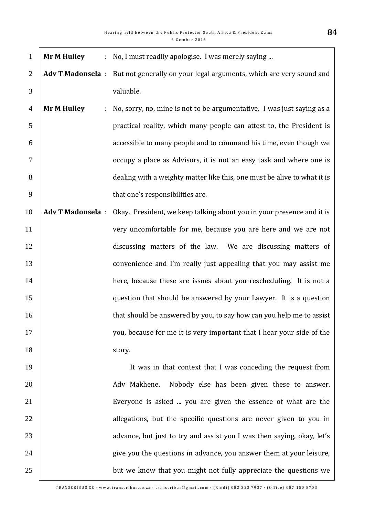| $\mathbf{1}$   | <b>Mr M Hulley</b><br>÷. | No, I must readily apologise. I was merely saying                        |
|----------------|--------------------------|--------------------------------------------------------------------------|
| $\overline{2}$ | <b>Adv T Madonsela:</b>  | But not generally on your legal arguments, which are very sound and      |
| 3              |                          | valuable.                                                                |
| $\overline{4}$ | <b>Mr M Hulley</b><br>÷  | No, sorry, no, mine is not to be argumentative. I was just saying as a   |
| 5              |                          | practical reality, which many people can attest to, the President is     |
| 6              |                          | accessible to many people and to command his time, even though we        |
| $\overline{7}$ |                          | occupy a place as Advisors, it is not an easy task and where one is      |
| 8              |                          | dealing with a weighty matter like this, one must be alive to what it is |
| 9              |                          | that one's responsibilities are.                                         |
| 10             | <b>Adv T Madonsela:</b>  | Okay. President, we keep talking about you in your presence and it is    |
| 11             |                          | very uncomfortable for me, because you are here and we are not           |
| 12             |                          | discussing matters of the law. We are discussing matters of              |
| 13             |                          | convenience and I'm really just appealing that you may assist me         |
| 14             |                          | here, because these are issues about you rescheduling. It is not a       |
| 15             |                          | question that should be answered by your Lawyer. It is a question        |
| 16             |                          | that should be answered by you, to say how can you help me to assist     |
| 17             |                          | you, because for me it is very important that I hear your side of the    |
| 18             |                          | story.                                                                   |
| 19             |                          | It was in that context that I was conceding the request from             |
| 20             |                          | Adv Makhene.<br>Nobody else has been given these to answer.              |
| 21             |                          | Everyone is asked  you are given the essence of what are the             |
| 22             |                          | allegations, but the specific questions are never given to you in        |
| 23             |                          | advance, but just to try and assist you I was then saying, okay, let's   |
| 24             |                          | give you the questions in advance, you answer them at your leisure,      |
| 25             |                          | but we know that you might not fully appreciate the questions we         |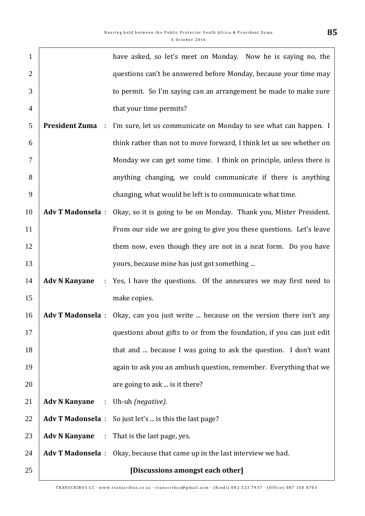| $\mathbf{1}$   |                                       | have asked, so let's meet on Monday. Now he is saying no, the                      |
|----------------|---------------------------------------|------------------------------------------------------------------------------------|
| $\overline{2}$ |                                       | questions can't be answered before Monday, because your time may                   |
| 3              |                                       | to permit. So I'm saying can an arrangement be made to make sure                   |
| $\overline{4}$ |                                       | that your time permits?                                                            |
| 5              | <b>President Zuma</b><br>÷            | I'm sure, let us communicate on Monday to see what can happen. I                   |
| 6              |                                       | think rather than not to move forward, I think let us see whether on               |
| 7              |                                       | Monday we can get some time. I think on principle, unless there is                 |
| 8              |                                       | anything changing, we could communicate if there is anything                       |
| 9              |                                       | changing, what would be left is to communicate what time.                          |
| 10             | <b>Adv T Madonsela:</b>               | Okay, so it is going to be on Monday. Thank you, Mister President.                 |
| 11             |                                       | From our side we are going to give you these questions. Let's leave                |
| 12             |                                       | them now, even though they are not in a neat form. Do you have                     |
| 13             |                                       | yours, because mine has just got something                                         |
| 14             | <b>Adv N Kanyane</b><br>$\mathcal{L}$ | Yes, I have the questions. Of the annexures we may first need to                   |
| 15             |                                       | make copies.                                                                       |
| 16             |                                       | Adv T Madonsela : Okay, can you just write  because on the version there isn't any |
| 17             |                                       | questions about gifts to or from the foundation, if you can just edit              |
| 18             |                                       | that and  because I was going to ask the question. I don't want                    |
| 19             |                                       | again to ask you an ambush question, remember. Everything that we                  |
| 20             |                                       | are going to ask  is it there?                                                     |
| 21             | <b>Adv N Kanyane</b>                  | : Uh-uh (negative).                                                                |
| 22             |                                       | Adv T Madonsela : So just let's  is this the last page?                            |
| 23             | <b>Adv N Kanyane</b>                  | : That is the last page, yes.                                                      |
| 24             |                                       | Adv T Madonsela : Okay, because that came up in the last interview we had.         |
| 25             |                                       | [Discussions amongst each other]                                                   |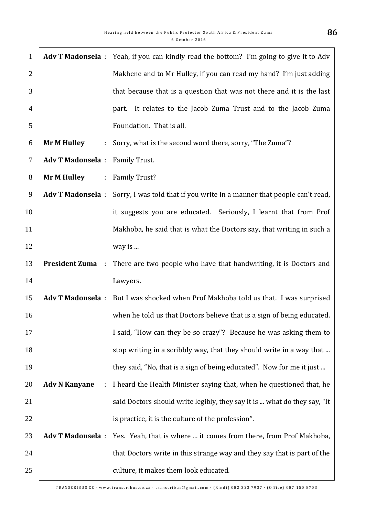| $\mathbf{1}$   |                                        |                       | Adv T Madonsela : Yeah, if you can kindly read the bottom? I'm going to give it to Adv    |
|----------------|----------------------------------------|-----------------------|-------------------------------------------------------------------------------------------|
| $\overline{2}$ |                                        |                       | Makhene and to Mr Hulley, if you can read my hand? I'm just adding                        |
| 3              |                                        |                       | that because that is a question that was not there and it is the last                     |
| $\overline{4}$ |                                        |                       | part. It relates to the Jacob Zuma Trust and to the Jacob Zuma                            |
| 5              |                                        |                       | Foundation. That is all.                                                                  |
| 6              | <b>Mr M Hulley</b>                     | $\mathbb{Z}^{\times}$ | Sorry, what is the second word there, sorry, "The Zuma"?                                  |
| $\tau$         | <b>Adv T Madonsela : Family Trust.</b> |                       |                                                                                           |
| 8              | <b>Mr M Hulley</b>                     |                       | : Family Trust?                                                                           |
| 9              |                                        |                       | Adv T Madonsela : Sorry, I was told that if you write in a manner that people can't read, |
| 10             |                                        |                       | it suggests you are educated. Seriously, I learnt that from Prof                          |
| 11             |                                        |                       | Makhoba, he said that is what the Doctors say, that writing in such a                     |
| 12             |                                        |                       | way is                                                                                    |
| 13             | <b>President Zuma</b><br>$\sim$        |                       | There are two people who have that handwriting, it is Doctors and                         |
| 14             |                                        |                       | Lawyers.                                                                                  |
| 15             | <b>Adv T Madonsela:</b>                |                       | But I was shocked when Prof Makhoba told us that. I was surprised                         |
| 16             |                                        |                       | when he told us that Doctors believe that is a sign of being educated.                    |
| 17             |                                        |                       | I said, "How can they be so crazy"? Because he was asking them to                         |
| 18             |                                        |                       | stop writing in a scribbly way, that they should write in a way that                      |
| 19             |                                        |                       | they said, "No, that is a sign of being educated". Now for me it just                     |
| 20             | <b>Adv N Kanyane</b>                   | ÷                     | I heard the Health Minister saying that, when he questioned that, he                      |
| 21             |                                        |                       | said Doctors should write legibly, they say it is  what do they say, "It                  |
| 22             |                                        |                       | is practice, it is the culture of the profession".                                        |
| 23             |                                        |                       | Adv T Madonsela : Yes. Yeah, that is where  it comes from there, from Prof Makhoba,       |
| 24             |                                        |                       | that Doctors write in this strange way and they say that is part of the                   |
| 25             |                                        |                       | culture, it makes them look educated.                                                     |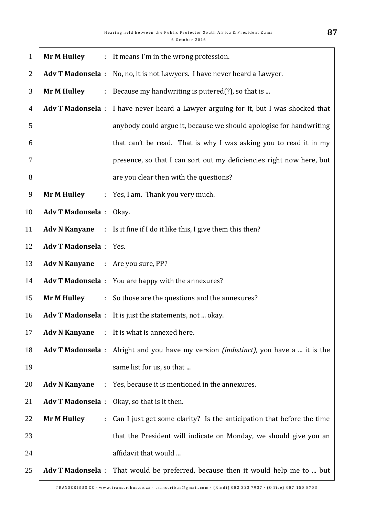| $\mathbf{1}$   | <b>Mr M Hulley</b>                       |                             | : It means I'm in the wrong profession.                                                       |
|----------------|------------------------------------------|-----------------------------|-----------------------------------------------------------------------------------------------|
| 2              |                                          |                             | Adv T Madonsela : No, no, it is not Lawyers. I have never heard a Lawyer.                     |
| 3              | <b>Mr M Hulley</b>                       |                             | : Because my handwriting is putered(?), so that is                                            |
| $\overline{4}$ |                                          |                             | Adv T Madonsela : I have never heard a Lawyer arguing for it, but I was shocked that          |
| 5              |                                          |                             | anybody could argue it, because we should apologise for handwriting                           |
| 6              |                                          |                             | that can't be read. That is why I was asking you to read it in my                             |
| $\overline{7}$ |                                          |                             | presence, so that I can sort out my deficiencies right now here, but                          |
| 8              |                                          |                             | are you clear then with the questions?                                                        |
| 9              | <b>Mr M Hulley</b>                       |                             | : Yes, I am. Thank you very much.                                                             |
| 10             | <b>Adv T Madonsela</b> : Okay.           |                             |                                                                                               |
| 11             |                                          |                             | Adv N Kanyane : Is it fine if I do it like this, I give them this then?                       |
| 12             | <b>Adv T Madonsela</b> : Yes.            |                             |                                                                                               |
| 13             | <b>Adv N Kanyane</b> : Are you sure, PP? |                             |                                                                                               |
| 14             |                                          |                             | Adv T Madonsela : You are happy with the annexures?                                           |
| 15             | <b>Mr M Hulley</b>                       |                             | : So those are the questions and the annexures?                                               |
| 16             |                                          |                             | Adv T Madonsela : It is just the statements, not  okay.                                       |
| 17             | <b>Adv N Kanyane</b>                     |                             | : It is what is annexed here.                                                                 |
| 18             |                                          |                             | Adv T Madonsela : Alright and you have my version <i>(indistinct)</i> , you have a  it is the |
| 19             |                                          |                             | same list for us, so that                                                                     |
| 20             | <b>Adv N Kanyane</b>                     | $\mathcal{L}^{\mathcal{L}}$ | Yes, because it is mentioned in the annexures.                                                |
| 21             |                                          |                             | Adv T Madonsela : Okay, so that is it then.                                                   |
| 22             | <b>Mr M Hulley</b>                       | ÷.                          | Can I just get some clarity? Is the anticipation that before the time                         |
| 23             |                                          |                             | that the President will indicate on Monday, we should give you an                             |
| 24             |                                          |                             | affidavit that would                                                                          |
| 25             |                                          |                             | Adv T Madonsela : That would be preferred, because then it would help me to  but              |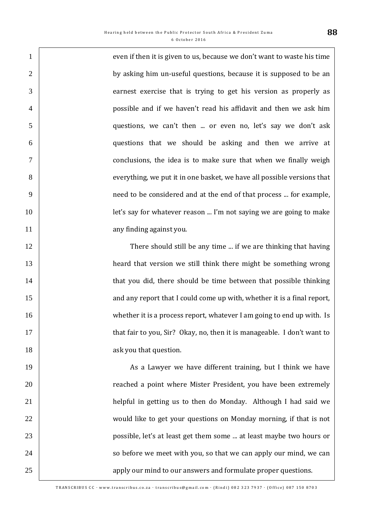1 even if then it is given to us, because we don't want to waste his time 2 by asking him un-useful questions, because it is supposed to be an earnest exercise that is trying to get his version as properly as possible and if we haven't read his affidavit and then we ask him questions, we can't then ... or even no, let's say we don't ask questions that we should be asking and then we arrive at conclusions, the idea is to make sure that when we finally weigh everything, we put it in one basket, we have all possible versions that need to be considered and at the end of that process ... for example, **let's say for whatever reason ... I'm not saying we are going to make** 11 any finding against you.

12 There should still be any time ... if we are thinking that having heard that version we still think there might be something wrong **that you did, there should be time between that possible thinking** 15 15 and any report that I could come up with, whether it is a final report, **16 Whether it is a process report, whatever I am going to end up with. Is that fair to you, Sir?** Okay, no, then it is manageable. I don't want to **18 ask you that question.** 

19 | As a Lawyer we have different training, but I think we have 20 **The Stephen External and Stephen External Stephen Extremely** reached a point where Mister President, you have been extremely 21 | helpful in getting us to then do Monday. Although I had said we 22 Would like to get your questions on Monday morning, if that is not 23 possible, let's at least get them some ... at least maybe two hours or 24 so before we meet with you, so that we can apply our mind, we can 25 25 25 apply our mind to our answers and formulate proper questions.